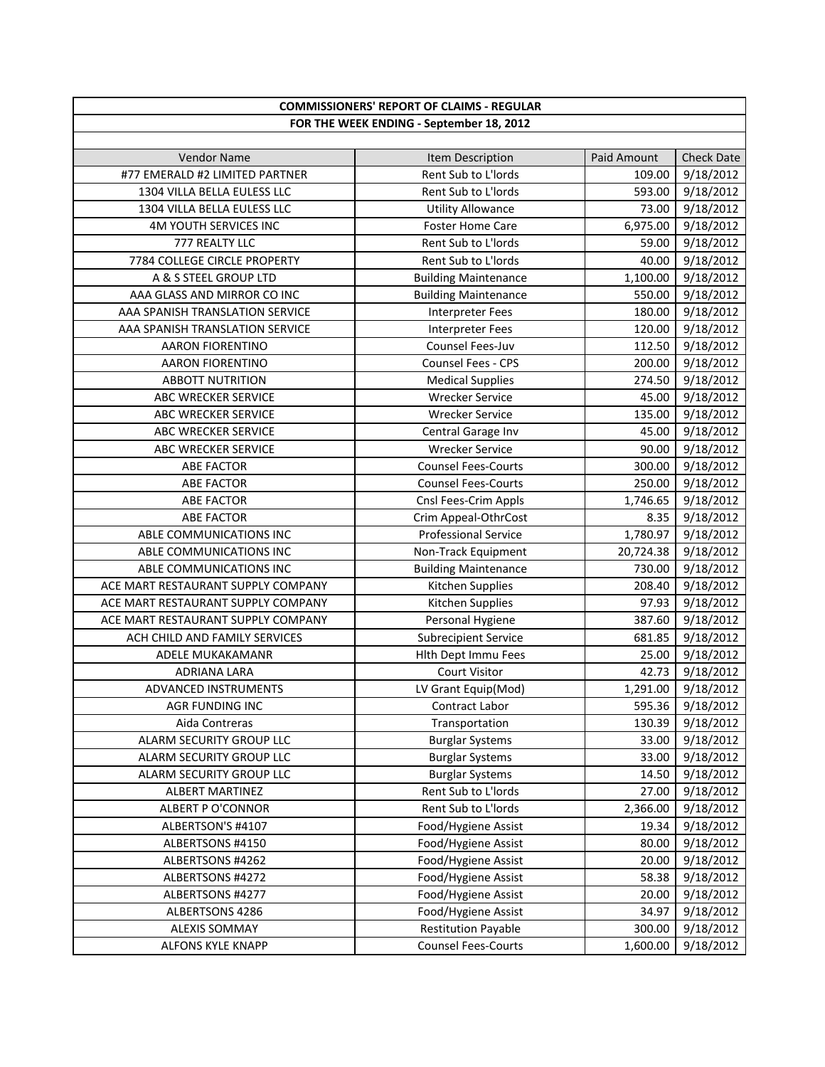| <b>COMMISSIONERS' REPORT OF CLAIMS - REGULAR</b> |                             |             |                   |
|--------------------------------------------------|-----------------------------|-------------|-------------------|
| FOR THE WEEK ENDING - September 18, 2012         |                             |             |                   |
|                                                  |                             |             |                   |
| <b>Vendor Name</b>                               | Item Description            | Paid Amount | <b>Check Date</b> |
| #77 EMERALD #2 LIMITED PARTNER                   | Rent Sub to L'Iords         | 109.00      | 9/18/2012         |
| 1304 VILLA BELLA EULESS LLC                      | Rent Sub to L'Iords         | 593.00      | 9/18/2012         |
| 1304 VILLA BELLA EULESS LLC                      | <b>Utility Allowance</b>    | 73.00       | 9/18/2012         |
| 4M YOUTH SERVICES INC                            | <b>Foster Home Care</b>     | 6,975.00    | 9/18/2012         |
| 777 REALTY LLC                                   | Rent Sub to L'Iords         | 59.00       | 9/18/2012         |
| 7784 COLLEGE CIRCLE PROPERTY                     | Rent Sub to L'Iords         | 40.00       | 9/18/2012         |
| A & S STEEL GROUP LTD                            | <b>Building Maintenance</b> | 1,100.00    | 9/18/2012         |
| AAA GLASS AND MIRROR CO INC                      | <b>Building Maintenance</b> | 550.00      | 9/18/2012         |
| AAA SPANISH TRANSLATION SERVICE                  | <b>Interpreter Fees</b>     | 180.00      | 9/18/2012         |
| AAA SPANISH TRANSLATION SERVICE                  | <b>Interpreter Fees</b>     | 120.00      | 9/18/2012         |
| <b>AARON FIORENTINO</b>                          | Counsel Fees-Juv            | 112.50      | 9/18/2012         |
| AARON FIORENTINO                                 | Counsel Fees - CPS          | 200.00      | 9/18/2012         |
| <b>ABBOTT NUTRITION</b>                          | <b>Medical Supplies</b>     | 274.50      | 9/18/2012         |
| ABC WRECKER SERVICE                              | <b>Wrecker Service</b>      | 45.00       | 9/18/2012         |
| ABC WRECKER SERVICE                              | <b>Wrecker Service</b>      | 135.00      | 9/18/2012         |
| <b>ABC WRECKER SERVICE</b>                       | Central Garage Inv          | 45.00       | 9/18/2012         |
| ABC WRECKER SERVICE                              | <b>Wrecker Service</b>      | 90.00       | 9/18/2012         |
| <b>ABE FACTOR</b>                                | <b>Counsel Fees-Courts</b>  | 300.00      | 9/18/2012         |
| <b>ABE FACTOR</b>                                | <b>Counsel Fees-Courts</b>  | 250.00      | 9/18/2012         |
| <b>ABE FACTOR</b>                                | Cnsl Fees-Crim Appls        | 1,746.65    | 9/18/2012         |
| <b>ABE FACTOR</b>                                | Crim Appeal-OthrCost        | 8.35        | 9/18/2012         |
| ABLE COMMUNICATIONS INC                          | <b>Professional Service</b> | 1,780.97    | 9/18/2012         |
| ABLE COMMUNICATIONS INC                          | Non-Track Equipment         | 20,724.38   | 9/18/2012         |
| ABLE COMMUNICATIONS INC                          | <b>Building Maintenance</b> | 730.00      | 9/18/2012         |
| ACE MART RESTAURANT SUPPLY COMPANY               | Kitchen Supplies            | 208.40      | 9/18/2012         |
| ACE MART RESTAURANT SUPPLY COMPANY               | Kitchen Supplies            | 97.93       | 9/18/2012         |
| ACE MART RESTAURANT SUPPLY COMPANY               | Personal Hygiene            | 387.60      | 9/18/2012         |
| ACH CHILD AND FAMILY SERVICES                    | <b>Subrecipient Service</b> | 681.85      | 9/18/2012         |
| <b>ADELE MUKAKAMANR</b>                          | Hith Dept Immu Fees         | 25.00       | 9/18/2012         |
| <b>ADRIANA LARA</b>                              | <b>Court Visitor</b>        | 42.73       | 9/18/2012         |
| ADVANCED INSTRUMENTS                             | LV Grant Equip(Mod)         | 1,291.00    | 9/18/2012         |
| AGR FUNDING INC                                  | Contract Labor              | 595.36      | 9/18/2012         |
| Aida Contreras                                   | Transportation              | 130.39      | 9/18/2012         |
| ALARM SECURITY GROUP LLC                         | <b>Burglar Systems</b>      | 33.00       | 9/18/2012         |
| ALARM SECURITY GROUP LLC                         | <b>Burglar Systems</b>      | 33.00       | 9/18/2012         |
| ALARM SECURITY GROUP LLC                         | <b>Burglar Systems</b>      | 14.50       | 9/18/2012         |
| <b>ALBERT MARTINEZ</b>                           | Rent Sub to L'Iords         | 27.00       | 9/18/2012         |
| <b>ALBERT P O'CONNOR</b>                         | Rent Sub to L'Iords         | 2,366.00    | 9/18/2012         |
| ALBERTSON'S #4107                                | Food/Hygiene Assist         | 19.34       | 9/18/2012         |
| ALBERTSONS #4150                                 | Food/Hygiene Assist         | 80.00       | 9/18/2012         |
| ALBERTSONS #4262                                 | Food/Hygiene Assist         | 20.00       | 9/18/2012         |
| ALBERTSONS #4272                                 | Food/Hygiene Assist         | 58.38       | 9/18/2012         |
| ALBERTSONS #4277                                 | Food/Hygiene Assist         | 20.00       | 9/18/2012         |
| ALBERTSONS 4286                                  | Food/Hygiene Assist         | 34.97       | 9/18/2012         |
| <b>ALEXIS SOMMAY</b>                             | <b>Restitution Payable</b>  | 300.00      | 9/18/2012         |
| ALFONS KYLE KNAPP                                | <b>Counsel Fees-Courts</b>  | 1,600.00    | 9/18/2012         |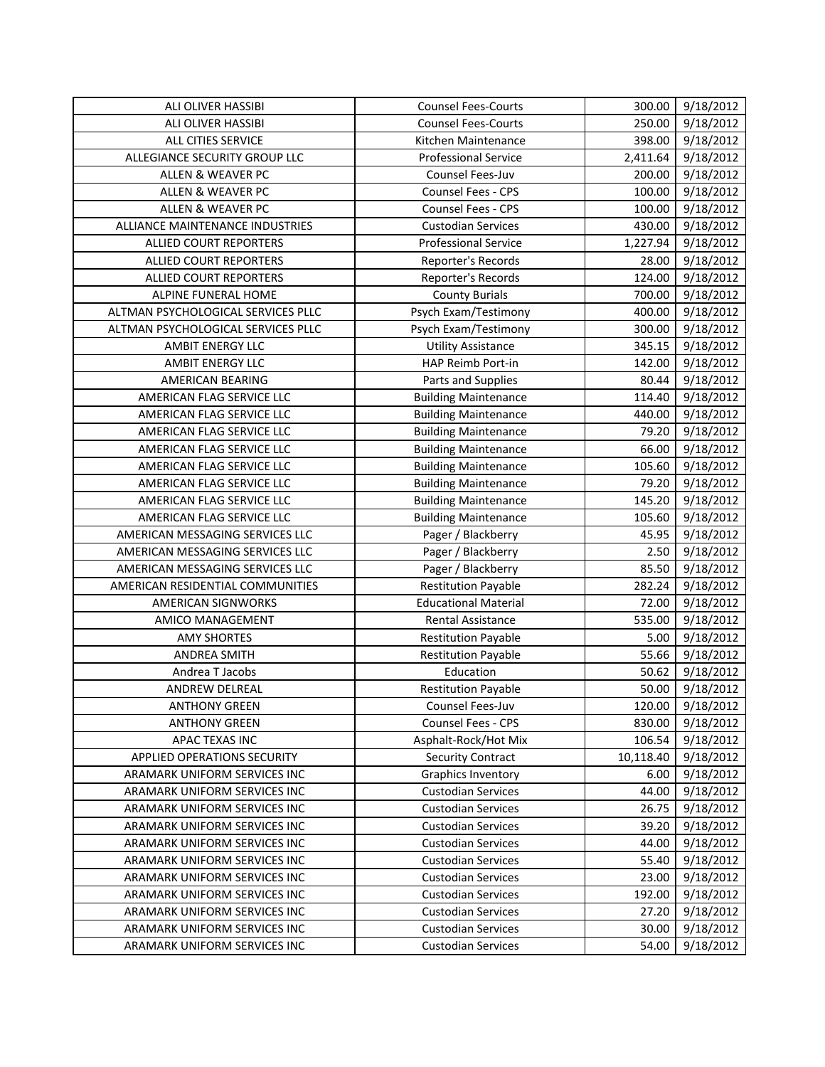| ALI OLIVER HASSIBI                 | <b>Counsel Fees-Courts</b>  | 300.00    | 9/18/2012 |
|------------------------------------|-----------------------------|-----------|-----------|
| ALI OLIVER HASSIBI                 | <b>Counsel Fees-Courts</b>  | 250.00    | 9/18/2012 |
| ALL CITIES SERVICE                 | Kitchen Maintenance         | 398.00    | 9/18/2012 |
| ALLEGIANCE SECURITY GROUP LLC      | <b>Professional Service</b> | 2,411.64  | 9/18/2012 |
| ALLEN & WEAVER PC                  | Counsel Fees-Juv            | 200.00    | 9/18/2012 |
| ALLEN & WEAVER PC                  | Counsel Fees - CPS          | 100.00    | 9/18/2012 |
| ALLEN & WEAVER PC                  | Counsel Fees - CPS          | 100.00    | 9/18/2012 |
| ALLIANCE MAINTENANCE INDUSTRIES    | <b>Custodian Services</b>   | 430.00    | 9/18/2012 |
| <b>ALLIED COURT REPORTERS</b>      | <b>Professional Service</b> | 1,227.94  | 9/18/2012 |
| ALLIED COURT REPORTERS             | Reporter's Records          | 28.00     | 9/18/2012 |
| ALLIED COURT REPORTERS             | Reporter's Records          | 124.00    | 9/18/2012 |
| ALPINE FUNERAL HOME                | <b>County Burials</b>       | 700.00    | 9/18/2012 |
| ALTMAN PSYCHOLOGICAL SERVICES PLLC | Psych Exam/Testimony        | 400.00    | 9/18/2012 |
| ALTMAN PSYCHOLOGICAL SERVICES PLLC | Psych Exam/Testimony        | 300.00    | 9/18/2012 |
| <b>AMBIT ENERGY LLC</b>            | <b>Utility Assistance</b>   | 345.15    | 9/18/2012 |
| <b>AMBIT ENERGY LLC</b>            | HAP Reimb Port-in           | 142.00    | 9/18/2012 |
| AMERICAN BEARING                   | Parts and Supplies          | 80.44     | 9/18/2012 |
| AMERICAN FLAG SERVICE LLC          | <b>Building Maintenance</b> | 114.40    | 9/18/2012 |
| AMERICAN FLAG SERVICE LLC          | <b>Building Maintenance</b> | 440.00    | 9/18/2012 |
| AMERICAN FLAG SERVICE LLC          | <b>Building Maintenance</b> | 79.20     | 9/18/2012 |
| AMERICAN FLAG SERVICE LLC          | <b>Building Maintenance</b> | 66.00     | 9/18/2012 |
| AMERICAN FLAG SERVICE LLC          | <b>Building Maintenance</b> | 105.60    | 9/18/2012 |
| AMERICAN FLAG SERVICE LLC          | <b>Building Maintenance</b> | 79.20     | 9/18/2012 |
| AMERICAN FLAG SERVICE LLC          | <b>Building Maintenance</b> | 145.20    | 9/18/2012 |
| AMERICAN FLAG SERVICE LLC          | <b>Building Maintenance</b> | 105.60    | 9/18/2012 |
| AMERICAN MESSAGING SERVICES LLC    | Pager / Blackberry          | 45.95     | 9/18/2012 |
| AMERICAN MESSAGING SERVICES LLC    | Pager / Blackberry          | 2.50      | 9/18/2012 |
| AMERICAN MESSAGING SERVICES LLC    | Pager / Blackberry          | 85.50     | 9/18/2012 |
| AMERICAN RESIDENTIAL COMMUNITIES   | <b>Restitution Payable</b>  | 282.24    | 9/18/2012 |
| AMERICAN SIGNWORKS                 | <b>Educational Material</b> | 72.00     | 9/18/2012 |
| <b>AMICO MANAGEMENT</b>            | <b>Rental Assistance</b>    | 535.00    | 9/18/2012 |
| <b>AMY SHORTES</b>                 | <b>Restitution Payable</b>  | 5.00      | 9/18/2012 |
| <b>ANDREA SMITH</b>                | <b>Restitution Payable</b>  | 55.66     | 9/18/2012 |
| Andrea T Jacobs                    | Education                   | 50.62     | 9/18/2012 |
| ANDREW DELREAL                     | <b>Restitution Payable</b>  | 50.00     | 9/18/2012 |
| <b>ANTHONY GREEN</b>               | Counsel Fees-Juv            | 120.00    | 9/18/2012 |
| <b>ANTHONY GREEN</b>               | Counsel Fees - CPS          | 830.00    | 9/18/2012 |
| APAC TEXAS INC                     | Asphalt-Rock/Hot Mix        | 106.54    | 9/18/2012 |
| <b>APPLIED OPERATIONS SECURITY</b> | <b>Security Contract</b>    | 10,118.40 | 9/18/2012 |
| ARAMARK UNIFORM SERVICES INC       | <b>Graphics Inventory</b>   | 6.00      | 9/18/2012 |
| ARAMARK UNIFORM SERVICES INC       | <b>Custodian Services</b>   | 44.00     | 9/18/2012 |
| ARAMARK UNIFORM SERVICES INC       | <b>Custodian Services</b>   | 26.75     | 9/18/2012 |
| ARAMARK UNIFORM SERVICES INC       | <b>Custodian Services</b>   | 39.20     | 9/18/2012 |
| ARAMARK UNIFORM SERVICES INC       | <b>Custodian Services</b>   | 44.00     | 9/18/2012 |
| ARAMARK UNIFORM SERVICES INC       | <b>Custodian Services</b>   | 55.40     | 9/18/2012 |
| ARAMARK UNIFORM SERVICES INC       | <b>Custodian Services</b>   | 23.00     | 9/18/2012 |
| ARAMARK UNIFORM SERVICES INC       | <b>Custodian Services</b>   | 192.00    | 9/18/2012 |
| ARAMARK UNIFORM SERVICES INC       | <b>Custodian Services</b>   | 27.20     | 9/18/2012 |
| ARAMARK UNIFORM SERVICES INC       | <b>Custodian Services</b>   | 30.00     | 9/18/2012 |
| ARAMARK UNIFORM SERVICES INC       | <b>Custodian Services</b>   | 54.00     | 9/18/2012 |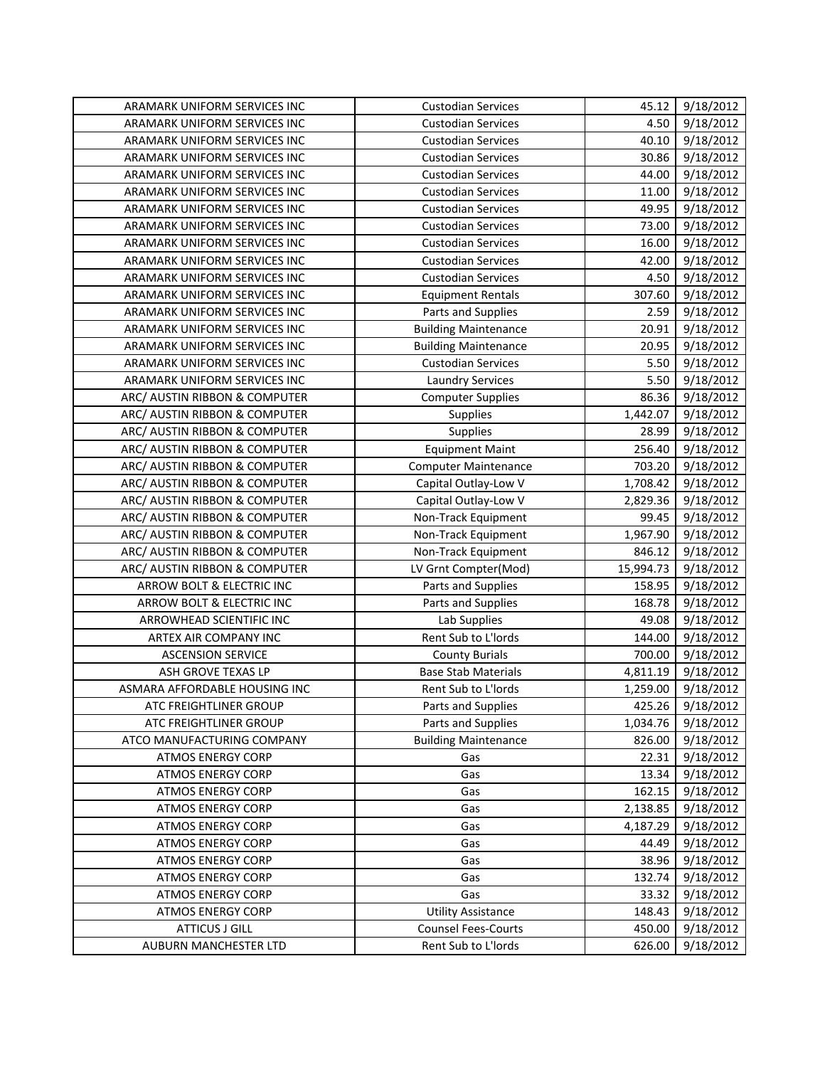| ARAMARK UNIFORM SERVICES INC  | <b>Custodian Services</b>   | 45.12     | 9/18/2012 |
|-------------------------------|-----------------------------|-----------|-----------|
| ARAMARK UNIFORM SERVICES INC  | <b>Custodian Services</b>   | 4.50      | 9/18/2012 |
| ARAMARK UNIFORM SERVICES INC  | <b>Custodian Services</b>   | 40.10     | 9/18/2012 |
| ARAMARK UNIFORM SERVICES INC  | <b>Custodian Services</b>   | 30.86     | 9/18/2012 |
| ARAMARK UNIFORM SERVICES INC  | <b>Custodian Services</b>   | 44.00     | 9/18/2012 |
| ARAMARK UNIFORM SERVICES INC  | <b>Custodian Services</b>   | 11.00     | 9/18/2012 |
| ARAMARK UNIFORM SERVICES INC  | <b>Custodian Services</b>   | 49.95     | 9/18/2012 |
| ARAMARK UNIFORM SERVICES INC  | <b>Custodian Services</b>   | 73.00     | 9/18/2012 |
| ARAMARK UNIFORM SERVICES INC  | <b>Custodian Services</b>   | 16.00     | 9/18/2012 |
| ARAMARK UNIFORM SERVICES INC  | <b>Custodian Services</b>   | 42.00     | 9/18/2012 |
| ARAMARK UNIFORM SERVICES INC  | <b>Custodian Services</b>   | 4.50      | 9/18/2012 |
| ARAMARK UNIFORM SERVICES INC  | <b>Equipment Rentals</b>    | 307.60    | 9/18/2012 |
| ARAMARK UNIFORM SERVICES INC  | Parts and Supplies          | 2.59      | 9/18/2012 |
| ARAMARK UNIFORM SERVICES INC  | <b>Building Maintenance</b> | 20.91     | 9/18/2012 |
| ARAMARK UNIFORM SERVICES INC  | <b>Building Maintenance</b> | 20.95     | 9/18/2012 |
| ARAMARK UNIFORM SERVICES INC  | <b>Custodian Services</b>   | 5.50      | 9/18/2012 |
| ARAMARK UNIFORM SERVICES INC  | <b>Laundry Services</b>     | 5.50      | 9/18/2012 |
| ARC/ AUSTIN RIBBON & COMPUTER | <b>Computer Supplies</b>    | 86.36     | 9/18/2012 |
| ARC/ AUSTIN RIBBON & COMPUTER | Supplies                    | 1,442.07  | 9/18/2012 |
| ARC/ AUSTIN RIBBON & COMPUTER | Supplies                    | 28.99     | 9/18/2012 |
| ARC/ AUSTIN RIBBON & COMPUTER | <b>Equipment Maint</b>      | 256.40    | 9/18/2012 |
| ARC/ AUSTIN RIBBON & COMPUTER | <b>Computer Maintenance</b> | 703.20    | 9/18/2012 |
| ARC/ AUSTIN RIBBON & COMPUTER | Capital Outlay-Low V        | 1,708.42  | 9/18/2012 |
| ARC/ AUSTIN RIBBON & COMPUTER | Capital Outlay-Low V        | 2,829.36  | 9/18/2012 |
| ARC/ AUSTIN RIBBON & COMPUTER | Non-Track Equipment         | 99.45     | 9/18/2012 |
| ARC/ AUSTIN RIBBON & COMPUTER | Non-Track Equipment         | 1,967.90  | 9/18/2012 |
| ARC/ AUSTIN RIBBON & COMPUTER | Non-Track Equipment         | 846.12    | 9/18/2012 |
| ARC/ AUSTIN RIBBON & COMPUTER | LV Grnt Compter(Mod)        | 15,994.73 | 9/18/2012 |
| ARROW BOLT & ELECTRIC INC     | Parts and Supplies          | 158.95    | 9/18/2012 |
| ARROW BOLT & ELECTRIC INC     | Parts and Supplies          | 168.78    | 9/18/2012 |
| ARROWHEAD SCIENTIFIC INC      | Lab Supplies                | 49.08     | 9/18/2012 |
| ARTEX AIR COMPANY INC         | Rent Sub to L'Iords         | 144.00    | 9/18/2012 |
| <b>ASCENSION SERVICE</b>      | <b>County Burials</b>       | 700.00    | 9/18/2012 |
| ASH GROVE TEXAS LP            | <b>Base Stab Materials</b>  | 4,811.19  | 9/18/2012 |
| ASMARA AFFORDABLE HOUSING INC | Rent Sub to L'Iords         | 1,259.00  | 9/18/2012 |
| ATC FREIGHTLINER GROUP        | Parts and Supplies          | 425.26    | 9/18/2012 |
| ATC FREIGHTLINER GROUP        | Parts and Supplies          | 1,034.76  | 9/18/2012 |
| ATCO MANUFACTURING COMPANY    | <b>Building Maintenance</b> | 826.00    | 9/18/2012 |
| <b>ATMOS ENERGY CORP</b>      | Gas                         | 22.31     | 9/18/2012 |
| <b>ATMOS ENERGY CORP</b>      | Gas                         | 13.34     | 9/18/2012 |
| <b>ATMOS ENERGY CORP</b>      | Gas                         | 162.15    | 9/18/2012 |
| <b>ATMOS ENERGY CORP</b>      | Gas                         | 2,138.85  | 9/18/2012 |
| <b>ATMOS ENERGY CORP</b>      | Gas                         | 4,187.29  | 9/18/2012 |
| <b>ATMOS ENERGY CORP</b>      | Gas                         | 44.49     | 9/18/2012 |
| <b>ATMOS ENERGY CORP</b>      | Gas                         | 38.96     | 9/18/2012 |
| <b>ATMOS ENERGY CORP</b>      | Gas                         | 132.74    | 9/18/2012 |
| <b>ATMOS ENERGY CORP</b>      | Gas                         | 33.32     | 9/18/2012 |
| <b>ATMOS ENERGY CORP</b>      | <b>Utility Assistance</b>   | 148.43    | 9/18/2012 |
| <b>ATTICUS J GILL</b>         | <b>Counsel Fees-Courts</b>  | 450.00    | 9/18/2012 |
| AUBURN MANCHESTER LTD         | Rent Sub to L'Iords         | 626.00    | 9/18/2012 |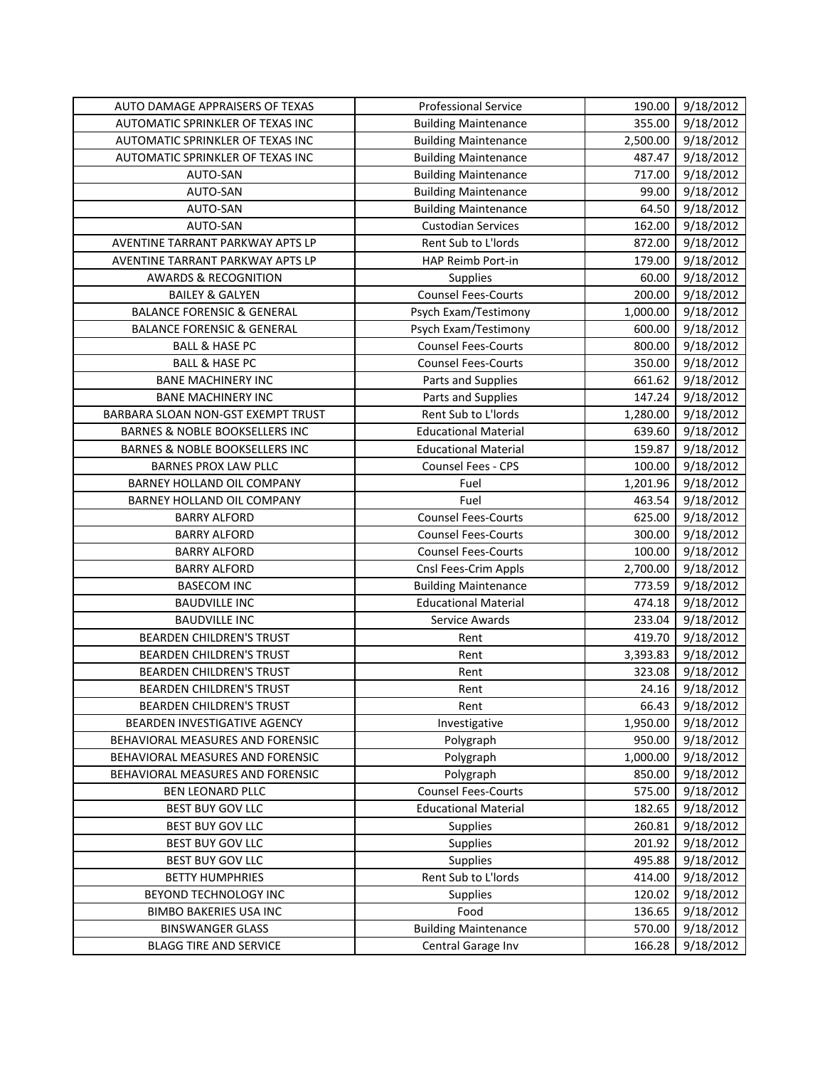| AUTO DAMAGE APPRAISERS OF TEXAS       | <b>Professional Service</b> | 190.00   | 9/18/2012 |
|---------------------------------------|-----------------------------|----------|-----------|
| AUTOMATIC SPRINKLER OF TEXAS INC      | <b>Building Maintenance</b> | 355.00   | 9/18/2012 |
| AUTOMATIC SPRINKLER OF TEXAS INC      | <b>Building Maintenance</b> | 2,500.00 | 9/18/2012 |
| AUTOMATIC SPRINKLER OF TEXAS INC      | <b>Building Maintenance</b> | 487.47   | 9/18/2012 |
| AUTO-SAN                              | <b>Building Maintenance</b> | 717.00   | 9/18/2012 |
| AUTO-SAN                              | <b>Building Maintenance</b> | 99.00    | 9/18/2012 |
| AUTO-SAN                              | <b>Building Maintenance</b> | 64.50    | 9/18/2012 |
| AUTO-SAN                              | <b>Custodian Services</b>   | 162.00   | 9/18/2012 |
| AVENTINE TARRANT PARKWAY APTS LP      | Rent Sub to L'Iords         | 872.00   | 9/18/2012 |
| AVENTINE TARRANT PARKWAY APTS LP      | HAP Reimb Port-in           | 179.00   | 9/18/2012 |
| <b>AWARDS &amp; RECOGNITION</b>       | Supplies                    | 60.00    | 9/18/2012 |
| <b>BAILEY &amp; GALYEN</b>            | <b>Counsel Fees-Courts</b>  | 200.00   | 9/18/2012 |
| <b>BALANCE FORENSIC &amp; GENERAL</b> | Psych Exam/Testimony        | 1,000.00 | 9/18/2012 |
| <b>BALANCE FORENSIC &amp; GENERAL</b> | Psych Exam/Testimony        | 600.00   | 9/18/2012 |
| <b>BALL &amp; HASE PC</b>             | <b>Counsel Fees-Courts</b>  | 800.00   | 9/18/2012 |
| <b>BALL &amp; HASE PC</b>             | <b>Counsel Fees-Courts</b>  | 350.00   | 9/18/2012 |
| <b>BANE MACHINERY INC</b>             | Parts and Supplies          | 661.62   | 9/18/2012 |
| <b>BANE MACHINERY INC</b>             | Parts and Supplies          | 147.24   | 9/18/2012 |
| BARBARA SLOAN NON-GST EXEMPT TRUST    | Rent Sub to L'Iords         | 1,280.00 | 9/18/2012 |
| BARNES & NOBLE BOOKSELLERS INC        | <b>Educational Material</b> | 639.60   | 9/18/2012 |
| BARNES & NOBLE BOOKSELLERS INC        | <b>Educational Material</b> | 159.87   | 9/18/2012 |
| <b>BARNES PROX LAW PLLC</b>           | Counsel Fees - CPS          | 100.00   | 9/18/2012 |
| BARNEY HOLLAND OIL COMPANY            | Fuel                        | 1,201.96 | 9/18/2012 |
| BARNEY HOLLAND OIL COMPANY            | Fuel                        | 463.54   | 9/18/2012 |
| <b>BARRY ALFORD</b>                   | <b>Counsel Fees-Courts</b>  | 625.00   | 9/18/2012 |
| <b>BARRY ALFORD</b>                   | <b>Counsel Fees-Courts</b>  | 300.00   | 9/18/2012 |
| <b>BARRY ALFORD</b>                   | <b>Counsel Fees-Courts</b>  | 100.00   | 9/18/2012 |
| <b>BARRY ALFORD</b>                   | Cnsl Fees-Crim Appls        | 2,700.00 | 9/18/2012 |
| <b>BASECOM INC</b>                    | <b>Building Maintenance</b> | 773.59   | 9/18/2012 |
| <b>BAUDVILLE INC</b>                  | <b>Educational Material</b> | 474.18   | 9/18/2012 |
| <b>BAUDVILLE INC</b>                  | <b>Service Awards</b>       | 233.04   | 9/18/2012 |
| BEARDEN CHILDREN'S TRUST              | Rent                        | 419.70   | 9/18/2012 |
| <b>BEARDEN CHILDREN'S TRUST</b>       | Rent                        | 3,393.83 | 9/18/2012 |
| BEARDEN CHILDREN'S TRUST              | Rent                        | 323.08   | 9/18/2012 |
| BEARDEN CHILDREN'S TRUST              | Rent                        | 24.16    | 9/18/2012 |
| <b>BEARDEN CHILDREN'S TRUST</b>       | Rent                        | 66.43    | 9/18/2012 |
| BEARDEN INVESTIGATIVE AGENCY          | Investigative               | 1,950.00 | 9/18/2012 |
| BEHAVIORAL MEASURES AND FORENSIC      | Polygraph                   | 950.00   | 9/18/2012 |
| BEHAVIORAL MEASURES AND FORENSIC      | Polygraph                   | 1,000.00 | 9/18/2012 |
| BEHAVIORAL MEASURES AND FORENSIC      | Polygraph                   | 850.00   | 9/18/2012 |
| BEN LEONARD PLLC                      | <b>Counsel Fees-Courts</b>  | 575.00   | 9/18/2012 |
| BEST BUY GOV LLC                      | <b>Educational Material</b> | 182.65   | 9/18/2012 |
| BEST BUY GOV LLC                      | <b>Supplies</b>             | 260.81   | 9/18/2012 |
| <b>BEST BUY GOV LLC</b>               | Supplies                    | 201.92   | 9/18/2012 |
| BEST BUY GOV LLC                      | Supplies                    | 495.88   | 9/18/2012 |
| <b>BETTY HUMPHRIES</b>                | Rent Sub to L'Iords         | 414.00   | 9/18/2012 |
| BEYOND TECHNOLOGY INC                 | Supplies                    | 120.02   | 9/18/2012 |
| <b>BIMBO BAKERIES USA INC</b>         | Food                        | 136.65   | 9/18/2012 |
| <b>BINSWANGER GLASS</b>               | <b>Building Maintenance</b> | 570.00   | 9/18/2012 |
| <b>BLAGG TIRE AND SERVICE</b>         | Central Garage Inv          | 166.28   | 9/18/2012 |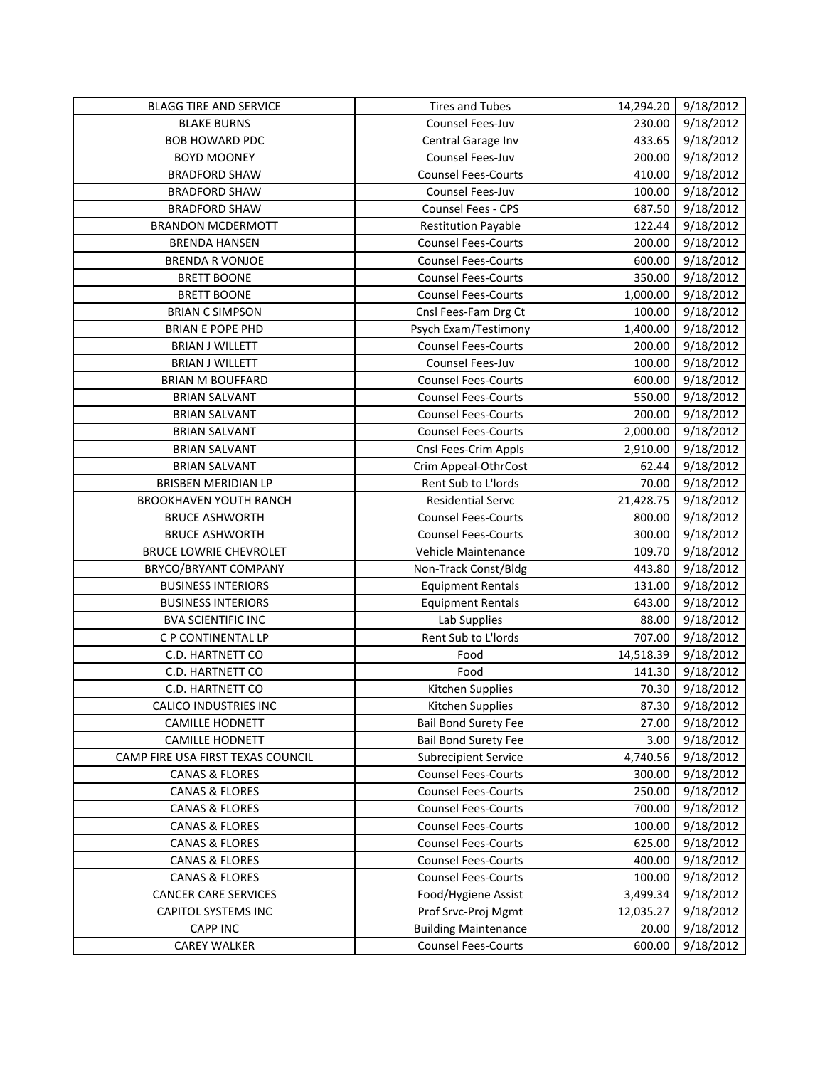| <b>BLAGG TIRE AND SERVICE</b>     | <b>Tires and Tubes</b>      | 14,294.20 | 9/18/2012 |
|-----------------------------------|-----------------------------|-----------|-----------|
| <b>BLAKE BURNS</b>                | Counsel Fees-Juv            | 230.00    | 9/18/2012 |
| <b>BOB HOWARD PDC</b>             | Central Garage Inv          | 433.65    | 9/18/2012 |
| <b>BOYD MOONEY</b>                | Counsel Fees-Juv            | 200.00    | 9/18/2012 |
| <b>BRADFORD SHAW</b>              | <b>Counsel Fees-Courts</b>  | 410.00    | 9/18/2012 |
| <b>BRADFORD SHAW</b>              | Counsel Fees-Juv            | 100.00    | 9/18/2012 |
| <b>BRADFORD SHAW</b>              | Counsel Fees - CPS          | 687.50    | 9/18/2012 |
| <b>BRANDON MCDERMOTT</b>          | <b>Restitution Payable</b>  | 122.44    | 9/18/2012 |
| <b>BRENDA HANSEN</b>              | <b>Counsel Fees-Courts</b>  | 200.00    | 9/18/2012 |
| <b>BRENDA R VONJOE</b>            | <b>Counsel Fees-Courts</b>  | 600.00    | 9/18/2012 |
| <b>BRETT BOONE</b>                | <b>Counsel Fees-Courts</b>  | 350.00    | 9/18/2012 |
| <b>BRETT BOONE</b>                | <b>Counsel Fees-Courts</b>  | 1,000.00  | 9/18/2012 |
| <b>BRIAN C SIMPSON</b>            | Cnsl Fees-Fam Drg Ct        | 100.00    | 9/18/2012 |
| <b>BRIAN E POPE PHD</b>           | Psych Exam/Testimony        | 1,400.00  | 9/18/2012 |
| <b>BRIAN J WILLETT</b>            | <b>Counsel Fees-Courts</b>  | 200.00    | 9/18/2012 |
| <b>BRIAN J WILLETT</b>            | Counsel Fees-Juv            | 100.00    | 9/18/2012 |
| <b>BRIAN M BOUFFARD</b>           | <b>Counsel Fees-Courts</b>  | 600.00    | 9/18/2012 |
| <b>BRIAN SALVANT</b>              | <b>Counsel Fees-Courts</b>  | 550.00    | 9/18/2012 |
| <b>BRIAN SALVANT</b>              | <b>Counsel Fees-Courts</b>  | 200.00    | 9/18/2012 |
| <b>BRIAN SALVANT</b>              | <b>Counsel Fees-Courts</b>  | 2,000.00  | 9/18/2012 |
| <b>BRIAN SALVANT</b>              | Cnsl Fees-Crim Appls        | 2,910.00  | 9/18/2012 |
| <b>BRIAN SALVANT</b>              | Crim Appeal-OthrCost        | 62.44     | 9/18/2012 |
| <b>BRISBEN MERIDIAN LP</b>        | Rent Sub to L'Iords         | 70.00     | 9/18/2012 |
| BROOKHAVEN YOUTH RANCH            | <b>Residential Servc</b>    | 21,428.75 | 9/18/2012 |
| <b>BRUCE ASHWORTH</b>             | <b>Counsel Fees-Courts</b>  | 800.00    | 9/18/2012 |
| <b>BRUCE ASHWORTH</b>             | <b>Counsel Fees-Courts</b>  | 300.00    | 9/18/2012 |
| BRUCE LOWRIE CHEVROLET            | Vehicle Maintenance         | 109.70    | 9/18/2012 |
| BRYCO/BRYANT COMPANY              | Non-Track Const/Bldg        | 443.80    | 9/18/2012 |
| <b>BUSINESS INTERIORS</b>         | <b>Equipment Rentals</b>    | 131.00    | 9/18/2012 |
| <b>BUSINESS INTERIORS</b>         | <b>Equipment Rentals</b>    | 643.00    | 9/18/2012 |
| <b>BVA SCIENTIFIC INC</b>         | Lab Supplies                | 88.00     | 9/18/2012 |
| C P CONTINENTAL LP                | Rent Sub to L'Iords         | 707.00    | 9/18/2012 |
| C.D. HARTNETT CO                  | Food                        | 14,518.39 | 9/18/2012 |
| C.D. HARTNETT CO                  | Food                        | 141.30    | 9/18/2012 |
| C.D. HARTNETT CO                  | Kitchen Supplies            | 70.30     | 9/18/2012 |
| <b>CALICO INDUSTRIES INC</b>      | Kitchen Supplies            | 87.30     | 9/18/2012 |
| <b>CAMILLE HODNETT</b>            | <b>Bail Bond Surety Fee</b> | 27.00     | 9/18/2012 |
| <b>CAMILLE HODNETT</b>            | <b>Bail Bond Surety Fee</b> | 3.00      | 9/18/2012 |
| CAMP FIRE USA FIRST TEXAS COUNCIL | <b>Subrecipient Service</b> | 4,740.56  | 9/18/2012 |
| <b>CANAS &amp; FLORES</b>         | <b>Counsel Fees-Courts</b>  | 300.00    | 9/18/2012 |
| <b>CANAS &amp; FLORES</b>         | <b>Counsel Fees-Courts</b>  | 250.00    | 9/18/2012 |
| <b>CANAS &amp; FLORES</b>         | <b>Counsel Fees-Courts</b>  | 700.00    | 9/18/2012 |
| <b>CANAS &amp; FLORES</b>         | <b>Counsel Fees-Courts</b>  | 100.00    | 9/18/2012 |
| <b>CANAS &amp; FLORES</b>         | <b>Counsel Fees-Courts</b>  | 625.00    | 9/18/2012 |
| <b>CANAS &amp; FLORES</b>         | <b>Counsel Fees-Courts</b>  | 400.00    | 9/18/2012 |
| <b>CANAS &amp; FLORES</b>         | <b>Counsel Fees-Courts</b>  | 100.00    | 9/18/2012 |
| <b>CANCER CARE SERVICES</b>       | Food/Hygiene Assist         | 3,499.34  | 9/18/2012 |
| <b>CAPITOL SYSTEMS INC</b>        | Prof Srvc-Proj Mgmt         | 12,035.27 | 9/18/2012 |
| <b>CAPP INC</b>                   | <b>Building Maintenance</b> | 20.00     | 9/18/2012 |
| <b>CAREY WALKER</b>               | <b>Counsel Fees-Courts</b>  | 600.00    | 9/18/2012 |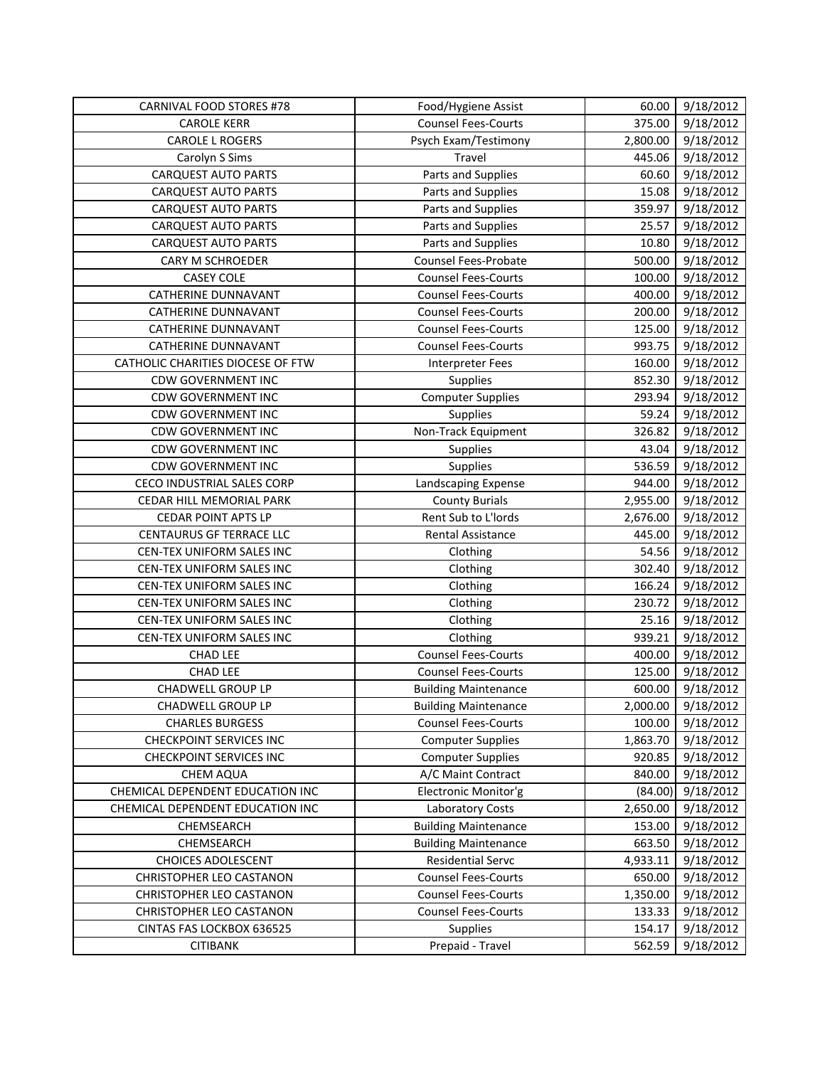| CARNIVAL FOOD STORES #78          | Food/Hygiene Assist         | 60.00    | 9/18/2012 |
|-----------------------------------|-----------------------------|----------|-----------|
| <b>CAROLE KERR</b>                | <b>Counsel Fees-Courts</b>  | 375.00   | 9/18/2012 |
| <b>CAROLE L ROGERS</b>            | Psych Exam/Testimony        | 2,800.00 | 9/18/2012 |
| Carolyn S Sims                    | Travel                      | 445.06   | 9/18/2012 |
| <b>CARQUEST AUTO PARTS</b>        | Parts and Supplies          | 60.60    | 9/18/2012 |
| <b>CARQUEST AUTO PARTS</b>        | Parts and Supplies          | 15.08    | 9/18/2012 |
| <b>CARQUEST AUTO PARTS</b>        | Parts and Supplies          | 359.97   | 9/18/2012 |
| <b>CARQUEST AUTO PARTS</b>        | Parts and Supplies          | 25.57    | 9/18/2012 |
| <b>CARQUEST AUTO PARTS</b>        | Parts and Supplies          | 10.80    | 9/18/2012 |
| CARY M SCHROEDER                  | Counsel Fees-Probate        | 500.00   | 9/18/2012 |
| <b>CASEY COLE</b>                 | <b>Counsel Fees-Courts</b>  | 100.00   | 9/18/2012 |
| CATHERINE DUNNAVANT               | <b>Counsel Fees-Courts</b>  | 400.00   | 9/18/2012 |
| CATHERINE DUNNAVANT               | <b>Counsel Fees-Courts</b>  | 200.00   | 9/18/2012 |
| <b>CATHERINE DUNNAVANT</b>        | <b>Counsel Fees-Courts</b>  | 125.00   | 9/18/2012 |
| <b>CATHERINE DUNNAVANT</b>        | <b>Counsel Fees-Courts</b>  | 993.75   | 9/18/2012 |
| CATHOLIC CHARITIES DIOCESE OF FTW | <b>Interpreter Fees</b>     | 160.00   | 9/18/2012 |
| <b>CDW GOVERNMENT INC</b>         | Supplies                    | 852.30   | 9/18/2012 |
| <b>CDW GOVERNMENT INC</b>         | <b>Computer Supplies</b>    | 293.94   | 9/18/2012 |
| <b>CDW GOVERNMENT INC</b>         | Supplies                    | 59.24    | 9/18/2012 |
| <b>CDW GOVERNMENT INC</b>         | Non-Track Equipment         | 326.82   | 9/18/2012 |
| <b>CDW GOVERNMENT INC</b>         | Supplies                    | 43.04    | 9/18/2012 |
| <b>CDW GOVERNMENT INC</b>         | Supplies                    | 536.59   | 9/18/2012 |
| <b>CECO INDUSTRIAL SALES CORP</b> | Landscaping Expense         | 944.00   | 9/18/2012 |
| CEDAR HILL MEMORIAL PARK          | <b>County Burials</b>       | 2,955.00 | 9/18/2012 |
| <b>CEDAR POINT APTS LP</b>        | Rent Sub to L'Iords         | 2,676.00 | 9/18/2012 |
| CENTAURUS GF TERRACE LLC          | Rental Assistance           | 445.00   | 9/18/2012 |
| CEN-TEX UNIFORM SALES INC         | Clothing                    | 54.56    | 9/18/2012 |
| CEN-TEX UNIFORM SALES INC         | Clothing                    | 302.40   | 9/18/2012 |
| CEN-TEX UNIFORM SALES INC         | Clothing                    | 166.24   | 9/18/2012 |
| CEN-TEX UNIFORM SALES INC         | Clothing                    | 230.72   | 9/18/2012 |
| CEN-TEX UNIFORM SALES INC         | Clothing                    | 25.16    | 9/18/2012 |
| CEN-TEX UNIFORM SALES INC         | Clothing                    | 939.21   | 9/18/2012 |
| <b>CHAD LEE</b>                   | <b>Counsel Fees-Courts</b>  | 400.00   | 9/18/2012 |
| <b>CHAD LEE</b>                   | <b>Counsel Fees-Courts</b>  | 125.00   | 9/18/2012 |
| CHADWELL GROUP LP                 | <b>Building Maintenance</b> | 600.00   | 9/18/2012 |
| CHADWELL GROUP LP                 | <b>Building Maintenance</b> | 2,000.00 | 9/18/2012 |
| <b>CHARLES BURGESS</b>            | <b>Counsel Fees-Courts</b>  | 100.00   | 9/18/2012 |
| <b>CHECKPOINT SERVICES INC</b>    | <b>Computer Supplies</b>    | 1,863.70 | 9/18/2012 |
| <b>CHECKPOINT SERVICES INC</b>    | <b>Computer Supplies</b>    | 920.85   | 9/18/2012 |
| CHEM AQUA                         | A/C Maint Contract          | 840.00   | 9/18/2012 |
| CHEMICAL DEPENDENT EDUCATION INC  | Electronic Monitor'g        | (84.00)  | 9/18/2012 |
| CHEMICAL DEPENDENT EDUCATION INC  | Laboratory Costs            | 2,650.00 | 9/18/2012 |
| CHEMSEARCH                        | <b>Building Maintenance</b> | 153.00   | 9/18/2012 |
| CHEMSEARCH                        | <b>Building Maintenance</b> | 663.50   | 9/18/2012 |
| <b>CHOICES ADOLESCENT</b>         | <b>Residential Servc</b>    | 4,933.11 | 9/18/2012 |
| CHRISTOPHER LEO CASTANON          | <b>Counsel Fees-Courts</b>  | 650.00   | 9/18/2012 |
| CHRISTOPHER LEO CASTANON          | <b>Counsel Fees-Courts</b>  | 1,350.00 | 9/18/2012 |
| CHRISTOPHER LEO CASTANON          | <b>Counsel Fees-Courts</b>  | 133.33   | 9/18/2012 |
| CINTAS FAS LOCKBOX 636525         | Supplies                    | 154.17   | 9/18/2012 |
| <b>CITIBANK</b>                   | Prepaid - Travel            | 562.59   | 9/18/2012 |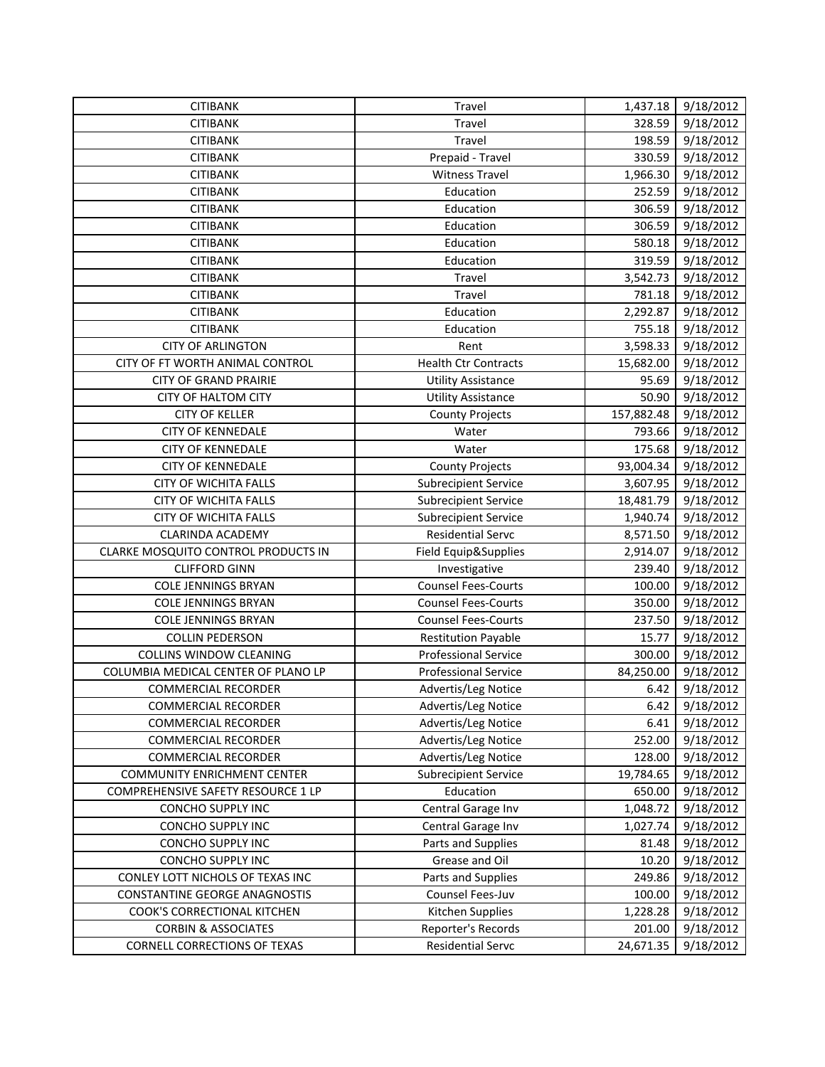| <b>CITIBANK</b>                     | Travel                      | 1,437.18   | 9/18/2012 |
|-------------------------------------|-----------------------------|------------|-----------|
| <b>CITIBANK</b>                     | Travel                      | 328.59     | 9/18/2012 |
| <b>CITIBANK</b>                     | Travel                      | 198.59     | 9/18/2012 |
| <b>CITIBANK</b>                     | Prepaid - Travel            | 330.59     | 9/18/2012 |
| <b>CITIBANK</b>                     | <b>Witness Travel</b>       | 1,966.30   | 9/18/2012 |
| <b>CITIBANK</b>                     | Education                   | 252.59     | 9/18/2012 |
| <b>CITIBANK</b>                     | Education                   | 306.59     | 9/18/2012 |
| <b>CITIBANK</b>                     | Education                   | 306.59     | 9/18/2012 |
| <b>CITIBANK</b>                     | Education                   | 580.18     | 9/18/2012 |
| <b>CITIBANK</b>                     | Education                   | 319.59     | 9/18/2012 |
| <b>CITIBANK</b>                     | Travel                      | 3,542.73   | 9/18/2012 |
| <b>CITIBANK</b>                     | Travel                      | 781.18     | 9/18/2012 |
| <b>CITIBANK</b>                     | Education                   | 2,292.87   | 9/18/2012 |
| <b>CITIBANK</b>                     | Education                   | 755.18     | 9/18/2012 |
| <b>CITY OF ARLINGTON</b>            | Rent                        | 3,598.33   | 9/18/2012 |
| CITY OF FT WORTH ANIMAL CONTROL     | <b>Health Ctr Contracts</b> | 15,682.00  | 9/18/2012 |
| <b>CITY OF GRAND PRAIRIE</b>        | <b>Utility Assistance</b>   | 95.69      | 9/18/2012 |
| <b>CITY OF HALTOM CITY</b>          | <b>Utility Assistance</b>   | 50.90      | 9/18/2012 |
| <b>CITY OF KELLER</b>               | <b>County Projects</b>      | 157,882.48 | 9/18/2012 |
| <b>CITY OF KENNEDALE</b>            | Water                       | 793.66     | 9/18/2012 |
| <b>CITY OF KENNEDALE</b>            | Water                       | 175.68     | 9/18/2012 |
| <b>CITY OF KENNEDALE</b>            | <b>County Projects</b>      | 93,004.34  | 9/18/2012 |
| <b>CITY OF WICHITA FALLS</b>        | <b>Subrecipient Service</b> | 3,607.95   | 9/18/2012 |
| <b>CITY OF WICHITA FALLS</b>        | <b>Subrecipient Service</b> | 18,481.79  | 9/18/2012 |
| CITY OF WICHITA FALLS               | <b>Subrecipient Service</b> | 1,940.74   | 9/18/2012 |
| <b>CLARINDA ACADEMY</b>             | <b>Residential Servc</b>    | 8,571.50   | 9/18/2012 |
| CLARKE MOSQUITO CONTROL PRODUCTS IN | Field Equip&Supplies        | 2,914.07   | 9/18/2012 |
| <b>CLIFFORD GINN</b>                | Investigative               | 239.40     | 9/18/2012 |
| <b>COLE JENNINGS BRYAN</b>          | <b>Counsel Fees-Courts</b>  | 100.00     | 9/18/2012 |
| <b>COLE JENNINGS BRYAN</b>          | <b>Counsel Fees-Courts</b>  | 350.00     | 9/18/2012 |
| <b>COLE JENNINGS BRYAN</b>          | <b>Counsel Fees-Courts</b>  | 237.50     | 9/18/2012 |
| <b>COLLIN PEDERSON</b>              | <b>Restitution Payable</b>  | 15.77      | 9/18/2012 |
| <b>COLLINS WINDOW CLEANING</b>      | <b>Professional Service</b> | 300.00     | 9/18/2012 |
| COLUMBIA MEDICAL CENTER OF PLANO LP | <b>Professional Service</b> | 84,250.00  | 9/18/2012 |
| <b>COMMERCIAL RECORDER</b>          | Advertis/Leg Notice         | 6.42       | 9/18/2012 |
| <b>COMMERCIAL RECORDER</b>          | Advertis/Leg Notice         | 6.42       | 9/18/2012 |
| <b>COMMERCIAL RECORDER</b>          | Advertis/Leg Notice         | 6.41       | 9/18/2012 |
| <b>COMMERCIAL RECORDER</b>          | Advertis/Leg Notice         | 252.00     | 9/18/2012 |
| <b>COMMERCIAL RECORDER</b>          | Advertis/Leg Notice         | 128.00     | 9/18/2012 |
| <b>COMMUNITY ENRICHMENT CENTER</b>  | <b>Subrecipient Service</b> | 19,784.65  | 9/18/2012 |
| COMPREHENSIVE SAFETY RESOURCE 1 LP  | Education                   | 650.00     | 9/18/2012 |
| CONCHO SUPPLY INC                   | Central Garage Inv          | 1,048.72   | 9/18/2012 |
| CONCHO SUPPLY INC                   | Central Garage Inv          | 1,027.74   | 9/18/2012 |
| CONCHO SUPPLY INC                   | Parts and Supplies          | 81.48      | 9/18/2012 |
| <b>CONCHO SUPPLY INC</b>            | Grease and Oil              | 10.20      | 9/18/2012 |
| CONLEY LOTT NICHOLS OF TEXAS INC    | Parts and Supplies          | 249.86     | 9/18/2012 |
| CONSTANTINE GEORGE ANAGNOSTIS       | Counsel Fees-Juv            | 100.00     | 9/18/2012 |
| COOK'S CORRECTIONAL KITCHEN         | Kitchen Supplies            | 1,228.28   | 9/18/2012 |
| <b>CORBIN &amp; ASSOCIATES</b>      | Reporter's Records          | 201.00     | 9/18/2012 |
| <b>CORNELL CORRECTIONS OF TEXAS</b> | <b>Residential Servc</b>    | 24,671.35  | 9/18/2012 |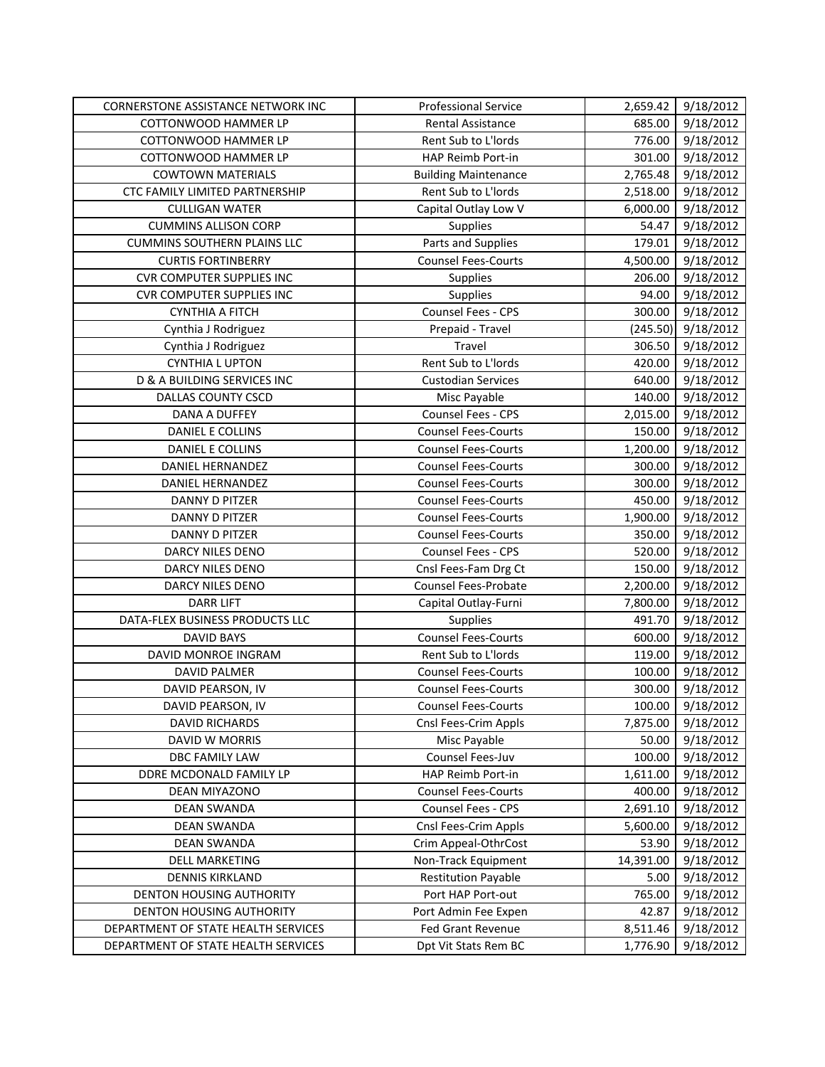| CORNERSTONE ASSISTANCE NETWORK INC  | <b>Professional Service</b> | 2,659.42  | 9/18/2012 |
|-------------------------------------|-----------------------------|-----------|-----------|
| COTTONWOOD HAMMER LP                | <b>Rental Assistance</b>    | 685.00    | 9/18/2012 |
| COTTONWOOD HAMMER LP                | Rent Sub to L'Iords         | 776.00    | 9/18/2012 |
| COTTONWOOD HAMMER LP                | HAP Reimb Port-in           | 301.00    | 9/18/2012 |
| <b>COWTOWN MATERIALS</b>            | <b>Building Maintenance</b> | 2,765.48  | 9/18/2012 |
| CTC FAMILY LIMITED PARTNERSHIP      | Rent Sub to L'Iords         | 2,518.00  | 9/18/2012 |
| <b>CULLIGAN WATER</b>               | Capital Outlay Low V        | 6,000.00  | 9/18/2012 |
| <b>CUMMINS ALLISON CORP</b>         | Supplies                    | 54.47     | 9/18/2012 |
| <b>CUMMINS SOUTHERN PLAINS LLC</b>  | Parts and Supplies          | 179.01    | 9/18/2012 |
| <b>CURTIS FORTINBERRY</b>           | <b>Counsel Fees-Courts</b>  | 4,500.00  | 9/18/2012 |
| <b>CVR COMPUTER SUPPLIES INC</b>    | Supplies                    | 206.00    | 9/18/2012 |
| <b>CVR COMPUTER SUPPLIES INC</b>    | Supplies                    | 94.00     | 9/18/2012 |
| <b>CYNTHIA A FITCH</b>              | Counsel Fees - CPS          | 300.00    | 9/18/2012 |
| Cynthia J Rodriguez                 | Prepaid - Travel            | (245.50)  | 9/18/2012 |
| Cynthia J Rodriguez                 | Travel                      | 306.50    | 9/18/2012 |
| <b>CYNTHIA L UPTON</b>              | Rent Sub to L'Iords         | 420.00    | 9/18/2012 |
| D & A BUILDING SERVICES INC         | <b>Custodian Services</b>   | 640.00    | 9/18/2012 |
| DALLAS COUNTY CSCD                  | Misc Payable                | 140.00    | 9/18/2012 |
| DANA A DUFFEY                       | Counsel Fees - CPS          | 2,015.00  | 9/18/2012 |
| DANIEL E COLLINS                    | <b>Counsel Fees-Courts</b>  | 150.00    | 9/18/2012 |
| DANIEL E COLLINS                    | <b>Counsel Fees-Courts</b>  | 1,200.00  | 9/18/2012 |
| DANIEL HERNANDEZ                    | <b>Counsel Fees-Courts</b>  | 300.00    | 9/18/2012 |
| <b>DANIEL HERNANDEZ</b>             | <b>Counsel Fees-Courts</b>  | 300.00    | 9/18/2012 |
| DANNY D PITZER                      | <b>Counsel Fees-Courts</b>  | 450.00    | 9/18/2012 |
| <b>DANNY D PITZER</b>               | <b>Counsel Fees-Courts</b>  | 1,900.00  | 9/18/2012 |
| DANNY D PITZER                      | <b>Counsel Fees-Courts</b>  | 350.00    | 9/18/2012 |
| DARCY NILES DENO                    | Counsel Fees - CPS          | 520.00    | 9/18/2012 |
| DARCY NILES DENO                    | Cnsl Fees-Fam Drg Ct        | 150.00    | 9/18/2012 |
| DARCY NILES DENO                    | <b>Counsel Fees-Probate</b> | 2,200.00  | 9/18/2012 |
| <b>DARR LIFT</b>                    | Capital Outlay-Furni        | 7,800.00  | 9/18/2012 |
| DATA-FLEX BUSINESS PRODUCTS LLC     | Supplies                    | 491.70    | 9/18/2012 |
| <b>DAVID BAYS</b>                   | <b>Counsel Fees-Courts</b>  | 600.00    | 9/18/2012 |
| DAVID MONROE INGRAM                 | Rent Sub to L'Iords         | 119.00    | 9/18/2012 |
| <b>DAVID PALMER</b>                 | <b>Counsel Fees-Courts</b>  | 100.00    | 9/18/2012 |
| DAVID PEARSON, IV                   | <b>Counsel Fees-Courts</b>  | 300.00    | 9/18/2012 |
| DAVID PEARSON, IV                   | <b>Counsel Fees-Courts</b>  | 100.00    | 9/18/2012 |
| <b>DAVID RICHARDS</b>               | Cnsl Fees-Crim Appls        | 7,875.00  | 9/18/2012 |
| DAVID W MORRIS                      | Misc Payable                | 50.00     | 9/18/2012 |
| DBC FAMILY LAW                      | Counsel Fees-Juv            | 100.00    | 9/18/2012 |
| DDRE MCDONALD FAMILY LP             | HAP Reimb Port-in           | 1,611.00  | 9/18/2012 |
| DEAN MIYAZONO                       | <b>Counsel Fees-Courts</b>  | 400.00    | 9/18/2012 |
| <b>DEAN SWANDA</b>                  | Counsel Fees - CPS          | 2,691.10  | 9/18/2012 |
| <b>DEAN SWANDA</b>                  | Cnsl Fees-Crim Appls        | 5,600.00  | 9/18/2012 |
| <b>DEAN SWANDA</b>                  | Crim Appeal-OthrCost        | 53.90     | 9/18/2012 |
| <b>DELL MARKETING</b>               | Non-Track Equipment         | 14,391.00 | 9/18/2012 |
| <b>DENNIS KIRKLAND</b>              | <b>Restitution Payable</b>  | 5.00      | 9/18/2012 |
| DENTON HOUSING AUTHORITY            | Port HAP Port-out           | 765.00    | 9/18/2012 |
| DENTON HOUSING AUTHORITY            | Port Admin Fee Expen        | 42.87     | 9/18/2012 |
| DEPARTMENT OF STATE HEALTH SERVICES | <b>Fed Grant Revenue</b>    | 8,511.46  | 9/18/2012 |
| DEPARTMENT OF STATE HEALTH SERVICES | Dpt Vit Stats Rem BC        | 1,776.90  | 9/18/2012 |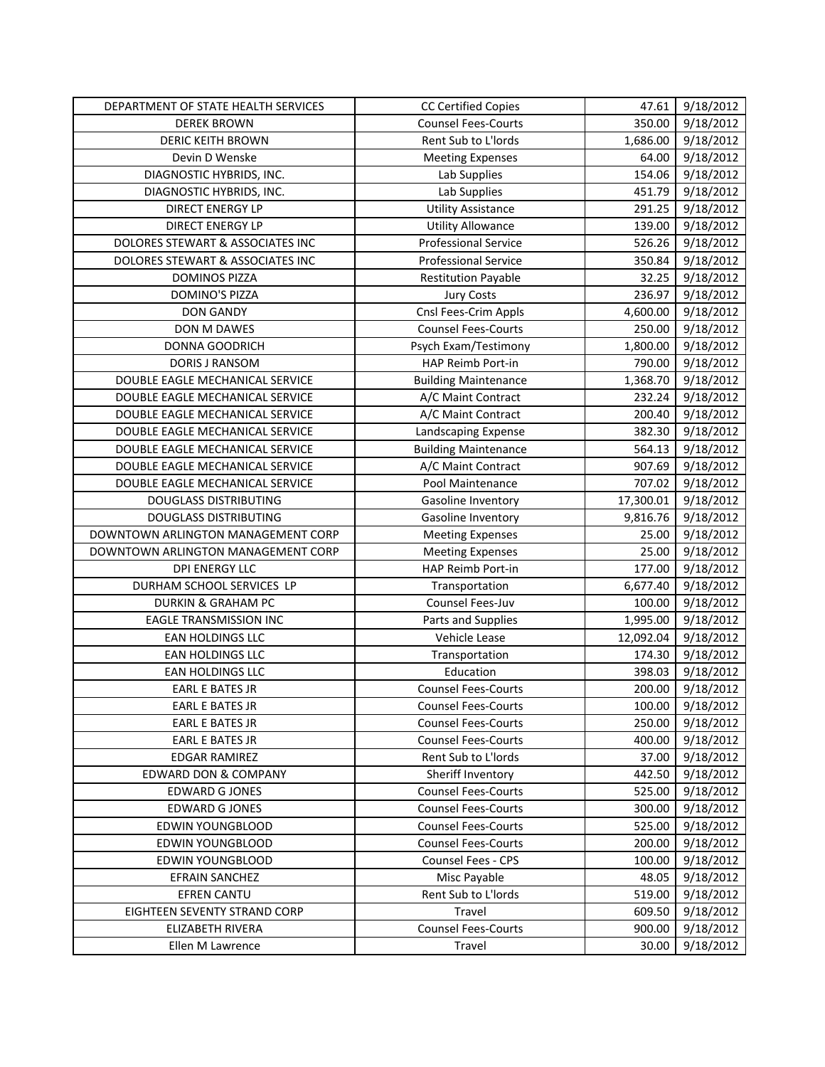| DEPARTMENT OF STATE HEALTH SERVICES | <b>CC Certified Copies</b>  | 47.61     | 9/18/2012              |
|-------------------------------------|-----------------------------|-----------|------------------------|
| <b>DEREK BROWN</b>                  | <b>Counsel Fees-Courts</b>  | 350.00    | 9/18/2012              |
| <b>DERIC KEITH BROWN</b>            | Rent Sub to L'Iords         | 1,686.00  | 9/18/2012              |
| Devin D Wenske                      | <b>Meeting Expenses</b>     | 64.00     | 9/18/2012              |
| DIAGNOSTIC HYBRIDS, INC.            | Lab Supplies                | 154.06    | 9/18/2012              |
| DIAGNOSTIC HYBRIDS, INC.            | Lab Supplies                | 451.79    | 9/18/2012              |
| <b>DIRECT ENERGY LP</b>             | <b>Utility Assistance</b>   | 291.25    | 9/18/2012              |
| <b>DIRECT ENERGY LP</b>             | <b>Utility Allowance</b>    | 139.00    | 9/18/2012              |
| DOLORES STEWART & ASSOCIATES INC    | <b>Professional Service</b> | 526.26    | 9/18/2012              |
| DOLORES STEWART & ASSOCIATES INC    | <b>Professional Service</b> | 350.84    | 9/18/2012              |
| <b>DOMINOS PIZZA</b>                | <b>Restitution Payable</b>  | 32.25     | 9/18/2012              |
| DOMINO'S PIZZA                      | <b>Jury Costs</b>           | 236.97    | 9/18/2012              |
| <b>DON GANDY</b>                    | Cnsl Fees-Crim Appls        | 4,600.00  | 9/18/2012              |
| DON M DAWES                         | <b>Counsel Fees-Courts</b>  | 250.00    | 9/18/2012              |
| DONNA GOODRICH                      | Psych Exam/Testimony        | 1,800.00  | 9/18/2012              |
| DORIS J RANSOM                      | HAP Reimb Port-in           | 790.00    | 9/18/2012              |
| DOUBLE EAGLE MECHANICAL SERVICE     | <b>Building Maintenance</b> | 1,368.70  | 9/18/2012              |
| DOUBLE EAGLE MECHANICAL SERVICE     | A/C Maint Contract          | 232.24    | 9/18/2012              |
| DOUBLE EAGLE MECHANICAL SERVICE     | A/C Maint Contract          | 200.40    | 9/18/2012              |
| DOUBLE EAGLE MECHANICAL SERVICE     | Landscaping Expense         | 382.30    | 9/18/2012              |
| DOUBLE EAGLE MECHANICAL SERVICE     | <b>Building Maintenance</b> | 564.13    | 9/18/2012              |
| DOUBLE EAGLE MECHANICAL SERVICE     | A/C Maint Contract          | 907.69    | 9/18/2012              |
| DOUBLE EAGLE MECHANICAL SERVICE     | Pool Maintenance            | 707.02    | 9/18/2012              |
| <b>DOUGLASS DISTRIBUTING</b>        | Gasoline Inventory          | 17,300.01 | 9/18/2012              |
| <b>DOUGLASS DISTRIBUTING</b>        | Gasoline Inventory          | 9,816.76  | 9/18/2012              |
| DOWNTOWN ARLINGTON MANAGEMENT CORP  | <b>Meeting Expenses</b>     | 25.00     | 9/18/2012              |
| DOWNTOWN ARLINGTON MANAGEMENT CORP  | <b>Meeting Expenses</b>     | 25.00     | 9/18/2012              |
| <b>DPI ENERGY LLC</b>               | HAP Reimb Port-in           | 177.00    | 9/18/2012              |
| DURHAM SCHOOL SERVICES LP           | Transportation              | 6,677.40  | $\overline{9}/18/2012$ |
| <b>DURKIN &amp; GRAHAM PC</b>       | Counsel Fees-Juv            | 100.00    | 9/18/2012              |
| <b>EAGLE TRANSMISSION INC</b>       | Parts and Supplies          | 1,995.00  | 9/18/2012              |
| <b>EAN HOLDINGS LLC</b>             | Vehicle Lease               | 12,092.04 | 9/18/2012              |
| EAN HOLDINGS LLC                    | Transportation              | 174.30    | 9/18/2012              |
| EAN HOLDINGS LLC                    | Education                   | 398.03    | 9/18/2012              |
| EARL E BATES JR                     | <b>Counsel Fees-Courts</b>  | 200.00    | 9/18/2012              |
| EARL E BATES JR                     | <b>Counsel Fees-Courts</b>  | 100.00    | 9/18/2012              |
| <b>EARL E BATES JR</b>              | <b>Counsel Fees-Courts</b>  | 250.00    | 9/18/2012              |
| EARL E BATES JR                     | <b>Counsel Fees-Courts</b>  | 400.00    | 9/18/2012              |
| <b>EDGAR RAMIREZ</b>                | Rent Sub to L'Iords         | 37.00     | 9/18/2012              |
| <b>EDWARD DON &amp; COMPANY</b>     |                             |           |                        |
|                                     | Sheriff Inventory           | 442.50    | 9/18/2012              |
| <b>EDWARD G JONES</b>               | <b>Counsel Fees-Courts</b>  | 525.00    | 9/18/2012              |
| <b>EDWARD G JONES</b>               | <b>Counsel Fees-Courts</b>  | 300.00    | 9/18/2012              |
| <b>EDWIN YOUNGBLOOD</b>             | <b>Counsel Fees-Courts</b>  | 525.00    | 9/18/2012              |
| <b>EDWIN YOUNGBLOOD</b>             | <b>Counsel Fees-Courts</b>  | 200.00    | 9/18/2012              |
| <b>EDWIN YOUNGBLOOD</b>             | Counsel Fees - CPS          | 100.00    | 9/18/2012              |
| <b>EFRAIN SANCHEZ</b>               | Misc Payable                | 48.05     | 9/18/2012              |
| EFREN CANTU                         | Rent Sub to L'Iords         | 519.00    | 9/18/2012              |
| EIGHTEEN SEVENTY STRAND CORP        | Travel                      | 609.50    | 9/18/2012              |
| ELIZABETH RIVERA                    | <b>Counsel Fees-Courts</b>  | 900.00    | 9/18/2012<br>9/18/2012 |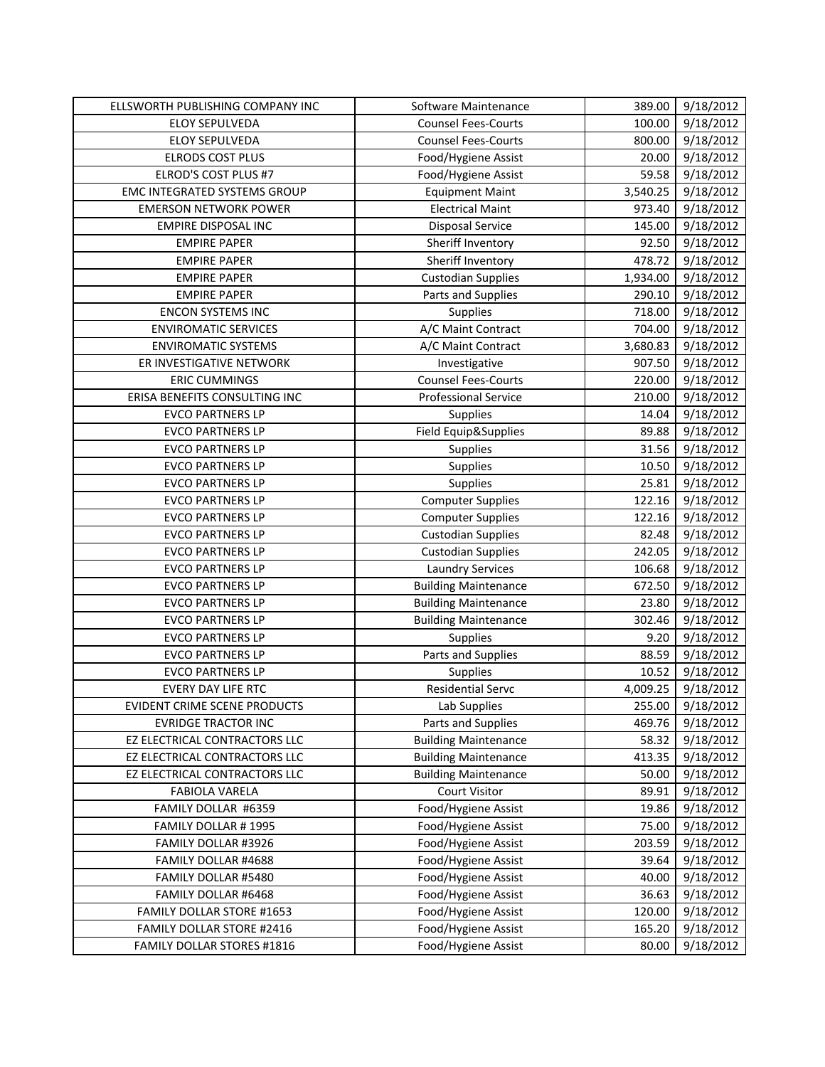| ELLSWORTH PUBLISHING COMPANY INC    | Software Maintenance        | 389.00   | 9/18/2012 |
|-------------------------------------|-----------------------------|----------|-----------|
| ELOY SEPULVEDA                      | <b>Counsel Fees-Courts</b>  | 100.00   | 9/18/2012 |
| ELOY SEPULVEDA                      | <b>Counsel Fees-Courts</b>  | 800.00   | 9/18/2012 |
| <b>ELRODS COST PLUS</b>             | Food/Hygiene Assist         | 20.00    | 9/18/2012 |
| ELROD'S COST PLUS #7                | Food/Hygiene Assist         | 59.58    | 9/18/2012 |
| <b>EMC INTEGRATED SYSTEMS GROUP</b> | <b>Equipment Maint</b>      | 3,540.25 | 9/18/2012 |
| <b>EMERSON NETWORK POWER</b>        | <b>Electrical Maint</b>     | 973.40   | 9/18/2012 |
| <b>EMPIRE DISPOSAL INC</b>          | Disposal Service            | 145.00   | 9/18/2012 |
| <b>EMPIRE PAPER</b>                 | Sheriff Inventory           | 92.50    | 9/18/2012 |
| <b>EMPIRE PAPER</b>                 | Sheriff Inventory           | 478.72   | 9/18/2012 |
| <b>EMPIRE PAPER</b>                 | <b>Custodian Supplies</b>   | 1,934.00 | 9/18/2012 |
| <b>EMPIRE PAPER</b>                 | Parts and Supplies          | 290.10   | 9/18/2012 |
| <b>ENCON SYSTEMS INC</b>            | Supplies                    | 718.00   | 9/18/2012 |
| <b>ENVIROMATIC SERVICES</b>         | A/C Maint Contract          | 704.00   | 9/18/2012 |
| <b>ENVIROMATIC SYSTEMS</b>          | A/C Maint Contract          | 3,680.83 | 9/18/2012 |
| ER INVESTIGATIVE NETWORK            | Investigative               | 907.50   | 9/18/2012 |
| <b>ERIC CUMMINGS</b>                | <b>Counsel Fees-Courts</b>  | 220.00   | 9/18/2012 |
| ERISA BENEFITS CONSULTING INC       | <b>Professional Service</b> | 210.00   | 9/18/2012 |
| <b>EVCO PARTNERS LP</b>             | Supplies                    | 14.04    | 9/18/2012 |
| <b>EVCO PARTNERS LP</b>             | Field Equip&Supplies        | 89.88    | 9/18/2012 |
| <b>EVCO PARTNERS LP</b>             | Supplies                    | 31.56    | 9/18/2012 |
| <b>EVCO PARTNERS LP</b>             | Supplies                    | 10.50    | 9/18/2012 |
| <b>EVCO PARTNERS LP</b>             | Supplies                    | 25.81    | 9/18/2012 |
| <b>EVCO PARTNERS LP</b>             | <b>Computer Supplies</b>    | 122.16   | 9/18/2012 |
| <b>EVCO PARTNERS LP</b>             | <b>Computer Supplies</b>    | 122.16   | 9/18/2012 |
| <b>EVCO PARTNERS LP</b>             | <b>Custodian Supplies</b>   | 82.48    | 9/18/2012 |
| <b>EVCO PARTNERS LP</b>             | <b>Custodian Supplies</b>   | 242.05   | 9/18/2012 |
| <b>EVCO PARTNERS LP</b>             | <b>Laundry Services</b>     | 106.68   | 9/18/2012 |
| <b>EVCO PARTNERS LP</b>             | <b>Building Maintenance</b> | 672.50   | 9/18/2012 |
| <b>EVCO PARTNERS LP</b>             | <b>Building Maintenance</b> | 23.80    | 9/18/2012 |
| <b>EVCO PARTNERS LP</b>             | <b>Building Maintenance</b> | 302.46   | 9/18/2012 |
| <b>EVCO PARTNERS LP</b>             | Supplies                    | 9.20     | 9/18/2012 |
| <b>EVCO PARTNERS LP</b>             | Parts and Supplies          | 88.59    | 9/18/2012 |
| <b>EVCO PARTNERS LP</b>             | Supplies                    | 10.52    | 9/18/2012 |
| <b>EVERY DAY LIFE RTC</b>           | <b>Residential Servc</b>    | 4,009.25 | 9/18/2012 |
| EVIDENT CRIME SCENE PRODUCTS        | Lab Supplies                | 255.00   | 9/18/2012 |
| <b>EVRIDGE TRACTOR INC</b>          | Parts and Supplies          | 469.76   | 9/18/2012 |
| EZ ELECTRICAL CONTRACTORS LLC       | <b>Building Maintenance</b> | 58.32    | 9/18/2012 |
| EZ ELECTRICAL CONTRACTORS LLC       | <b>Building Maintenance</b> | 413.35   | 9/18/2012 |
| EZ ELECTRICAL CONTRACTORS LLC       | <b>Building Maintenance</b> | 50.00    | 9/18/2012 |
| <b>FABIOLA VARELA</b>               | <b>Court Visitor</b>        | 89.91    | 9/18/2012 |
| FAMILY DOLLAR #6359                 | Food/Hygiene Assist         | 19.86    | 9/18/2012 |
| FAMILY DOLLAR #1995                 | Food/Hygiene Assist         | 75.00    | 9/18/2012 |
| FAMILY DOLLAR #3926                 | Food/Hygiene Assist         | 203.59   | 9/18/2012 |
| FAMILY DOLLAR #4688                 | Food/Hygiene Assist         | 39.64    | 9/18/2012 |
| FAMILY DOLLAR #5480                 | Food/Hygiene Assist         | 40.00    | 9/18/2012 |
| FAMILY DOLLAR #6468                 | Food/Hygiene Assist         | 36.63    | 9/18/2012 |
| FAMILY DOLLAR STORE #1653           | Food/Hygiene Assist         | 120.00   | 9/18/2012 |
| FAMILY DOLLAR STORE #2416           | Food/Hygiene Assist         | 165.20   | 9/18/2012 |
| <b>FAMILY DOLLAR STORES #1816</b>   | Food/Hygiene Assist         | 80.00    | 9/18/2012 |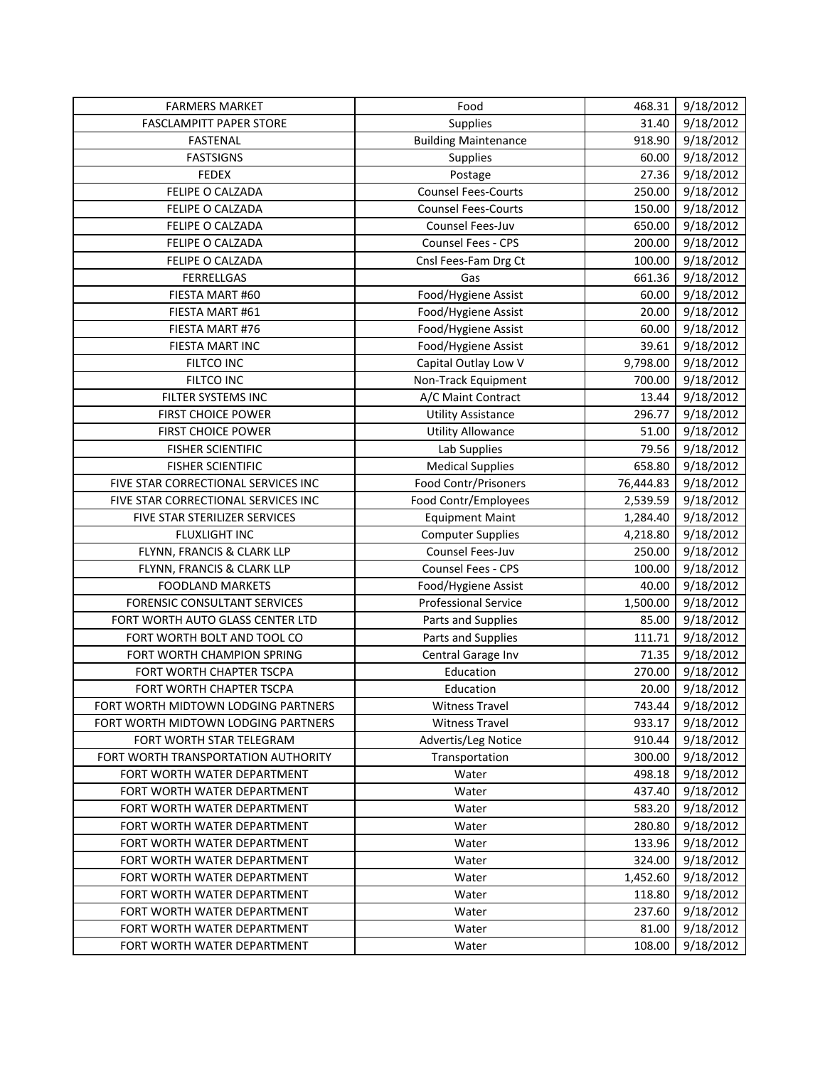| <b>FARMERS MARKET</b>                                      | Food                        | 468.31    | 9/18/2012 |
|------------------------------------------------------------|-----------------------------|-----------|-----------|
| <b>FASCLAMPITT PAPER STORE</b>                             | Supplies                    | 31.40     | 9/18/2012 |
| FASTENAL                                                   | <b>Building Maintenance</b> | 918.90    | 9/18/2012 |
| <b>FASTSIGNS</b>                                           | Supplies                    | 60.00     | 9/18/2012 |
| <b>FEDEX</b>                                               | Postage                     | 27.36     | 9/18/2012 |
| FELIPE O CALZADA                                           | <b>Counsel Fees-Courts</b>  | 250.00    | 9/18/2012 |
| FELIPE O CALZADA                                           | <b>Counsel Fees-Courts</b>  | 150.00    | 9/18/2012 |
| FELIPE O CALZADA                                           | Counsel Fees-Juv            | 650.00    | 9/18/2012 |
| FELIPE O CALZADA                                           | Counsel Fees - CPS          | 200.00    | 9/18/2012 |
| FELIPE O CALZADA                                           | Cnsl Fees-Fam Drg Ct        | 100.00    | 9/18/2012 |
| <b>FERRELLGAS</b>                                          | Gas                         | 661.36    | 9/18/2012 |
| FIESTA MART #60                                            | Food/Hygiene Assist         | 60.00     | 9/18/2012 |
| FIESTA MART #61                                            | Food/Hygiene Assist         | 20.00     | 9/18/2012 |
| FIESTA MART #76                                            | Food/Hygiene Assist         | 60.00     | 9/18/2012 |
| FIESTA MART INC                                            | Food/Hygiene Assist         | 39.61     | 9/18/2012 |
| <b>FILTCO INC</b>                                          | Capital Outlay Low V        | 9,798.00  | 9/18/2012 |
| FILTCO INC                                                 | Non-Track Equipment         | 700.00    | 9/18/2012 |
| FILTER SYSTEMS INC                                         | A/C Maint Contract          | 13.44     | 9/18/2012 |
| <b>FIRST CHOICE POWER</b>                                  | <b>Utility Assistance</b>   | 296.77    | 9/18/2012 |
| <b>FIRST CHOICE POWER</b>                                  | <b>Utility Allowance</b>    | 51.00     | 9/18/2012 |
| <b>FISHER SCIENTIFIC</b>                                   | Lab Supplies                | 79.56     | 9/18/2012 |
| <b>FISHER SCIENTIFIC</b>                                   | <b>Medical Supplies</b>     | 658.80    | 9/18/2012 |
| FIVE STAR CORRECTIONAL SERVICES INC                        | Food Contr/Prisoners        | 76,444.83 | 9/18/2012 |
| FIVE STAR CORRECTIONAL SERVICES INC                        | Food Contr/Employees        | 2,539.59  | 9/18/2012 |
| FIVE STAR STERILIZER SERVICES                              | <b>Equipment Maint</b>      | 1,284.40  | 9/18/2012 |
| FLUXLIGHT INC                                              | <b>Computer Supplies</b>    | 4,218.80  | 9/18/2012 |
| FLYNN, FRANCIS & CLARK LLP                                 | Counsel Fees-Juv            | 250.00    | 9/18/2012 |
| FLYNN, FRANCIS & CLARK LLP                                 | Counsel Fees - CPS          | 100.00    | 9/18/2012 |
| <b>FOODLAND MARKETS</b>                                    | Food/Hygiene Assist         | 40.00     | 9/18/2012 |
| <b>FORENSIC CONSULTANT SERVICES</b>                        | <b>Professional Service</b> | 1,500.00  | 9/18/2012 |
| FORT WORTH AUTO GLASS CENTER LTD                           | Parts and Supplies          | 85.00     | 9/18/2012 |
| FORT WORTH BOLT AND TOOL CO                                | Parts and Supplies          | 111.71    | 9/18/2012 |
| FORT WORTH CHAMPION SPRING                                 | Central Garage Inv          | 71.35     | 9/18/2012 |
| FORT WORTH CHAPTER TSCPA                                   | Education                   | 270.00    | 9/18/2012 |
| FORT WORTH CHAPTER TSCPA                                   | Education                   | 20.00     | 9/18/2012 |
| FORT WORTH MIDTOWN LODGING PARTNERS                        | <b>Witness Travel</b>       | 743.44    | 9/18/2012 |
| FORT WORTH MIDTOWN LODGING PARTNERS                        | <b>Witness Travel</b>       | 933.17    | 9/18/2012 |
| FORT WORTH STAR TELEGRAM                                   | Advertis/Leg Notice         | 910.44    | 9/18/2012 |
| FORT WORTH TRANSPORTATION AUTHORITY                        | Transportation              | 300.00    | 9/18/2012 |
| FORT WORTH WATER DEPARTMENT                                | Water                       | 498.18    | 9/18/2012 |
| FORT WORTH WATER DEPARTMENT                                | Water                       | 437.40    | 9/18/2012 |
| FORT WORTH WATER DEPARTMENT                                | Water                       | 583.20    | 9/18/2012 |
| FORT WORTH WATER DEPARTMENT                                | Water                       | 280.80    | 9/18/2012 |
| FORT WORTH WATER DEPARTMENT                                | Water                       | 133.96    | 9/18/2012 |
| FORT WORTH WATER DEPARTMENT                                | Water                       | 324.00    | 9/18/2012 |
| FORT WORTH WATER DEPARTMENT                                | Water                       | 1,452.60  | 9/18/2012 |
| FORT WORTH WATER DEPARTMENT                                | Water                       | 118.80    | 9/18/2012 |
| FORT WORTH WATER DEPARTMENT                                | Water                       | 237.60    | 9/18/2012 |
| FORT WORTH WATER DEPARTMENT<br>FORT WORTH WATER DEPARTMENT | Water                       | 81.00     | 9/18/2012 |
|                                                            | Water                       | 108.00    | 9/18/2012 |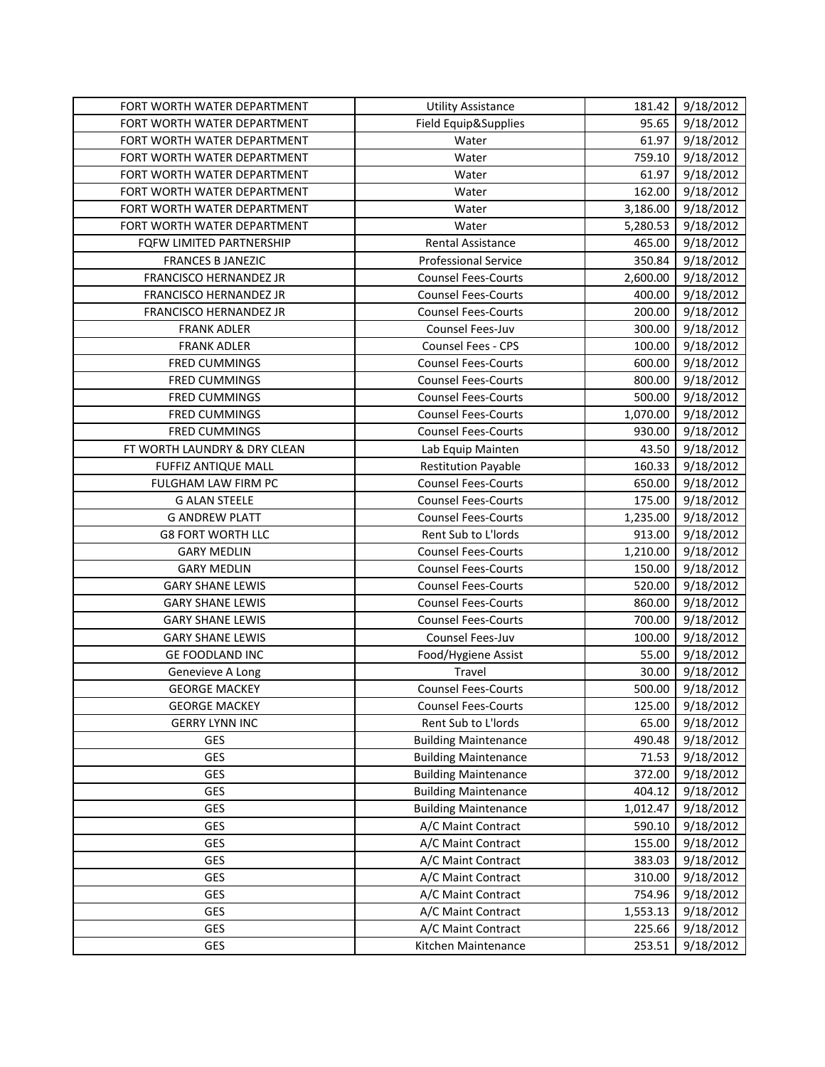| FORT WORTH WATER DEPARTMENT   | <b>Utility Assistance</b>   | 181.42   | 9/18/2012 |
|-------------------------------|-----------------------------|----------|-----------|
| FORT WORTH WATER DEPARTMENT   | Field Equip&Supplies        | 95.65    | 9/18/2012 |
| FORT WORTH WATER DEPARTMENT   | Water                       | 61.97    | 9/18/2012 |
| FORT WORTH WATER DEPARTMENT   | Water                       | 759.10   | 9/18/2012 |
| FORT WORTH WATER DEPARTMENT   | Water                       | 61.97    | 9/18/2012 |
| FORT WORTH WATER DEPARTMENT   | Water                       | 162.00   | 9/18/2012 |
| FORT WORTH WATER DEPARTMENT   | Water                       | 3,186.00 | 9/18/2012 |
| FORT WORTH WATER DEPARTMENT   | Water                       | 5,280.53 | 9/18/2012 |
| FQFW LIMITED PARTNERSHIP      | <b>Rental Assistance</b>    | 465.00   | 9/18/2012 |
| <b>FRANCES B JANEZIC</b>      | <b>Professional Service</b> | 350.84   | 9/18/2012 |
| <b>FRANCISCO HERNANDEZ JR</b> | <b>Counsel Fees-Courts</b>  | 2,600.00 | 9/18/2012 |
| FRANCISCO HERNANDEZ JR        | <b>Counsel Fees-Courts</b>  | 400.00   | 9/18/2012 |
| FRANCISCO HERNANDEZ JR        | <b>Counsel Fees-Courts</b>  | 200.00   | 9/18/2012 |
| <b>FRANK ADLER</b>            | Counsel Fees-Juv            | 300.00   | 9/18/2012 |
| <b>FRANK ADLER</b>            | Counsel Fees - CPS          | 100.00   | 9/18/2012 |
| FRED CUMMINGS                 | <b>Counsel Fees-Courts</b>  | 600.00   | 9/18/2012 |
| <b>FRED CUMMINGS</b>          | <b>Counsel Fees-Courts</b>  | 800.00   | 9/18/2012 |
| <b>FRED CUMMINGS</b>          | <b>Counsel Fees-Courts</b>  | 500.00   | 9/18/2012 |
| FRED CUMMINGS                 | <b>Counsel Fees-Courts</b>  | 1,070.00 | 9/18/2012 |
| <b>FRED CUMMINGS</b>          | <b>Counsel Fees-Courts</b>  | 930.00   | 9/18/2012 |
| FT WORTH LAUNDRY & DRY CLEAN  | Lab Equip Mainten           | 43.50    | 9/18/2012 |
| <b>FUFFIZ ANTIQUE MALL</b>    | <b>Restitution Payable</b>  | 160.33   | 9/18/2012 |
| FULGHAM LAW FIRM PC           | <b>Counsel Fees-Courts</b>  | 650.00   | 9/18/2012 |
| <b>G ALAN STEELE</b>          | <b>Counsel Fees-Courts</b>  | 175.00   | 9/18/2012 |
| <b>G ANDREW PLATT</b>         | <b>Counsel Fees-Courts</b>  | 1,235.00 | 9/18/2012 |
| <b>G8 FORT WORTH LLC</b>      | Rent Sub to L'Iords         | 913.00   | 9/18/2012 |
| <b>GARY MEDLIN</b>            | <b>Counsel Fees-Courts</b>  | 1,210.00 | 9/18/2012 |
| <b>GARY MEDLIN</b>            | <b>Counsel Fees-Courts</b>  | 150.00   | 9/18/2012 |
| <b>GARY SHANE LEWIS</b>       | <b>Counsel Fees-Courts</b>  | 520.00   | 9/18/2012 |
| <b>GARY SHANE LEWIS</b>       | <b>Counsel Fees-Courts</b>  | 860.00   | 9/18/2012 |
| <b>GARY SHANE LEWIS</b>       | <b>Counsel Fees-Courts</b>  | 700.00   | 9/18/2012 |
| <b>GARY SHANE LEWIS</b>       | Counsel Fees-Juv            | 100.00   | 9/18/2012 |
| <b>GE FOODLAND INC</b>        | Food/Hygiene Assist         | 55.00    | 9/18/2012 |
| Genevieve A Long              | Travel                      | 30.00    | 9/18/2012 |
| <b>GEORGE MACKEY</b>          | <b>Counsel Fees-Courts</b>  | 500.00   | 9/18/2012 |
| <b>GEORGE MACKEY</b>          | <b>Counsel Fees-Courts</b>  | 125.00   | 9/18/2012 |
| <b>GERRY LYNN INC</b>         | Rent Sub to L'Iords         | 65.00    | 9/18/2012 |
| GES                           | <b>Building Maintenance</b> | 490.48   | 9/18/2012 |
| GES                           | <b>Building Maintenance</b> | 71.53    | 9/18/2012 |
| GES                           | <b>Building Maintenance</b> | 372.00   | 9/18/2012 |
| GES                           | <b>Building Maintenance</b> | 404.12   | 9/18/2012 |
| GES                           | <b>Building Maintenance</b> | 1,012.47 | 9/18/2012 |
| GES                           | A/C Maint Contract          | 590.10   | 9/18/2012 |
| GES                           | A/C Maint Contract          | 155.00   | 9/18/2012 |
| GES                           | A/C Maint Contract          | 383.03   | 9/18/2012 |
| GES                           | A/C Maint Contract          | 310.00   | 9/18/2012 |
| GES                           | A/C Maint Contract          | 754.96   | 9/18/2012 |
| GES                           | A/C Maint Contract          | 1,553.13 | 9/18/2012 |
| GES                           | A/C Maint Contract          | 225.66   | 9/18/2012 |
| GES                           | Kitchen Maintenance         | 253.51   | 9/18/2012 |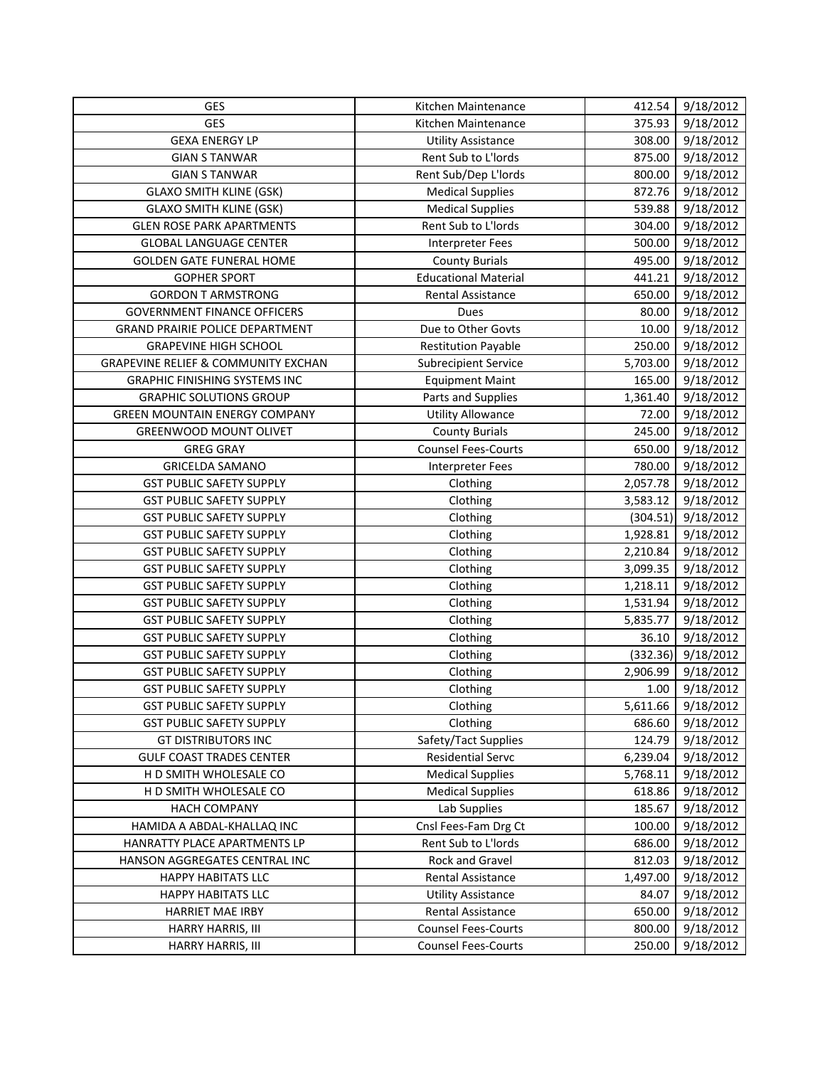| GES                                            | Kitchen Maintenance         | 412.54   | 9/18/2012 |
|------------------------------------------------|-----------------------------|----------|-----------|
| GES                                            | Kitchen Maintenance         | 375.93   | 9/18/2012 |
| <b>GEXA ENERGY LP</b>                          | <b>Utility Assistance</b>   | 308.00   | 9/18/2012 |
| <b>GIAN S TANWAR</b>                           | Rent Sub to L'Iords         | 875.00   | 9/18/2012 |
| <b>GIAN S TANWAR</b>                           | Rent Sub/Dep L'Iords        | 800.00   | 9/18/2012 |
| <b>GLAXO SMITH KLINE (GSK)</b>                 | <b>Medical Supplies</b>     | 872.76   | 9/18/2012 |
| <b>GLAXO SMITH KLINE (GSK)</b>                 | <b>Medical Supplies</b>     | 539.88   | 9/18/2012 |
| <b>GLEN ROSE PARK APARTMENTS</b>               | Rent Sub to L'Iords         | 304.00   | 9/18/2012 |
| <b>GLOBAL LANGUAGE CENTER</b>                  | <b>Interpreter Fees</b>     | 500.00   | 9/18/2012 |
| <b>GOLDEN GATE FUNERAL HOME</b>                | <b>County Burials</b>       | 495.00   | 9/18/2012 |
| <b>GOPHER SPORT</b>                            | <b>Educational Material</b> | 441.21   | 9/18/2012 |
| <b>GORDON T ARMSTRONG</b>                      | Rental Assistance           | 650.00   | 9/18/2012 |
| <b>GOVERNMENT FINANCE OFFICERS</b>             | Dues                        | 80.00    | 9/18/2012 |
| <b>GRAND PRAIRIE POLICE DEPARTMENT</b>         | Due to Other Govts          | 10.00    | 9/18/2012 |
| <b>GRAPEVINE HIGH SCHOOL</b>                   | <b>Restitution Payable</b>  | 250.00   | 9/18/2012 |
| <b>GRAPEVINE RELIEF &amp; COMMUNITY EXCHAN</b> | <b>Subrecipient Service</b> | 5,703.00 | 9/18/2012 |
| <b>GRAPHIC FINISHING SYSTEMS INC</b>           | <b>Equipment Maint</b>      | 165.00   | 9/18/2012 |
| <b>GRAPHIC SOLUTIONS GROUP</b>                 | Parts and Supplies          | 1,361.40 | 9/18/2012 |
| <b>GREEN MOUNTAIN ENERGY COMPANY</b>           | <b>Utility Allowance</b>    | 72.00    | 9/18/2012 |
| GREENWOOD MOUNT OLIVET                         | <b>County Burials</b>       | 245.00   | 9/18/2012 |
| <b>GREG GRAY</b>                               | <b>Counsel Fees-Courts</b>  | 650.00   | 9/18/2012 |
| <b>GRICELDA SAMANO</b>                         | <b>Interpreter Fees</b>     | 780.00   | 9/18/2012 |
| <b>GST PUBLIC SAFETY SUPPLY</b>                | Clothing                    | 2,057.78 | 9/18/2012 |
| <b>GST PUBLIC SAFETY SUPPLY</b>                | Clothing                    | 3,583.12 | 9/18/2012 |
| <b>GST PUBLIC SAFETY SUPPLY</b>                | Clothing                    | (304.51) | 9/18/2012 |
| <b>GST PUBLIC SAFETY SUPPLY</b>                | Clothing                    | 1,928.81 | 9/18/2012 |
| <b>GST PUBLIC SAFETY SUPPLY</b>                | Clothing                    | 2,210.84 | 9/18/2012 |
| <b>GST PUBLIC SAFETY SUPPLY</b>                | Clothing                    | 3,099.35 | 9/18/2012 |
| <b>GST PUBLIC SAFETY SUPPLY</b>                | Clothing                    | 1,218.11 | 9/18/2012 |
| <b>GST PUBLIC SAFETY SUPPLY</b>                | Clothing                    | 1,531.94 | 9/18/2012 |
| <b>GST PUBLIC SAFETY SUPPLY</b>                | Clothing                    | 5,835.77 | 9/18/2012 |
| <b>GST PUBLIC SAFETY SUPPLY</b>                | Clothing                    | 36.10    | 9/18/2012 |
| <b>GST PUBLIC SAFETY SUPPLY</b>                | Clothing                    | (332.36) | 9/18/2012 |
| <b>GST PUBLIC SAFETY SUPPLY</b>                | Clothing                    | 2,906.99 | 9/18/2012 |
| <b>GST PUBLIC SAFETY SUPPLY</b>                | Clothing                    | 1.00     | 9/18/2012 |
| <b>GST PUBLIC SAFETY SUPPLY</b>                | Clothing                    | 5,611.66 | 9/18/2012 |
| <b>GST PUBLIC SAFETY SUPPLY</b>                | Clothing                    | 686.60   | 9/18/2012 |
| <b>GT DISTRIBUTORS INC</b>                     | Safety/Tact Supplies        | 124.79   | 9/18/2012 |
| <b>GULF COAST TRADES CENTER</b>                | <b>Residential Servc</b>    | 6,239.04 | 9/18/2012 |
| H D SMITH WHOLESALE CO                         | <b>Medical Supplies</b>     | 5,768.11 | 9/18/2012 |
| H D SMITH WHOLESALE CO                         | <b>Medical Supplies</b>     | 618.86   | 9/18/2012 |
| <b>HACH COMPANY</b>                            | Lab Supplies                | 185.67   | 9/18/2012 |
| HAMIDA A ABDAL-KHALLAQ INC                     | Cnsl Fees-Fam Drg Ct        | 100.00   | 9/18/2012 |
| HANRATTY PLACE APARTMENTS LP                   | Rent Sub to L'Iords         | 686.00   | 9/18/2012 |
| HANSON AGGREGATES CENTRAL INC                  | Rock and Gravel             | 812.03   | 9/18/2012 |
| <b>HAPPY HABITATS LLC</b>                      | Rental Assistance           | 1,497.00 | 9/18/2012 |
| <b>HAPPY HABITATS LLC</b>                      | <b>Utility Assistance</b>   | 84.07    | 9/18/2012 |
| HARRIET MAE IRBY                               | Rental Assistance           | 650.00   | 9/18/2012 |
| HARRY HARRIS, III                              | <b>Counsel Fees-Courts</b>  | 800.00   | 9/18/2012 |
| HARRY HARRIS, III                              | <b>Counsel Fees-Courts</b>  | 250.00   | 9/18/2012 |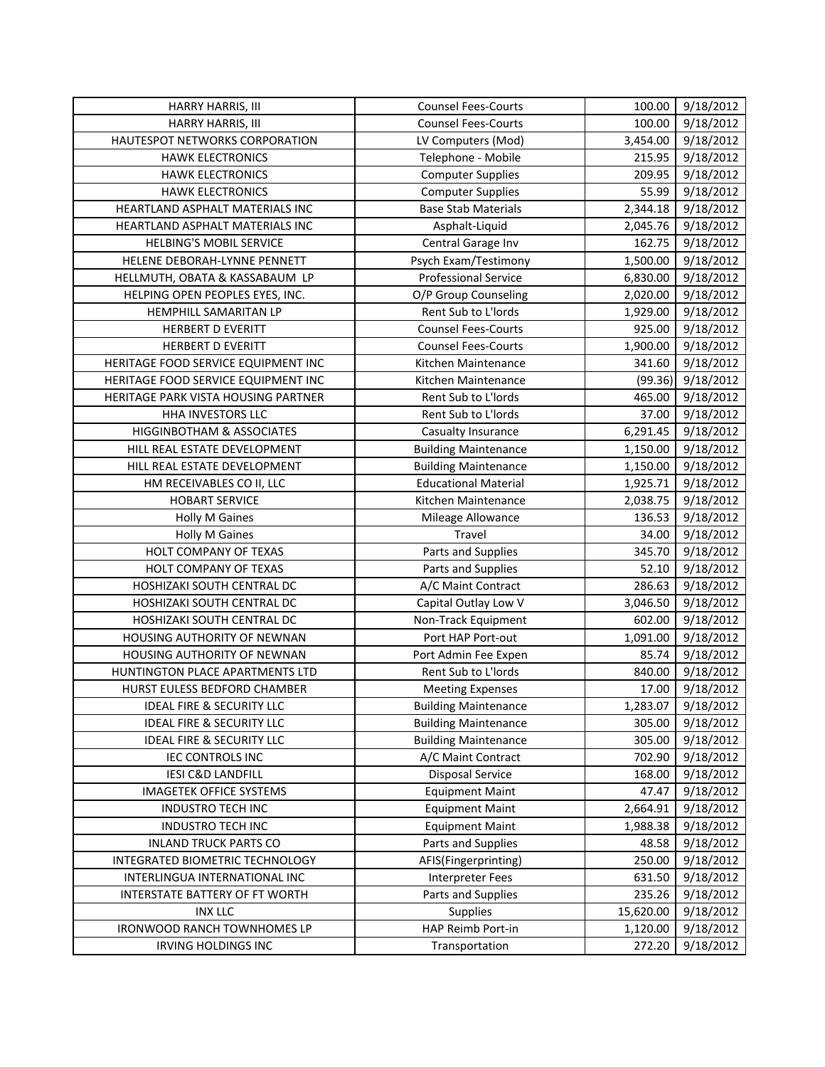| HARRY HARRIS, III                    | <b>Counsel Fees-Courts</b>  | 100.00    | 9/18/2012 |
|--------------------------------------|-----------------------------|-----------|-----------|
| HARRY HARRIS, III                    | <b>Counsel Fees-Courts</b>  | 100.00    | 9/18/2012 |
| HAUTESPOT NETWORKS CORPORATION       | LV Computers (Mod)          | 3,454.00  | 9/18/2012 |
| <b>HAWK ELECTRONICS</b>              | Telephone - Mobile          | 215.95    | 9/18/2012 |
| <b>HAWK ELECTRONICS</b>              | <b>Computer Supplies</b>    | 209.95    | 9/18/2012 |
| <b>HAWK ELECTRONICS</b>              | <b>Computer Supplies</b>    | 55.99     | 9/18/2012 |
| HEARTLAND ASPHALT MATERIALS INC      | <b>Base Stab Materials</b>  | 2,344.18  | 9/18/2012 |
| HEARTLAND ASPHALT MATERIALS INC      | Asphalt-Liquid              | 2,045.76  | 9/18/2012 |
| <b>HELBING'S MOBIL SERVICE</b>       | Central Garage Inv          | 162.75    | 9/18/2012 |
| HELENE DEBORAH-LYNNE PENNETT         | Psych Exam/Testimony        | 1,500.00  | 9/18/2012 |
| HELLMUTH, OBATA & KASSABAUM LP       | <b>Professional Service</b> | 6,830.00  | 9/18/2012 |
| HELPING OPEN PEOPLES EYES, INC.      | O/P Group Counseling        | 2,020.00  | 9/18/2012 |
| HEMPHILL SAMARITAN LP                | Rent Sub to L'Iords         | 1,929.00  | 9/18/2012 |
| <b>HERBERT D EVERITT</b>             | <b>Counsel Fees-Courts</b>  | 925.00    | 9/18/2012 |
| <b>HERBERT D EVERITT</b>             | <b>Counsel Fees-Courts</b>  | 1,900.00  | 9/18/2012 |
| HERITAGE FOOD SERVICE EQUIPMENT INC  | Kitchen Maintenance         | 341.60    | 9/18/2012 |
| HERITAGE FOOD SERVICE EQUIPMENT INC  | Kitchen Maintenance         | (99.36)   | 9/18/2012 |
| HERITAGE PARK VISTA HOUSING PARTNER  | Rent Sub to L'Iords         | 465.00    | 9/18/2012 |
| HHA INVESTORS LLC                    | Rent Sub to L'Iords         | 37.00     | 9/18/2012 |
| HIGGINBOTHAM & ASSOCIATES            | Casualty Insurance          | 6,291.45  | 9/18/2012 |
| HILL REAL ESTATE DEVELOPMENT         | <b>Building Maintenance</b> | 1,150.00  | 9/18/2012 |
| HILL REAL ESTATE DEVELOPMENT         | <b>Building Maintenance</b> | 1,150.00  | 9/18/2012 |
| HM RECEIVABLES CO II, LLC            | <b>Educational Material</b> | 1,925.71  | 9/18/2012 |
| <b>HOBART SERVICE</b>                | Kitchen Maintenance         | 2,038.75  | 9/18/2012 |
| <b>Holly M Gaines</b>                | Mileage Allowance           | 136.53    | 9/18/2012 |
| <b>Holly M Gaines</b>                | Travel                      | 34.00     | 9/18/2012 |
| HOLT COMPANY OF TEXAS                | Parts and Supplies          | 345.70    | 9/18/2012 |
| HOLT COMPANY OF TEXAS                | Parts and Supplies          | 52.10     | 9/18/2012 |
| HOSHIZAKI SOUTH CENTRAL DC           | A/C Maint Contract          | 286.63    | 9/18/2012 |
| HOSHIZAKI SOUTH CENTRAL DC           | Capital Outlay Low V        | 3,046.50  | 9/18/2012 |
| HOSHIZAKI SOUTH CENTRAL DC           | Non-Track Equipment         | 602.00    | 9/18/2012 |
| HOUSING AUTHORITY OF NEWNAN          | Port HAP Port-out           | 1,091.00  | 9/18/2012 |
| HOUSING AUTHORITY OF NEWNAN          | Port Admin Fee Expen        | 85.74     | 9/18/2012 |
| HUNTINGTON PLACE APARTMENTS LTD      | Rent Sub to L'Iords         | 840.00    | 9/18/2012 |
| HURST EULESS BEDFORD CHAMBER         | <b>Meeting Expenses</b>     | 17.00     | 9/18/2012 |
| <b>IDEAL FIRE &amp; SECURITY LLC</b> | <b>Building Maintenance</b> | 1,283.07  | 9/18/2012 |
| <b>IDEAL FIRE &amp; SECURITY LLC</b> | <b>Building Maintenance</b> | 305.00    | 9/18/2012 |
| <b>IDEAL FIRE &amp; SECURITY LLC</b> | <b>Building Maintenance</b> | 305.00    | 9/18/2012 |
| <b>IEC CONTROLS INC</b>              | A/C Maint Contract          | 702.90    | 9/18/2012 |
| <b>IESI C&amp;D LANDFILL</b>         | Disposal Service            | 168.00    | 9/18/2012 |
| <b>IMAGETEK OFFICE SYSTEMS</b>       | <b>Equipment Maint</b>      | 47.47     | 9/18/2012 |
| <b>INDUSTRO TECH INC</b>             | <b>Equipment Maint</b>      | 2,664.91  | 9/18/2012 |
| <b>INDUSTRO TECH INC</b>             | <b>Equipment Maint</b>      | 1,988.38  | 9/18/2012 |
| <b>INLAND TRUCK PARTS CO</b>         | Parts and Supplies          | 48.58     | 9/18/2012 |
| INTEGRATED BIOMETRIC TECHNOLOGY      | AFIS(Fingerprinting)        | 250.00    | 9/18/2012 |
| INTERLINGUA INTERNATIONAL INC        | <b>Interpreter Fees</b>     | 631.50    | 9/18/2012 |
| INTERSTATE BATTERY OF FT WORTH       | Parts and Supplies          | 235.26    | 9/18/2012 |
| <b>INX LLC</b>                       | Supplies                    | 15,620.00 | 9/18/2012 |
| IRONWOOD RANCH TOWNHOMES LP          | HAP Reimb Port-in           | 1,120.00  | 9/18/2012 |
| IRVING HOLDINGS INC                  | Transportation              | 272.20    | 9/18/2012 |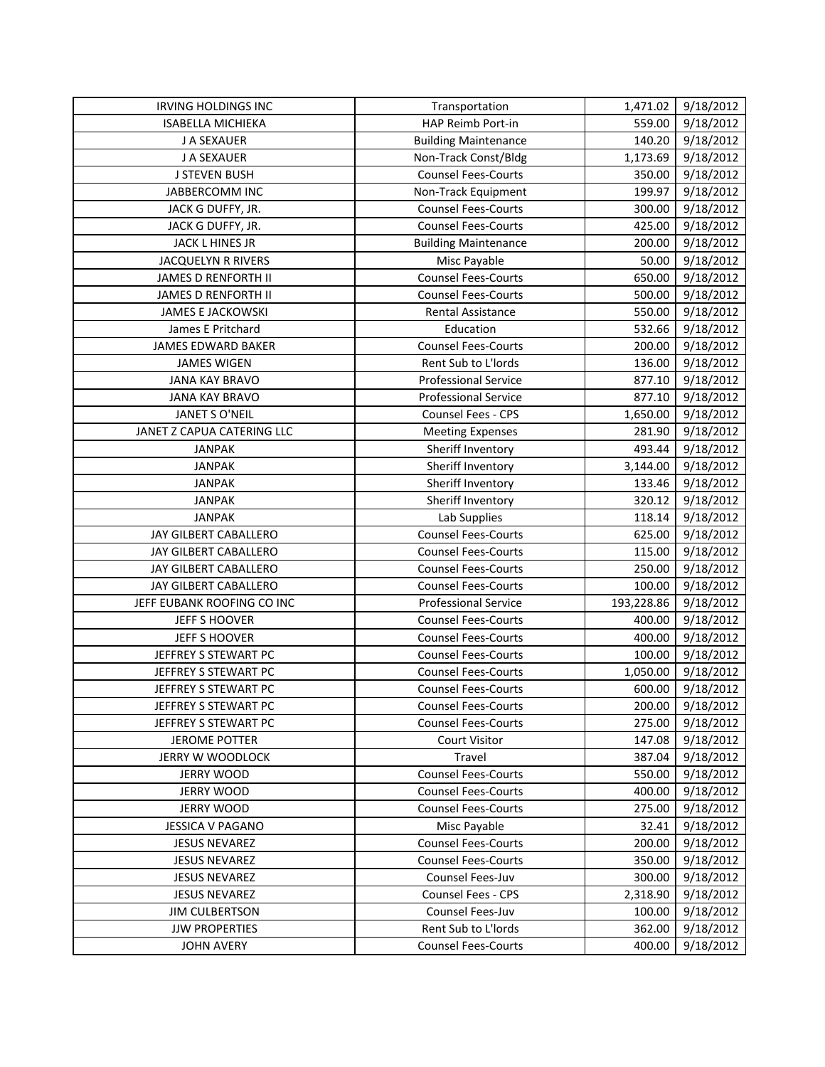| IRVING HOLDINGS INC<br><b>ISABELLA MICHIEKA</b> | Transportation<br>HAP Reimb Port-in         | 1,471.02<br>559.00 | 9/18/2012<br>9/18/2012 |
|-------------------------------------------------|---------------------------------------------|--------------------|------------------------|
| J A SEXAUER                                     | <b>Building Maintenance</b>                 | 140.20             | 9/18/2012              |
| J A SEXAUER                                     | Non-Track Const/Bldg                        | 1,173.69           | 9/18/2012              |
| <b>J STEVEN BUSH</b>                            | <b>Counsel Fees-Courts</b>                  | 350.00             | 9/18/2012              |
| <b>JABBERCOMM INC</b>                           | Non-Track Equipment                         | 199.97             | 9/18/2012              |
| JACK G DUFFY, JR.                               | <b>Counsel Fees-Courts</b>                  | 300.00             | 9/18/2012              |
| JACK G DUFFY, JR.                               | <b>Counsel Fees-Courts</b>                  | 425.00             | 9/18/2012              |
| JACK L HINES JR                                 |                                             | 200.00             | 9/18/2012              |
| <b>JACQUELYN R RIVERS</b>                       | <b>Building Maintenance</b><br>Misc Payable | 50.00              | 9/18/2012              |
| <b>JAMES D RENFORTH II</b>                      | <b>Counsel Fees-Courts</b>                  | 650.00             | $\overline{9}/18/2012$ |
| <b>JAMES D RENFORTH II</b>                      | <b>Counsel Fees-Courts</b>                  | 500.00             | 9/18/2012              |
| <b>JAMES E JACKOWSKI</b>                        | <b>Rental Assistance</b>                    | 550.00             | 9/18/2012              |
| James E Pritchard                               | Education                                   | 532.66             | 9/18/2012              |
| JAMES EDWARD BAKER                              | <b>Counsel Fees-Courts</b>                  | 200.00             | 9/18/2012              |
| <b>JAMES WIGEN</b>                              | Rent Sub to L'Iords                         | 136.00             | 9/18/2012              |
| <b>JANA KAY BRAVO</b>                           | <b>Professional Service</b>                 | 877.10             | 9/18/2012              |
| <b>JANA KAY BRAVO</b>                           | <b>Professional Service</b>                 | 877.10             | 9/18/2012              |
| JANET S O'NEIL                                  | Counsel Fees - CPS                          | 1,650.00           | 9/18/2012              |
| JANET Z CAPUA CATERING LLC                      | <b>Meeting Expenses</b>                     | 281.90             | 9/18/2012              |
| <b>JANPAK</b>                                   | Sheriff Inventory                           | 493.44             | 9/18/2012              |
| <b>JANPAK</b>                                   | Sheriff Inventory                           | 3,144.00           | 9/18/2012              |
| <b>JANPAK</b>                                   | Sheriff Inventory                           | 133.46             | 9/18/2012              |
| <b>JANPAK</b>                                   | Sheriff Inventory                           | 320.12             | 9/18/2012              |
| <b>JANPAK</b>                                   | Lab Supplies                                | 118.14             | 9/18/2012              |
| JAY GILBERT CABALLERO                           | <b>Counsel Fees-Courts</b>                  | 625.00             | 9/18/2012              |
| JAY GILBERT CABALLERO                           | <b>Counsel Fees-Courts</b>                  | 115.00             | 9/18/2012              |
| JAY GILBERT CABALLERO                           | <b>Counsel Fees-Courts</b>                  | 250.00             | 9/18/2012              |
| JAY GILBERT CABALLERO                           | <b>Counsel Fees-Courts</b>                  | 100.00             | 9/18/2012              |
| JEFF EUBANK ROOFING CO INC                      | <b>Professional Service</b>                 | 193,228.86         | 9/18/2012              |
| JEFF S HOOVER                                   | <b>Counsel Fees-Courts</b>                  | 400.00             | 9/18/2012              |
| JEFF S HOOVER                                   | <b>Counsel Fees-Courts</b>                  | 400.00             | 9/18/2012              |
| JEFFREY S STEWART PC                            | <b>Counsel Fees-Courts</b>                  | 100.00             | 9/18/2012              |
| JEFFREY S STEWART PC                            | <b>Counsel Fees-Courts</b>                  | 1,050.00           | 9/18/2012              |
| JEFFREY S STEWART PC                            | <b>Counsel Fees-Courts</b>                  | 600.00             | 9/18/2012              |
| JEFFREY S STEWART PC                            | <b>Counsel Fees-Courts</b>                  | 200.00             | 9/18/2012              |
| JEFFREY S STEWART PC                            | <b>Counsel Fees-Courts</b>                  | 275.00             | 9/18/2012              |
| <b>JEROME POTTER</b>                            | <b>Court Visitor</b>                        | 147.08             | 9/18/2012              |
| <b>JERRY W WOODLOCK</b>                         | Travel                                      | 387.04             | 9/18/2012              |
| <b>JERRY WOOD</b>                               | <b>Counsel Fees-Courts</b>                  | 550.00             | 9/18/2012              |
| <b>JERRY WOOD</b>                               | <b>Counsel Fees-Courts</b>                  | 400.00             | 9/18/2012              |
| <b>JERRY WOOD</b>                               | <b>Counsel Fees-Courts</b>                  | 275.00             | 9/18/2012              |
| <b>JESSICA V PAGANO</b>                         | Misc Payable                                | 32.41              | 9/18/2012              |
| <b>JESUS NEVAREZ</b>                            | <b>Counsel Fees-Courts</b>                  | 200.00             | 9/18/2012              |
| <b>JESUS NEVAREZ</b>                            | <b>Counsel Fees-Courts</b>                  | 350.00             | 9/18/2012              |
| <b>JESUS NEVAREZ</b>                            | Counsel Fees-Juv                            | 300.00             | 9/18/2012              |
| <b>JESUS NEVAREZ</b>                            | <b>Counsel Fees - CPS</b>                   | 2,318.90           | 9/18/2012              |
| <b>JIM CULBERTSON</b>                           | Counsel Fees-Juv                            | 100.00             | 9/18/2012              |
| <b>JJW PROPERTIES</b>                           | Rent Sub to L'Iords                         | 362.00             | 9/18/2012              |
| <b>JOHN AVERY</b>                               | <b>Counsel Fees-Courts</b>                  | 400.00             | 9/18/2012              |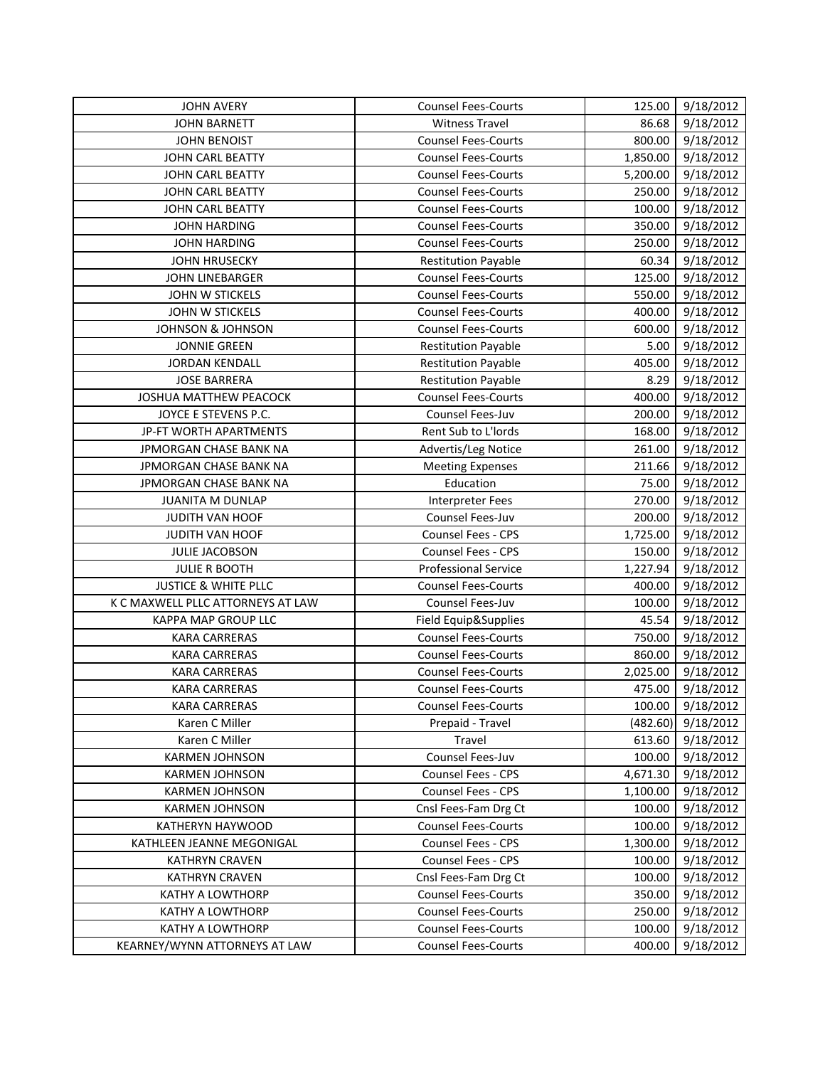| <b>JOHN AVERY</b>                 | <b>Counsel Fees-Courts</b>  | 125.00   | 9/18/2012 |
|-----------------------------------|-----------------------------|----------|-----------|
| <b>JOHN BARNETT</b>               | <b>Witness Travel</b>       | 86.68    | 9/18/2012 |
| <b>JOHN BENOIST</b>               | <b>Counsel Fees-Courts</b>  | 800.00   | 9/18/2012 |
| JOHN CARL BEATTY                  | <b>Counsel Fees-Courts</b>  | 1,850.00 | 9/18/2012 |
| JOHN CARL BEATTY                  | <b>Counsel Fees-Courts</b>  | 5,200.00 | 9/18/2012 |
| <b>JOHN CARL BEATTY</b>           | <b>Counsel Fees-Courts</b>  | 250.00   | 9/18/2012 |
| JOHN CARL BEATTY                  | <b>Counsel Fees-Courts</b>  | 100.00   | 9/18/2012 |
| <b>JOHN HARDING</b>               | <b>Counsel Fees-Courts</b>  | 350.00   | 9/18/2012 |
| <b>JOHN HARDING</b>               | <b>Counsel Fees-Courts</b>  | 250.00   | 9/18/2012 |
| <b>JOHN HRUSECKY</b>              | <b>Restitution Payable</b>  | 60.34    | 9/18/2012 |
| <b>JOHN LINEBARGER</b>            | <b>Counsel Fees-Courts</b>  | 125.00   | 9/18/2012 |
| JOHN W STICKELS                   | <b>Counsel Fees-Courts</b>  | 550.00   | 9/18/2012 |
| JOHN W STICKELS                   | <b>Counsel Fees-Courts</b>  | 400.00   | 9/18/2012 |
| <b>JOHNSON &amp; JOHNSON</b>      | <b>Counsel Fees-Courts</b>  | 600.00   | 9/18/2012 |
| <b>JONNIE GREEN</b>               | <b>Restitution Payable</b>  | 5.00     | 9/18/2012 |
| <b>JORDAN KENDALL</b>             | <b>Restitution Payable</b>  | 405.00   | 9/18/2012 |
| <b>JOSE BARRERA</b>               | <b>Restitution Payable</b>  | 8.29     | 9/18/2012 |
| JOSHUA MATTHEW PEACOCK            | <b>Counsel Fees-Courts</b>  | 400.00   | 9/18/2012 |
| JOYCE E STEVENS P.C.              | Counsel Fees-Juv            | 200.00   | 9/18/2012 |
| JP-FT WORTH APARTMENTS            | Rent Sub to L'Iords         | 168.00   | 9/18/2012 |
| JPMORGAN CHASE BANK NA            | Advertis/Leg Notice         | 261.00   | 9/18/2012 |
| JPMORGAN CHASE BANK NA            | <b>Meeting Expenses</b>     | 211.66   | 9/18/2012 |
| JPMORGAN CHASE BANK NA            | Education                   | 75.00    | 9/18/2012 |
| <b>JUANITA M DUNLAP</b>           | <b>Interpreter Fees</b>     | 270.00   | 9/18/2012 |
| JUDITH VAN HOOF                   | Counsel Fees-Juv            | 200.00   | 9/18/2012 |
| JUDITH VAN HOOF                   | Counsel Fees - CPS          | 1,725.00 | 9/18/2012 |
| <b>JULIE JACOBSON</b>             | Counsel Fees - CPS          | 150.00   | 9/18/2012 |
| <b>JULIE R BOOTH</b>              | <b>Professional Service</b> | 1,227.94 | 9/18/2012 |
| <b>JUSTICE &amp; WHITE PLLC</b>   | <b>Counsel Fees-Courts</b>  | 400.00   | 9/18/2012 |
| K C MAXWELL PLLC ATTORNEYS AT LAW | Counsel Fees-Juv            | 100.00   | 9/18/2012 |
| KAPPA MAP GROUP LLC               | Field Equip&Supplies        | 45.54    | 9/18/2012 |
| <b>KARA CARRERAS</b>              | <b>Counsel Fees-Courts</b>  | 750.00   | 9/18/2012 |
| <b>KARA CARRERAS</b>              | <b>Counsel Fees-Courts</b>  | 860.00   | 9/18/2012 |
| <b>KARA CARRERAS</b>              | <b>Counsel Fees-Courts</b>  | 2,025.00 | 9/18/2012 |
| <b>KARA CARRERAS</b>              | <b>Counsel Fees-Courts</b>  | 475.00   | 9/18/2012 |
| <b>KARA CARRERAS</b>              | <b>Counsel Fees-Courts</b>  | 100.00   | 9/18/2012 |
| Karen C Miller                    | Prepaid - Travel            | (482.60) | 9/18/2012 |
| Karen C Miller                    | Travel                      | 613.60   | 9/18/2012 |
| <b>KARMEN JOHNSON</b>             | Counsel Fees-Juv            | 100.00   | 9/18/2012 |
| <b>KARMEN JOHNSON</b>             | Counsel Fees - CPS          | 4,671.30 | 9/18/2012 |
| <b>KARMEN JOHNSON</b>             | Counsel Fees - CPS          | 1,100.00 | 9/18/2012 |
| <b>KARMEN JOHNSON</b>             | Cnsl Fees-Fam Drg Ct        | 100.00   | 9/18/2012 |
| KATHERYN HAYWOOD                  | <b>Counsel Fees-Courts</b>  | 100.00   | 9/18/2012 |
| KATHLEEN JEANNE MEGONIGAL         | Counsel Fees - CPS          | 1,300.00 | 9/18/2012 |
| <b>KATHRYN CRAVEN</b>             | Counsel Fees - CPS          | 100.00   | 9/18/2012 |
| <b>KATHRYN CRAVEN</b>             | Cnsl Fees-Fam Drg Ct        | 100.00   | 9/18/2012 |
| <b>KATHY A LOWTHORP</b>           | <b>Counsel Fees-Courts</b>  | 350.00   | 9/18/2012 |
| <b>KATHY A LOWTHORP</b>           | <b>Counsel Fees-Courts</b>  | 250.00   | 9/18/2012 |
| <b>KATHY A LOWTHORP</b>           | <b>Counsel Fees-Courts</b>  | 100.00   | 9/18/2012 |
| KEARNEY/WYNN ATTORNEYS AT LAW     | <b>Counsel Fees-Courts</b>  | 400.00   | 9/18/2012 |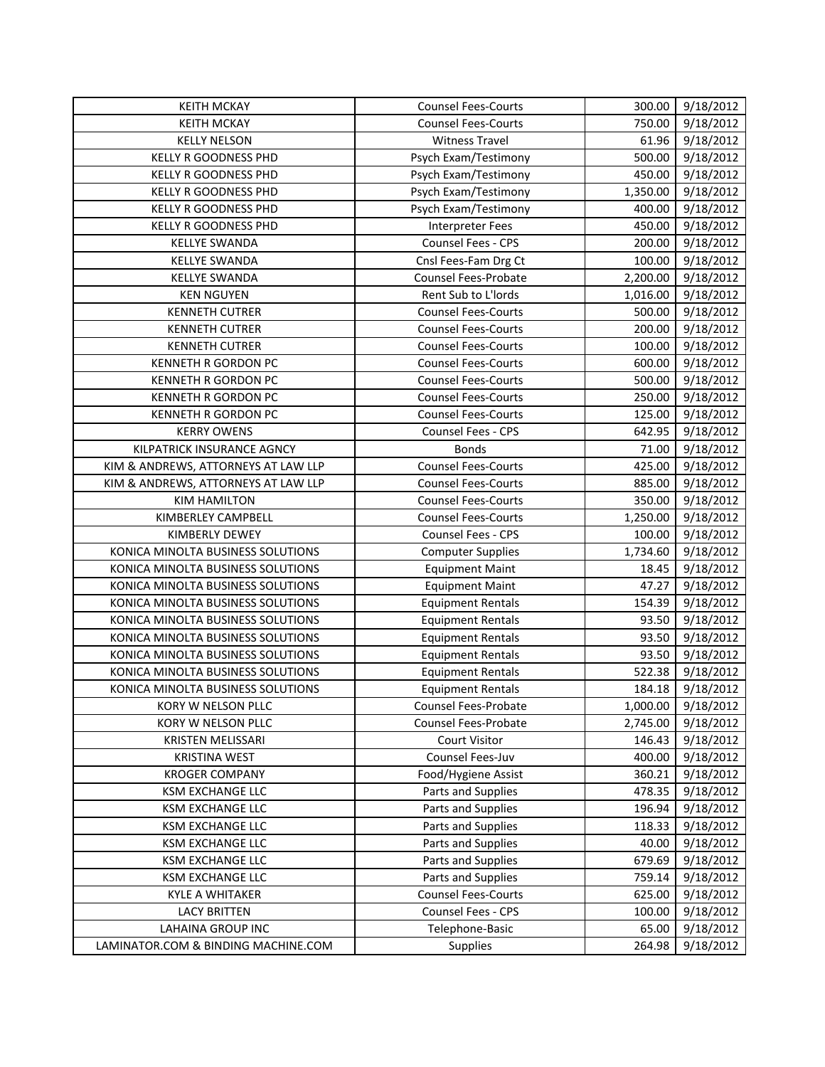| <b>KEITH MCKAY</b>                  | <b>Counsel Fees-Courts</b> | 300.00   | 9/18/2012 |
|-------------------------------------|----------------------------|----------|-----------|
| <b>KEITH MCKAY</b>                  | <b>Counsel Fees-Courts</b> | 750.00   | 9/18/2012 |
| <b>KELLY NELSON</b>                 | <b>Witness Travel</b>      | 61.96    | 9/18/2012 |
| <b>KELLY R GOODNESS PHD</b>         | Psych Exam/Testimony       | 500.00   | 9/18/2012 |
| KELLY R GOODNESS PHD                | Psych Exam/Testimony       | 450.00   | 9/18/2012 |
| KELLY R GOODNESS PHD                | Psych Exam/Testimony       | 1,350.00 | 9/18/2012 |
| <b>KELLY R GOODNESS PHD</b>         | Psych Exam/Testimony       | 400.00   | 9/18/2012 |
| KELLY R GOODNESS PHD                | <b>Interpreter Fees</b>    | 450.00   | 9/18/2012 |
| <b>KELLYE SWANDA</b>                | Counsel Fees - CPS         | 200.00   | 9/18/2012 |
| <b>KELLYE SWANDA</b>                | Cnsl Fees-Fam Drg Ct       | 100.00   | 9/18/2012 |
| <b>KELLYE SWANDA</b>                | Counsel Fees-Probate       | 2,200.00 | 9/18/2012 |
| <b>KEN NGUYEN</b>                   | Rent Sub to L'Iords        | 1,016.00 | 9/18/2012 |
| <b>KENNETH CUTRER</b>               | <b>Counsel Fees-Courts</b> | 500.00   | 9/18/2012 |
| <b>KENNETH CUTRER</b>               | <b>Counsel Fees-Courts</b> | 200.00   | 9/18/2012 |
| <b>KENNETH CUTRER</b>               | <b>Counsel Fees-Courts</b> | 100.00   | 9/18/2012 |
| <b>KENNETH R GORDON PC</b>          | <b>Counsel Fees-Courts</b> | 600.00   | 9/18/2012 |
| <b>KENNETH R GORDON PC</b>          | <b>Counsel Fees-Courts</b> | 500.00   | 9/18/2012 |
| <b>KENNETH R GORDON PC</b>          | <b>Counsel Fees-Courts</b> | 250.00   | 9/18/2012 |
| <b>KENNETH R GORDON PC</b>          | <b>Counsel Fees-Courts</b> | 125.00   | 9/18/2012 |
| <b>KERRY OWENS</b>                  | Counsel Fees - CPS         | 642.95   | 9/18/2012 |
| KILPATRICK INSURANCE AGNCY          | <b>Bonds</b>               | 71.00    | 9/18/2012 |
| KIM & ANDREWS, ATTORNEYS AT LAW LLP | <b>Counsel Fees-Courts</b> | 425.00   | 9/18/2012 |
| KIM & ANDREWS, ATTORNEYS AT LAW LLP | <b>Counsel Fees-Courts</b> | 885.00   | 9/18/2012 |
| <b>KIM HAMILTON</b>                 | <b>Counsel Fees-Courts</b> | 350.00   | 9/18/2012 |
| KIMBERLEY CAMPBELL                  | <b>Counsel Fees-Courts</b> | 1,250.00 | 9/18/2012 |
| KIMBERLY DEWEY                      | Counsel Fees - CPS         | 100.00   | 9/18/2012 |
| KONICA MINOLTA BUSINESS SOLUTIONS   | <b>Computer Supplies</b>   | 1,734.60 | 9/18/2012 |
| KONICA MINOLTA BUSINESS SOLUTIONS   | <b>Equipment Maint</b>     | 18.45    | 9/18/2012 |
| KONICA MINOLTA BUSINESS SOLUTIONS   | <b>Equipment Maint</b>     | 47.27    | 9/18/2012 |
| KONICA MINOLTA BUSINESS SOLUTIONS   | <b>Equipment Rentals</b>   | 154.39   | 9/18/2012 |
| KONICA MINOLTA BUSINESS SOLUTIONS   | <b>Equipment Rentals</b>   | 93.50    | 9/18/2012 |
| KONICA MINOLTA BUSINESS SOLUTIONS   | <b>Equipment Rentals</b>   | 93.50    | 9/18/2012 |
| KONICA MINOLTA BUSINESS SOLUTIONS   | <b>Equipment Rentals</b>   | 93.50    | 9/18/2012 |
| KONICA MINOLTA BUSINESS SOLUTIONS   | <b>Equipment Rentals</b>   | 522.38   | 9/18/2012 |
| KONICA MINOLTA BUSINESS SOLUTIONS   | <b>Equipment Rentals</b>   | 184.18   | 9/18/2012 |
| KORY W NELSON PLLC                  | Counsel Fees-Probate       | 1,000.00 | 9/18/2012 |
| KORY W NELSON PLLC                  | Counsel Fees-Probate       | 2,745.00 | 9/18/2012 |
| KRISTEN MELISSARI                   | <b>Court Visitor</b>       | 146.43   | 9/18/2012 |
| <b>KRISTINA WEST</b>                | Counsel Fees-Juv           | 400.00   | 9/18/2012 |
| <b>KROGER COMPANY</b>               | Food/Hygiene Assist        | 360.21   | 9/18/2012 |
| <b>KSM EXCHANGE LLC</b>             | Parts and Supplies         | 478.35   | 9/18/2012 |
| KSM EXCHANGE LLC                    | Parts and Supplies         | 196.94   | 9/18/2012 |
| KSM EXCHANGE LLC                    | Parts and Supplies         | 118.33   | 9/18/2012 |
| <b>KSM EXCHANGE LLC</b>             | Parts and Supplies         | 40.00    | 9/18/2012 |
| <b>KSM EXCHANGE LLC</b>             | Parts and Supplies         | 679.69   | 9/18/2012 |
| KSM EXCHANGE LLC                    | Parts and Supplies         | 759.14   | 9/18/2012 |
| <b>KYLE A WHITAKER</b>              | <b>Counsel Fees-Courts</b> | 625.00   | 9/18/2012 |
| <b>LACY BRITTEN</b>                 | Counsel Fees - CPS         | 100.00   | 9/18/2012 |
| <b>LAHAINA GROUP INC</b>            | Telephone-Basic            | 65.00    | 9/18/2012 |
| LAMINATOR.COM & BINDING MACHINE.COM | Supplies                   | 264.98   | 9/18/2012 |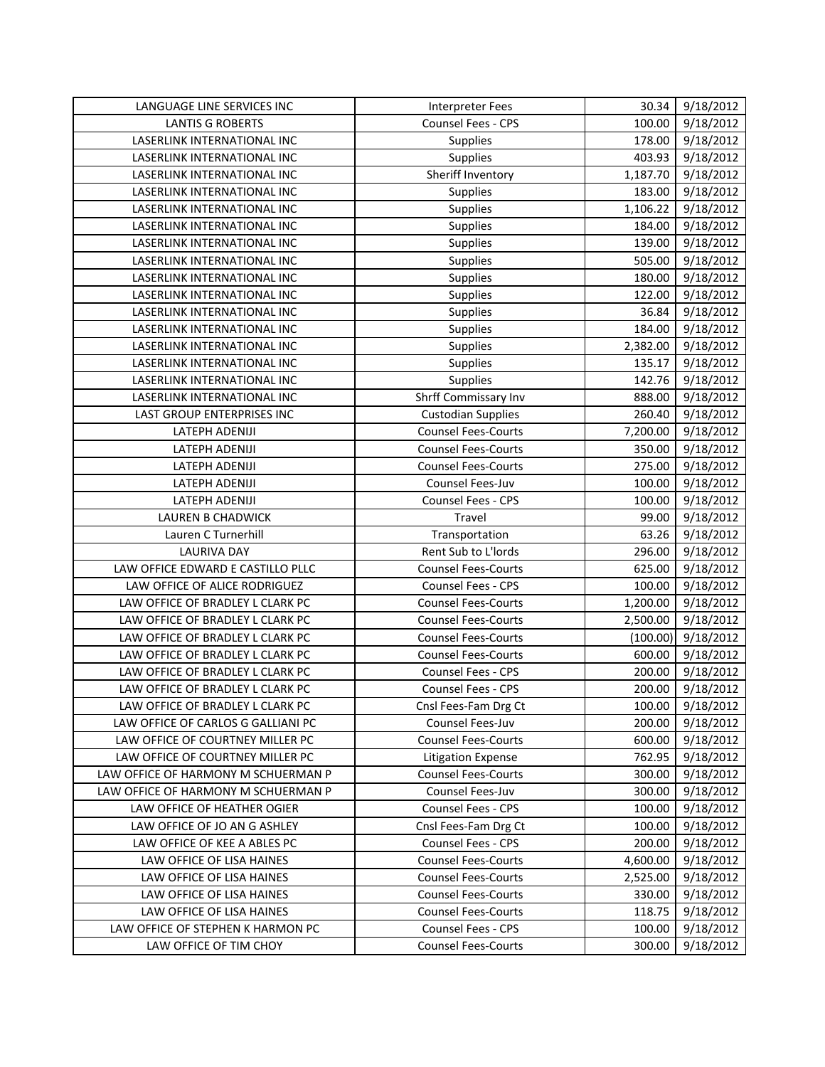| LANGUAGE LINE SERVICES INC          | <b>Interpreter Fees</b>    | 30.34    | 9/18/2012 |
|-------------------------------------|----------------------------|----------|-----------|
| <b>LANTIS G ROBERTS</b>             | Counsel Fees - CPS         | 100.00   | 9/18/2012 |
| LASERLINK INTERNATIONAL INC         | Supplies                   | 178.00   | 9/18/2012 |
| LASERLINK INTERNATIONAL INC         | Supplies                   | 403.93   | 9/18/2012 |
| LASERLINK INTERNATIONAL INC         | Sheriff Inventory          | 1,187.70 | 9/18/2012 |
| LASERLINK INTERNATIONAL INC         | Supplies                   | 183.00   | 9/18/2012 |
| LASERLINK INTERNATIONAL INC         | Supplies                   | 1,106.22 | 9/18/2012 |
| LASERLINK INTERNATIONAL INC         | Supplies                   | 184.00   | 9/18/2012 |
| LASERLINK INTERNATIONAL INC         | Supplies                   | 139.00   | 9/18/2012 |
| LASERLINK INTERNATIONAL INC         | Supplies                   | 505.00   | 9/18/2012 |
| LASERLINK INTERNATIONAL INC         | Supplies                   | 180.00   | 9/18/2012 |
| LASERLINK INTERNATIONAL INC         | Supplies                   | 122.00   | 9/18/2012 |
| LASERLINK INTERNATIONAL INC         | Supplies                   | 36.84    | 9/18/2012 |
| LASERLINK INTERNATIONAL INC         | Supplies                   | 184.00   | 9/18/2012 |
| LASERLINK INTERNATIONAL INC         | Supplies                   | 2,382.00 | 9/18/2012 |
| LASERLINK INTERNATIONAL INC         | Supplies                   | 135.17   | 9/18/2012 |
| LASERLINK INTERNATIONAL INC         | Supplies                   | 142.76   | 9/18/2012 |
| LASERLINK INTERNATIONAL INC         | Shrff Commissary Inv       | 888.00   | 9/18/2012 |
| LAST GROUP ENTERPRISES INC          | <b>Custodian Supplies</b>  | 260.40   | 9/18/2012 |
| LATEPH ADENIJI                      | <b>Counsel Fees-Courts</b> | 7,200.00 | 9/18/2012 |
| LATEPH ADENIJI                      | <b>Counsel Fees-Courts</b> | 350.00   | 9/18/2012 |
| LATEPH ADENIJI                      | <b>Counsel Fees-Courts</b> | 275.00   | 9/18/2012 |
| LATEPH ADENIJI                      | Counsel Fees-Juv           | 100.00   | 9/18/2012 |
| LATEPH ADENIJI                      | Counsel Fees - CPS         | 100.00   | 9/18/2012 |
| <b>LAUREN B CHADWICK</b>            | Travel                     | 99.00    | 9/18/2012 |
| Lauren C Turnerhill                 | Transportation             | 63.26    | 9/18/2012 |
| <b>LAURIVA DAY</b>                  | Rent Sub to L'Iords        | 296.00   | 9/18/2012 |
| LAW OFFICE EDWARD E CASTILLO PLLC   | <b>Counsel Fees-Courts</b> | 625.00   | 9/18/2012 |
| LAW OFFICE OF ALICE RODRIGUEZ       | Counsel Fees - CPS         | 100.00   | 9/18/2012 |
| LAW OFFICE OF BRADLEY L CLARK PC    | <b>Counsel Fees-Courts</b> | 1,200.00 | 9/18/2012 |
| LAW OFFICE OF BRADLEY L CLARK PC    | <b>Counsel Fees-Courts</b> | 2,500.00 | 9/18/2012 |
| LAW OFFICE OF BRADLEY L CLARK PC    | <b>Counsel Fees-Courts</b> | (100.00) | 9/18/2012 |
| LAW OFFICE OF BRADLEY L CLARK PC    | <b>Counsel Fees-Courts</b> | 600.00   | 9/18/2012 |
| LAW OFFICE OF BRADLEY L CLARK PC    | Counsel Fees - CPS         | 200.00   | 9/18/2012 |
| LAW OFFICE OF BRADLEY L CLARK PC    | Counsel Fees - CPS         | 200.00   | 9/18/2012 |
| LAW OFFICE OF BRADLEY L CLARK PC    | Cnsl Fees-Fam Drg Ct       | 100.00   | 9/18/2012 |
| LAW OFFICE OF CARLOS G GALLIANI PC  | Counsel Fees-Juv           | 200.00   | 9/18/2012 |
| LAW OFFICE OF COURTNEY MILLER PC    | <b>Counsel Fees-Courts</b> | 600.00   | 9/18/2012 |
| LAW OFFICE OF COURTNEY MILLER PC    | <b>Litigation Expense</b>  | 762.95   | 9/18/2012 |
| LAW OFFICE OF HARMONY M SCHUERMAN P | <b>Counsel Fees-Courts</b> | 300.00   | 9/18/2012 |
| LAW OFFICE OF HARMONY M SCHUERMAN P | Counsel Fees-Juv           | 300.00   | 9/18/2012 |
| LAW OFFICE OF HEATHER OGIER         | Counsel Fees - CPS         | 100.00   | 9/18/2012 |
| LAW OFFICE OF JO AN G ASHLEY        | Cnsl Fees-Fam Drg Ct       | 100.00   | 9/18/2012 |
| LAW OFFICE OF KEE A ABLES PC        | Counsel Fees - CPS         | 200.00   | 9/18/2012 |
| LAW OFFICE OF LISA HAINES           | <b>Counsel Fees-Courts</b> | 4,600.00 | 9/18/2012 |
| LAW OFFICE OF LISA HAINES           | <b>Counsel Fees-Courts</b> | 2,525.00 | 9/18/2012 |
| LAW OFFICE OF LISA HAINES           | <b>Counsel Fees-Courts</b> | 330.00   | 9/18/2012 |
| LAW OFFICE OF LISA HAINES           | <b>Counsel Fees-Courts</b> | 118.75   | 9/18/2012 |
| LAW OFFICE OF STEPHEN K HARMON PC   | Counsel Fees - CPS         | 100.00   | 9/18/2012 |
| LAW OFFICE OF TIM CHOY              | <b>Counsel Fees-Courts</b> | 300.00   | 9/18/2012 |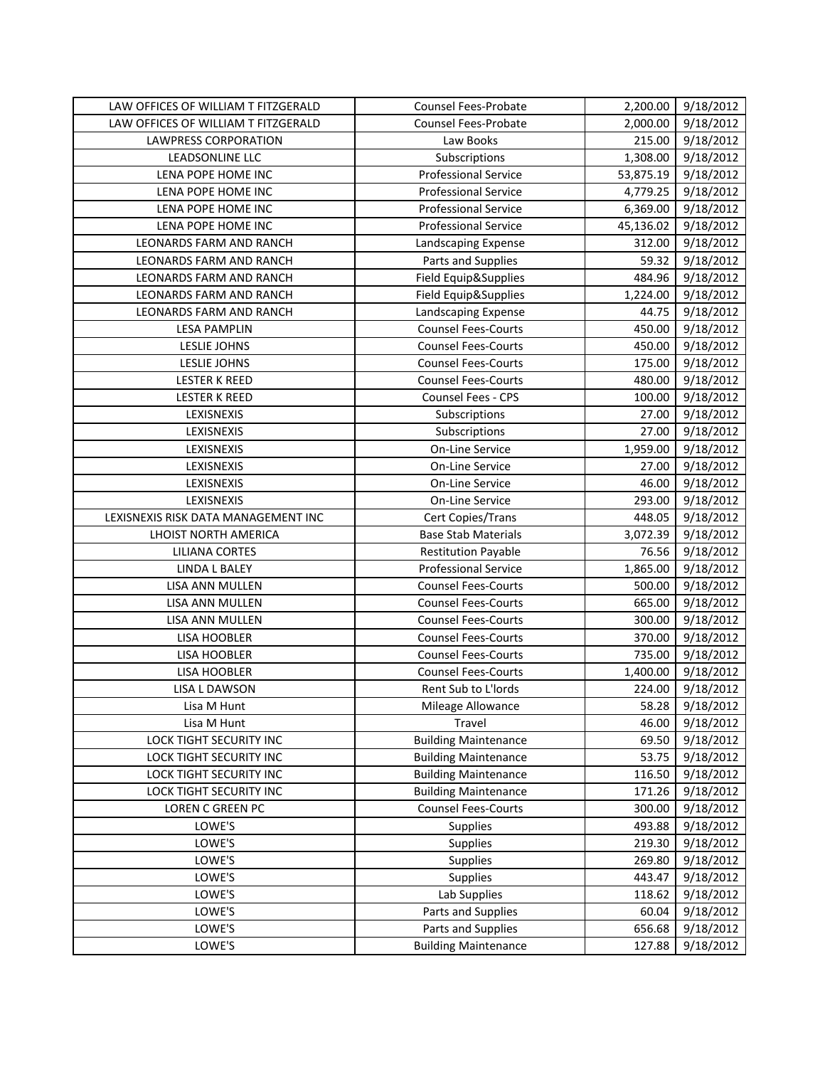| LAW OFFICES OF WILLIAM T FITZGERALD | Counsel Fees-Probate        | 2,200.00  | 9/18/2012 |
|-------------------------------------|-----------------------------|-----------|-----------|
| LAW OFFICES OF WILLIAM T FITZGERALD | Counsel Fees-Probate        | 2,000.00  | 9/18/2012 |
| <b>LAWPRESS CORPORATION</b>         | Law Books                   | 215.00    | 9/18/2012 |
| LEADSONLINE LLC                     | Subscriptions               | 1,308.00  | 9/18/2012 |
| LENA POPE HOME INC                  | <b>Professional Service</b> | 53,875.19 | 9/18/2012 |
| LENA POPE HOME INC                  | <b>Professional Service</b> | 4,779.25  | 9/18/2012 |
| LENA POPE HOME INC                  | <b>Professional Service</b> | 6,369.00  | 9/18/2012 |
| LENA POPE HOME INC                  | <b>Professional Service</b> | 45,136.02 | 9/18/2012 |
| LEONARDS FARM AND RANCH             | Landscaping Expense         | 312.00    | 9/18/2012 |
| LEONARDS FARM AND RANCH             | Parts and Supplies          | 59.32     | 9/18/2012 |
| LEONARDS FARM AND RANCH             | Field Equip&Supplies        | 484.96    | 9/18/2012 |
| LEONARDS FARM AND RANCH             | Field Equip&Supplies        | 1,224.00  | 9/18/2012 |
| LEONARDS FARM AND RANCH             | Landscaping Expense         | 44.75     | 9/18/2012 |
| <b>LESA PAMPLIN</b>                 | <b>Counsel Fees-Courts</b>  | 450.00    | 9/18/2012 |
| <b>LESLIE JOHNS</b>                 | <b>Counsel Fees-Courts</b>  | 450.00    | 9/18/2012 |
| <b>LESLIE JOHNS</b>                 | <b>Counsel Fees-Courts</b>  | 175.00    | 9/18/2012 |
| <b>LESTER K REED</b>                | <b>Counsel Fees-Courts</b>  | 480.00    | 9/18/2012 |
| <b>LESTER K REED</b>                | Counsel Fees - CPS          | 100.00    | 9/18/2012 |
| LEXISNEXIS                          | Subscriptions               | 27.00     | 9/18/2012 |
| LEXISNEXIS                          | Subscriptions               | 27.00     | 9/18/2012 |
| LEXISNEXIS                          | On-Line Service             | 1,959.00  | 9/18/2012 |
| LEXISNEXIS                          | On-Line Service             | 27.00     | 9/18/2012 |
| LEXISNEXIS                          | <b>On-Line Service</b>      | 46.00     | 9/18/2012 |
| LEXISNEXIS                          | On-Line Service             | 293.00    | 9/18/2012 |
| LEXISNEXIS RISK DATA MANAGEMENT INC | Cert Copies/Trans           | 448.05    | 9/18/2012 |
| LHOIST NORTH AMERICA                | <b>Base Stab Materials</b>  | 3,072.39  | 9/18/2012 |
| <b>LILIANA CORTES</b>               | <b>Restitution Payable</b>  | 76.56     | 9/18/2012 |
| LINDA L BALEY                       | <b>Professional Service</b> | 1,865.00  | 9/18/2012 |
| LISA ANN MULLEN                     | <b>Counsel Fees-Courts</b>  | 500.00    | 9/18/2012 |
| LISA ANN MULLEN                     | <b>Counsel Fees-Courts</b>  | 665.00    | 9/18/2012 |
| LISA ANN MULLEN                     | <b>Counsel Fees-Courts</b>  | 300.00    | 9/18/2012 |
| LISA HOOBLER                        | <b>Counsel Fees-Courts</b>  | 370.00    | 9/18/2012 |
| LISA HOOBLER                        | <b>Counsel Fees-Courts</b>  | 735.00    | 9/18/2012 |
| LISA HOOBLER                        | <b>Counsel Fees-Courts</b>  | 1,400.00  | 9/18/2012 |
| LISA L DAWSON                       | <b>Rent Sub to L'Iords</b>  | 224.00    | 9/18/2012 |
| Lisa M Hunt                         | Mileage Allowance           | 58.28     | 9/18/2012 |
| Lisa M Hunt                         | Travel                      | 46.00     | 9/18/2012 |
| LOCK TIGHT SECURITY INC             | <b>Building Maintenance</b> | 69.50     | 9/18/2012 |
| LOCK TIGHT SECURITY INC             | <b>Building Maintenance</b> | 53.75     | 9/18/2012 |
| LOCK TIGHT SECURITY INC             | <b>Building Maintenance</b> | 116.50    | 9/18/2012 |
| LOCK TIGHT SECURITY INC             | <b>Building Maintenance</b> | 171.26    | 9/18/2012 |
| <b>LOREN C GREEN PC</b>             | <b>Counsel Fees-Courts</b>  | 300.00    | 9/18/2012 |
| LOWE'S                              | Supplies                    | 493.88    | 9/18/2012 |
| LOWE'S                              | Supplies                    | 219.30    | 9/18/2012 |
| LOWE'S                              | Supplies                    | 269.80    | 9/18/2012 |
| LOWE'S                              | Supplies                    | 443.47    | 9/18/2012 |
| LOWE'S                              | Lab Supplies                | 118.62    | 9/18/2012 |
| LOWE'S                              | Parts and Supplies          | 60.04     | 9/18/2012 |
| LOWE'S                              | Parts and Supplies          | 656.68    | 9/18/2012 |
| LOWE'S                              | <b>Building Maintenance</b> | 127.88    | 9/18/2012 |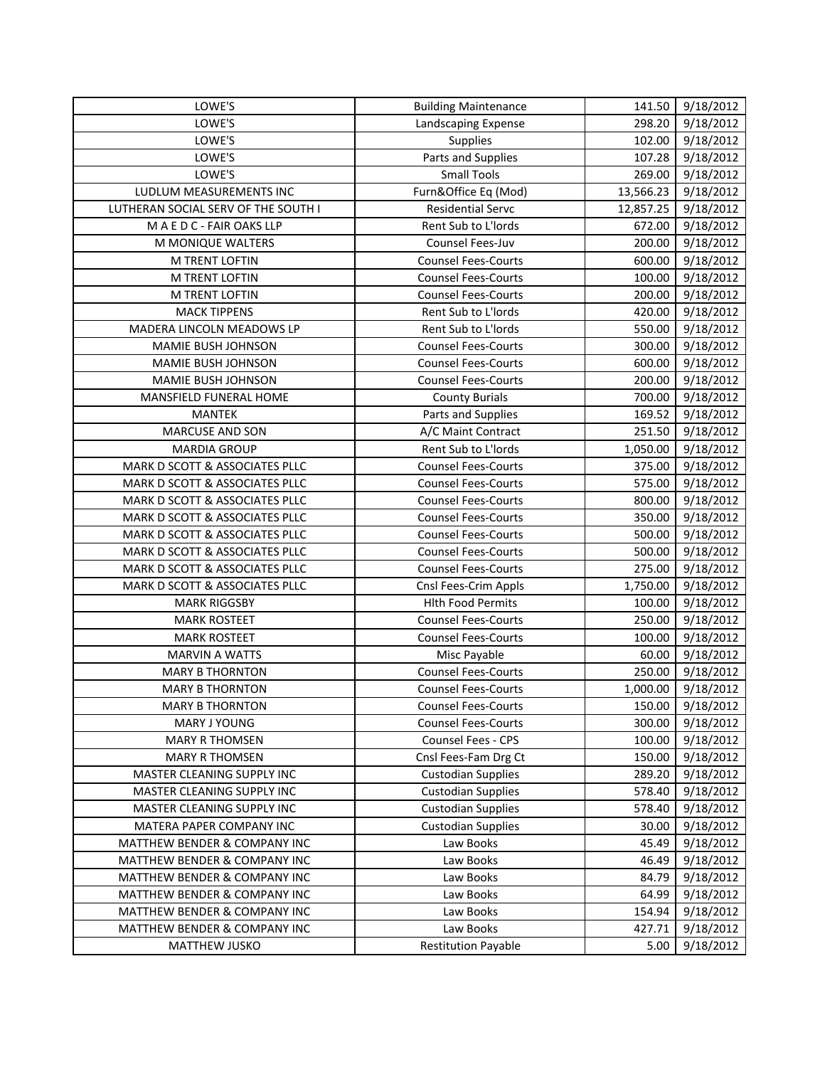| LOWE'S                                                                  | <b>Building Maintenance</b>             | 141.50         | 9/18/2012              |
|-------------------------------------------------------------------------|-----------------------------------------|----------------|------------------------|
| LOWE'S                                                                  | Landscaping Expense                     | 298.20         | 9/18/2012              |
| LOWE'S                                                                  | Supplies                                | 102.00         | 9/18/2012              |
| LOWE'S                                                                  | Parts and Supplies                      | 107.28         | 9/18/2012              |
| LOWE'S                                                                  | <b>Small Tools</b>                      | 269.00         | 9/18/2012              |
| LUDLUM MEASUREMENTS INC                                                 | Furn&Office Eq (Mod)                    | 13,566.23      | 9/18/2012              |
| LUTHERAN SOCIAL SERV OF THE SOUTH I                                     | <b>Residential Servc</b>                | 12,857.25      | 9/18/2012              |
| MAEDC - FAIR OAKS LLP                                                   | Rent Sub to L'Iords                     | 672.00         | 9/18/2012              |
| M MONIQUE WALTERS                                                       | Counsel Fees-Juv                        | 200.00         | 9/18/2012              |
| M TRENT LOFTIN                                                          | <b>Counsel Fees-Courts</b>              | 600.00         | 9/18/2012              |
| M TRENT LOFTIN                                                          | <b>Counsel Fees-Courts</b>              | 100.00         | 9/18/2012              |
| M TRENT LOFTIN                                                          | <b>Counsel Fees-Courts</b>              | 200.00         | 9/18/2012              |
| <b>MACK TIPPENS</b>                                                     | Rent Sub to L'Iords                     | 420.00         | 9/18/2012              |
| MADERA LINCOLN MEADOWS LP                                               | Rent Sub to L'Iords                     | 550.00         | 9/18/2012              |
| MAMIE BUSH JOHNSON                                                      | <b>Counsel Fees-Courts</b>              | 300.00         | 9/18/2012              |
| <b>MAMIE BUSH JOHNSON</b>                                               | <b>Counsel Fees-Courts</b>              | 600.00         | 9/18/2012              |
| MAMIE BUSH JOHNSON                                                      | <b>Counsel Fees-Courts</b>              | 200.00         | 9/18/2012              |
| MANSFIELD FUNERAL HOME                                                  | <b>County Burials</b>                   | 700.00         | 9/18/2012              |
| <b>MANTEK</b>                                                           | Parts and Supplies                      | 169.52         | 9/18/2012              |
| MARCUSE AND SON                                                         | A/C Maint Contract                      | 251.50         | 9/18/2012              |
| <b>MARDIA GROUP</b>                                                     | Rent Sub to L'Iords                     | 1,050.00       | 9/18/2012              |
| MARK D SCOTT & ASSOCIATES PLLC                                          | <b>Counsel Fees-Courts</b>              | 375.00         | 9/18/2012              |
| MARK D SCOTT & ASSOCIATES PLLC                                          | <b>Counsel Fees-Courts</b>              | 575.00         | 9/18/2012              |
| MARK D SCOTT & ASSOCIATES PLLC                                          | <b>Counsel Fees-Courts</b>              | 800.00         | 9/18/2012              |
| MARK D SCOTT & ASSOCIATES PLLC                                          | <b>Counsel Fees-Courts</b>              | 350.00         | 9/18/2012              |
| MARK D SCOTT & ASSOCIATES PLLC                                          | <b>Counsel Fees-Courts</b>              | 500.00         | 9/18/2012              |
| MARK D SCOTT & ASSOCIATES PLLC                                          | <b>Counsel Fees-Courts</b>              | 500.00         | 9/18/2012              |
| MARK D SCOTT & ASSOCIATES PLLC                                          | <b>Counsel Fees-Courts</b>              | 275.00         | 9/18/2012              |
| MARK D SCOTT & ASSOCIATES PLLC                                          | Cnsl Fees-Crim Appls                    | 1,750.00       | 9/18/2012              |
| <b>MARK RIGGSBY</b>                                                     | <b>Hlth Food Permits</b>                | 100.00         | 9/18/2012              |
| <b>MARK ROSTEET</b>                                                     | <b>Counsel Fees-Courts</b>              | 250.00         | 9/18/2012              |
| <b>MARK ROSTEET</b>                                                     | <b>Counsel Fees-Courts</b>              | 100.00         | 9/18/2012              |
| <b>MARVIN A WATTS</b>                                                   | Misc Payable                            | 60.00          | 9/18/2012              |
| <b>MARY B THORNTON</b>                                                  | <b>Counsel Fees-Courts</b>              | 250.00         | 9/18/2012              |
| <b>MARY B THORNTON</b>                                                  | <b>Counsel Fees-Courts</b>              | 1,000.00       | 9/18/2012              |
| <b>MARY B THORNTON</b>                                                  | <b>Counsel Fees-Courts</b>              | 150.00         | 9/18/2012              |
| MARY J YOUNG                                                            | <b>Counsel Fees-Courts</b>              | 300.00         | 9/18/2012              |
| <b>MARY R THOMSEN</b>                                                   | Counsel Fees - CPS                      | 100.00         | 9/18/2012              |
| <b>MARY R THOMSEN</b>                                                   | Cnsl Fees-Fam Drg Ct                    | 150.00         | 9/18/2012              |
| MASTER CLEANING SUPPLY INC                                              | <b>Custodian Supplies</b>               | 289.20         | 9/18/2012              |
| MASTER CLEANING SUPPLY INC                                              | <b>Custodian Supplies</b>               | 578.40         | 9/18/2012              |
| MASTER CLEANING SUPPLY INC                                              | <b>Custodian Supplies</b>               | 578.40         | 9/18/2012              |
| MATERA PAPER COMPANY INC                                                | <b>Custodian Supplies</b>               | 30.00          | 9/18/2012              |
| MATTHEW BENDER & COMPANY INC                                            | Law Books                               | 45.49          | 9/18/2012              |
| MATTHEW BENDER & COMPANY INC                                            | Law Books                               | 46.49          | 9/18/2012              |
| MATTHEW BENDER & COMPANY INC                                            | Law Books                               | 84.79          | 9/18/2012              |
| MATTHEW BENDER & COMPANY INC                                            | Law Books                               | 64.99          | 9/18/2012              |
| MATTHEW BENDER & COMPANY INC<br><b>MATTHEW BENDER &amp; COMPANY INC</b> | Law Books                               | 154.94         | 9/18/2012              |
| <b>MATTHEW JUSKO</b>                                                    | Law Books<br><b>Restitution Payable</b> | 427.71<br>5.00 | 9/18/2012<br>9/18/2012 |
|                                                                         |                                         |                |                        |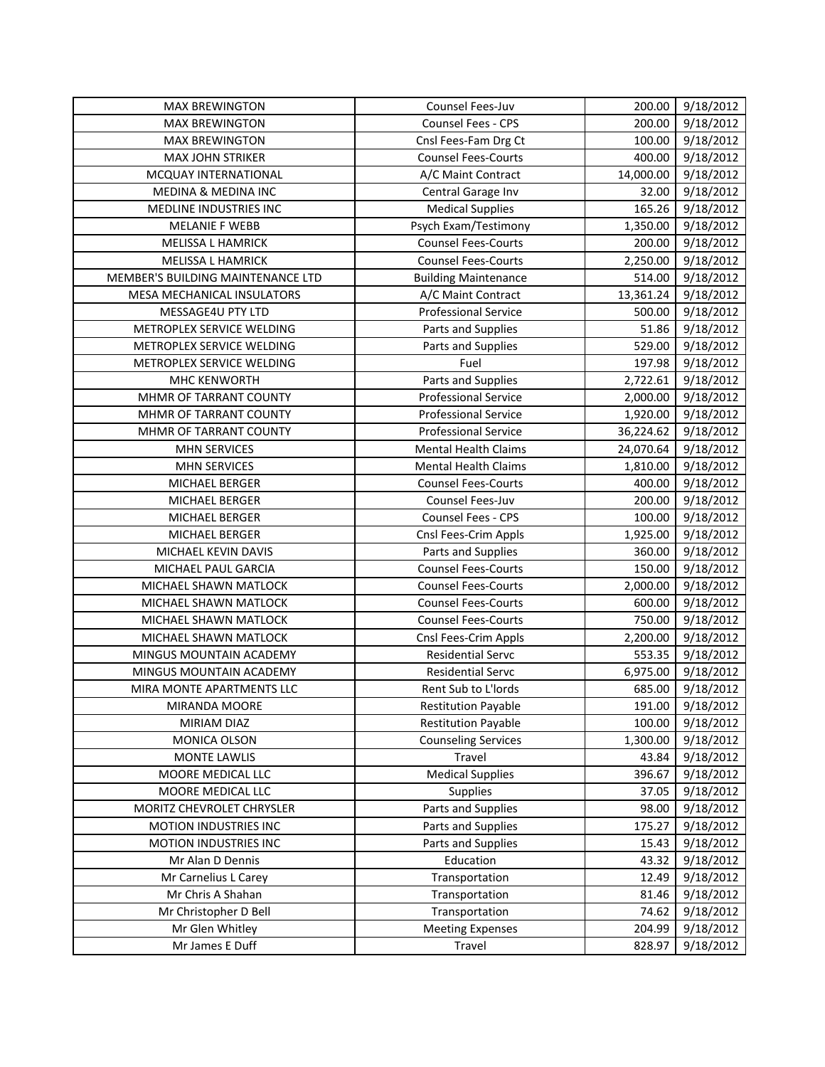| <b>MAX BREWINGTON</b>             | Counsel Fees-Juv            | 200.00    | 9/18/2012 |
|-----------------------------------|-----------------------------|-----------|-----------|
| <b>MAX BREWINGTON</b>             | Counsel Fees - CPS          | 200.00    | 9/18/2012 |
| <b>MAX BREWINGTON</b>             | Cnsl Fees-Fam Drg Ct        | 100.00    | 9/18/2012 |
| <b>MAX JOHN STRIKER</b>           | <b>Counsel Fees-Courts</b>  | 400.00    | 9/18/2012 |
| MCQUAY INTERNATIONAL              | A/C Maint Contract          | 14,000.00 | 9/18/2012 |
| <b>MEDINA &amp; MEDINA INC</b>    | Central Garage Inv          | 32.00     | 9/18/2012 |
| MEDLINE INDUSTRIES INC            | <b>Medical Supplies</b>     | 165.26    | 9/18/2012 |
| <b>MELANIE F WEBB</b>             | Psych Exam/Testimony        | 1,350.00  | 9/18/2012 |
| MELISSA L HAMRICK                 | <b>Counsel Fees-Courts</b>  | 200.00    | 9/18/2012 |
| MELISSA L HAMRICK                 | <b>Counsel Fees-Courts</b>  | 2,250.00  | 9/18/2012 |
| MEMBER'S BUILDING MAINTENANCE LTD | <b>Building Maintenance</b> | 514.00    | 9/18/2012 |
| MESA MECHANICAL INSULATORS        | A/C Maint Contract          | 13,361.24 | 9/18/2012 |
| MESSAGE4U PTY LTD                 | <b>Professional Service</b> | 500.00    | 9/18/2012 |
| METROPLEX SERVICE WELDING         | Parts and Supplies          | 51.86     | 9/18/2012 |
| METROPLEX SERVICE WELDING         | Parts and Supplies          | 529.00    | 9/18/2012 |
| METROPLEX SERVICE WELDING         | Fuel                        | 197.98    | 9/18/2012 |
| <b>MHC KENWORTH</b>               | Parts and Supplies          | 2,722.61  | 9/18/2012 |
| MHMR OF TARRANT COUNTY            | <b>Professional Service</b> | 2,000.00  | 9/18/2012 |
| MHMR OF TARRANT COUNTY            | <b>Professional Service</b> | 1,920.00  | 9/18/2012 |
| MHMR OF TARRANT COUNTY            | <b>Professional Service</b> | 36,224.62 | 9/18/2012 |
| <b>MHN SERVICES</b>               | <b>Mental Health Claims</b> | 24,070.64 | 9/18/2012 |
| <b>MHN SERVICES</b>               | <b>Mental Health Claims</b> | 1,810.00  | 9/18/2012 |
| MICHAEL BERGER                    | <b>Counsel Fees-Courts</b>  | 400.00    | 9/18/2012 |
| MICHAEL BERGER                    | Counsel Fees-Juv            | 200.00    | 9/18/2012 |
| MICHAEL BERGER                    | Counsel Fees - CPS          | 100.00    | 9/18/2012 |
| MICHAEL BERGER                    | Cnsl Fees-Crim Appls        | 1,925.00  | 9/18/2012 |
| MICHAEL KEVIN DAVIS               | Parts and Supplies          | 360.00    | 9/18/2012 |
| MICHAEL PAUL GARCIA               | <b>Counsel Fees-Courts</b>  | 150.00    | 9/18/2012 |
| MICHAEL SHAWN MATLOCK             | <b>Counsel Fees-Courts</b>  | 2,000.00  | 9/18/2012 |
| MICHAEL SHAWN MATLOCK             | <b>Counsel Fees-Courts</b>  | 600.00    | 9/18/2012 |
| MICHAEL SHAWN MATLOCK             | <b>Counsel Fees-Courts</b>  | 750.00    | 9/18/2012 |
| MICHAEL SHAWN MATLOCK             | Cnsl Fees-Crim Appls        | 2,200.00  | 9/18/2012 |
| MINGUS MOUNTAIN ACADEMY           | <b>Residential Servc</b>    | 553.35    | 9/18/2012 |
| MINGUS MOUNTAIN ACADEMY           | <b>Residential Servc</b>    | 6,975.00  | 9/18/2012 |
| MIRA MONTE APARTMENTS LLC         | Rent Sub to L'Iords         | 685.00    | 9/18/2012 |
| MIRANDA MOORE                     | <b>Restitution Payable</b>  | 191.00    | 9/18/2012 |
| MIRIAM DIAZ                       | <b>Restitution Payable</b>  | 100.00    | 9/18/2012 |
| MONICA OLSON                      | <b>Counseling Services</b>  | 1,300.00  | 9/18/2012 |
| <b>MONTE LAWLIS</b>               | Travel                      | 43.84     | 9/18/2012 |
| MOORE MEDICAL LLC                 | <b>Medical Supplies</b>     | 396.67    | 9/18/2012 |
| MOORE MEDICAL LLC                 | Supplies                    | 37.05     | 9/18/2012 |
| MORITZ CHEVROLET CHRYSLER         | Parts and Supplies          | 98.00     | 9/18/2012 |
| MOTION INDUSTRIES INC             | Parts and Supplies          | 175.27    | 9/18/2012 |
| MOTION INDUSTRIES INC             | Parts and Supplies          | 15.43     | 9/18/2012 |
| Mr Alan D Dennis                  | Education                   | 43.32     | 9/18/2012 |
| Mr Carnelius L Carey              | Transportation              | 12.49     | 9/18/2012 |
| Mr Chris A Shahan                 | Transportation              | 81.46     | 9/18/2012 |
| Mr Christopher D Bell             | Transportation              | 74.62     | 9/18/2012 |
| Mr Glen Whitley                   | <b>Meeting Expenses</b>     | 204.99    | 9/18/2012 |
| Mr James E Duff                   | Travel                      | 828.97    | 9/18/2012 |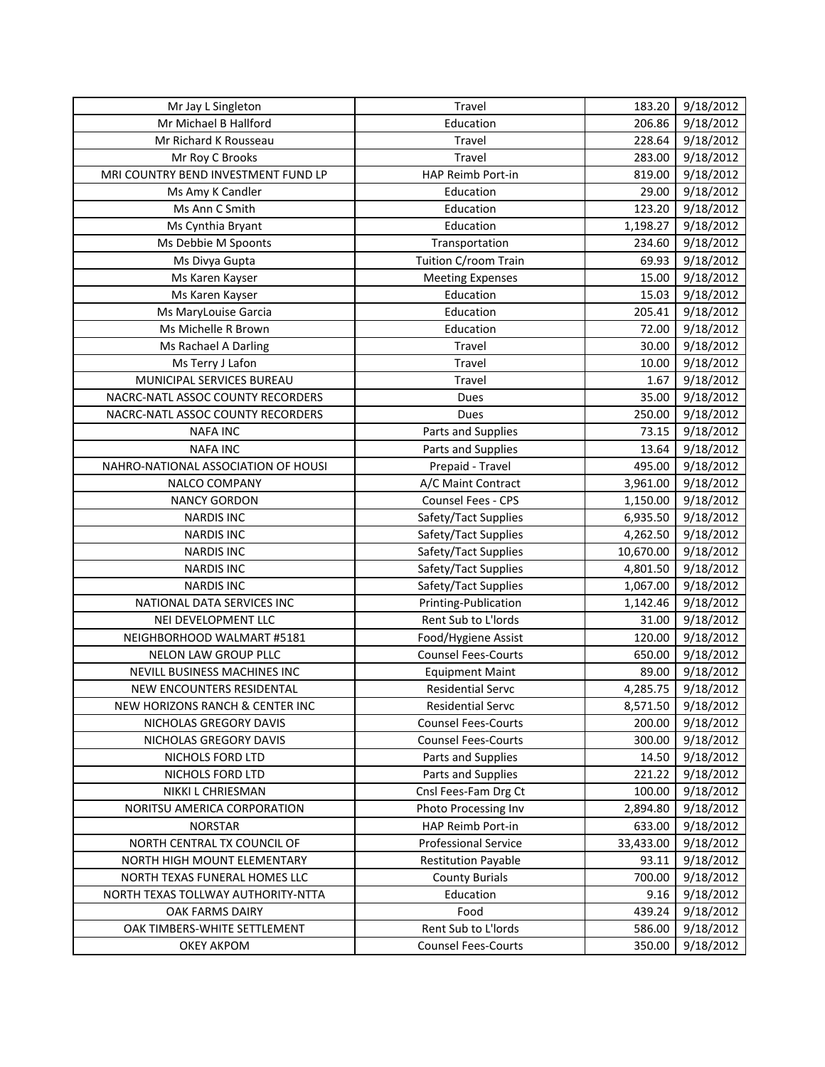| Mr Jay L Singleton                  | Travel                      | 183.20    | 9/18/2012 |
|-------------------------------------|-----------------------------|-----------|-----------|
| Mr Michael B Hallford               | Education                   | 206.86    | 9/18/2012 |
| Mr Richard K Rousseau               | Travel                      | 228.64    | 9/18/2012 |
| Mr Roy C Brooks                     | Travel                      | 283.00    | 9/18/2012 |
| MRI COUNTRY BEND INVESTMENT FUND LP | HAP Reimb Port-in           | 819.00    | 9/18/2012 |
| Ms Amy K Candler                    | Education                   | 29.00     | 9/18/2012 |
| Ms Ann C Smith                      | Education                   | 123.20    | 9/18/2012 |
| Ms Cynthia Bryant                   | Education                   | 1,198.27  | 9/18/2012 |
| Ms Debbie M Spoonts                 | Transportation              | 234.60    | 9/18/2012 |
| Ms Divya Gupta                      | Tuition C/room Train        | 69.93     | 9/18/2012 |
| Ms Karen Kayser                     | <b>Meeting Expenses</b>     | 15.00     | 9/18/2012 |
| Ms Karen Kayser                     | Education                   | 15.03     | 9/18/2012 |
| Ms MaryLouise Garcia                | Education                   | 205.41    | 9/18/2012 |
| Ms Michelle R Brown                 | Education                   | 72.00     | 9/18/2012 |
| Ms Rachael A Darling                | Travel                      | 30.00     | 9/18/2012 |
| Ms Terry J Lafon                    | Travel                      | 10.00     | 9/18/2012 |
| MUNICIPAL SERVICES BUREAU           | Travel                      | 1.67      | 9/18/2012 |
| NACRC-NATL ASSOC COUNTY RECORDERS   | Dues                        | 35.00     | 9/18/2012 |
| NACRC-NATL ASSOC COUNTY RECORDERS   | <b>Dues</b>                 | 250.00    | 9/18/2012 |
| <b>NAFA INC</b>                     | Parts and Supplies          | 73.15     | 9/18/2012 |
| <b>NAFA INC</b>                     | Parts and Supplies          | 13.64     | 9/18/2012 |
| NAHRO-NATIONAL ASSOCIATION OF HOUSI | Prepaid - Travel            | 495.00    | 9/18/2012 |
| NALCO COMPANY                       | A/C Maint Contract          | 3,961.00  | 9/18/2012 |
| <b>NANCY GORDON</b>                 | Counsel Fees - CPS          | 1,150.00  | 9/18/2012 |
| <b>NARDIS INC</b>                   | Safety/Tact Supplies        | 6,935.50  | 9/18/2012 |
| <b>NARDIS INC</b>                   | Safety/Tact Supplies        | 4,262.50  | 9/18/2012 |
| <b>NARDIS INC</b>                   | Safety/Tact Supplies        | 10,670.00 | 9/18/2012 |
| <b>NARDIS INC</b>                   | Safety/Tact Supplies        | 4,801.50  | 9/18/2012 |
| <b>NARDIS INC</b>                   | Safety/Tact Supplies        | 1,067.00  | 9/18/2012 |
| NATIONAL DATA SERVICES INC          | Printing-Publication        | 1,142.46  | 9/18/2012 |
| NEI DEVELOPMENT LLC                 | Rent Sub to L'Iords         | 31.00     | 9/18/2012 |
| NEIGHBORHOOD WALMART #5181          | Food/Hygiene Assist         | 120.00    | 9/18/2012 |
| NELON LAW GROUP PLLC                | <b>Counsel Fees-Courts</b>  | 650.00    | 9/18/2012 |
| NEVILL BUSINESS MACHINES INC        | <b>Equipment Maint</b>      | 89.00     | 9/18/2012 |
| NEW ENCOUNTERS RESIDENTAL           | <b>Residential Servc</b>    | 4,285.75  | 9/18/2012 |
| NEW HORIZONS RANCH & CENTER INC     | Residential Servc           | 8,571.50  | 9/18/2012 |
| NICHOLAS GREGORY DAVIS              | <b>Counsel Fees-Courts</b>  | 200.00    | 9/18/2012 |
| NICHOLAS GREGORY DAVIS              | <b>Counsel Fees-Courts</b>  | 300.00    | 9/18/2012 |
| NICHOLS FORD LTD                    | Parts and Supplies          | 14.50     | 9/18/2012 |
| NICHOLS FORD LTD                    | Parts and Supplies          | 221.22    | 9/18/2012 |
| NIKKI L CHRIESMAN                   | Cnsl Fees-Fam Drg Ct        | 100.00    | 9/18/2012 |
| NORITSU AMERICA CORPORATION         | Photo Processing Inv        | 2,894.80  | 9/18/2012 |
| <b>NORSTAR</b>                      | HAP Reimb Port-in           | 633.00    | 9/18/2012 |
| NORTH CENTRAL TX COUNCIL OF         | <b>Professional Service</b> | 33,433.00 | 9/18/2012 |
| NORTH HIGH MOUNT ELEMENTARY         | <b>Restitution Payable</b>  | 93.11     | 9/18/2012 |
| NORTH TEXAS FUNERAL HOMES LLC       | <b>County Burials</b>       | 700.00    | 9/18/2012 |
| NORTH TEXAS TOLLWAY AUTHORITY-NTTA  | Education                   | 9.16      | 9/18/2012 |
| OAK FARMS DAIRY                     | Food                        | 439.24    | 9/18/2012 |
| OAK TIMBERS-WHITE SETTLEMENT        | Rent Sub to L'Iords         | 586.00    | 9/18/2012 |
| OKEY AKPOM                          | <b>Counsel Fees-Courts</b>  | 350.00    | 9/18/2012 |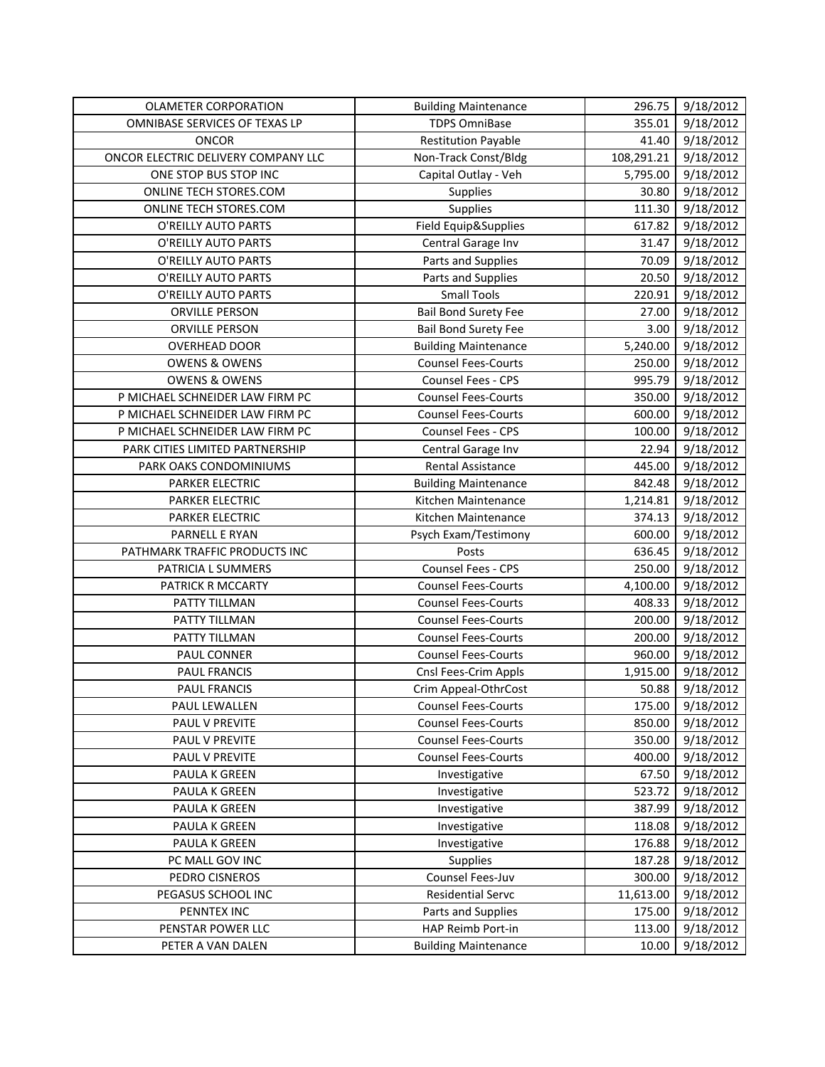| <b>OLAMETER CORPORATION</b>         | <b>Building Maintenance</b> | 296.75     | 9/18/2012 |
|-------------------------------------|-----------------------------|------------|-----------|
| OMNIBASE SERVICES OF TEXAS LP       | <b>TDPS OmniBase</b>        | 355.01     | 9/18/2012 |
| <b>ONCOR</b>                        | <b>Restitution Payable</b>  | 41.40      | 9/18/2012 |
| ONCOR ELECTRIC DELIVERY COMPANY LLC | Non-Track Const/Bldg        | 108,291.21 | 9/18/2012 |
| ONE STOP BUS STOP INC               | Capital Outlay - Veh        | 5,795.00   | 9/18/2012 |
| ONLINE TECH STORES.COM              | Supplies                    | 30.80      | 9/18/2012 |
| ONLINE TECH STORES.COM              | Supplies                    | 111.30     | 9/18/2012 |
| O'REILLY AUTO PARTS                 | Field Equip&Supplies        | 617.82     | 9/18/2012 |
| O'REILLY AUTO PARTS                 | Central Garage Inv          | 31.47      | 9/18/2012 |
| O'REILLY AUTO PARTS                 | Parts and Supplies          | 70.09      | 9/18/2012 |
| O'REILLY AUTO PARTS                 | Parts and Supplies          | 20.50      | 9/18/2012 |
| O'REILLY AUTO PARTS                 | <b>Small Tools</b>          | 220.91     | 9/18/2012 |
| <b>ORVILLE PERSON</b>               | <b>Bail Bond Surety Fee</b> | 27.00      | 9/18/2012 |
| ORVILLE PERSON                      | <b>Bail Bond Surety Fee</b> | 3.00       | 9/18/2012 |
| <b>OVERHEAD DOOR</b>                | <b>Building Maintenance</b> | 5,240.00   | 9/18/2012 |
| <b>OWENS &amp; OWENS</b>            | <b>Counsel Fees-Courts</b>  | 250.00     | 9/18/2012 |
| <b>OWENS &amp; OWENS</b>            | Counsel Fees - CPS          | 995.79     | 9/18/2012 |
| P MICHAEL SCHNEIDER LAW FIRM PC     | <b>Counsel Fees-Courts</b>  | 350.00     | 9/18/2012 |
| P MICHAEL SCHNEIDER LAW FIRM PC     | <b>Counsel Fees-Courts</b>  | 600.00     | 9/18/2012 |
| P MICHAEL SCHNEIDER LAW FIRM PC     | Counsel Fees - CPS          | 100.00     | 9/18/2012 |
| PARK CITIES LIMITED PARTNERSHIP     | Central Garage Inv          | 22.94      | 9/18/2012 |
| PARK OAKS CONDOMINIUMS              | <b>Rental Assistance</b>    | 445.00     | 9/18/2012 |
| PARKER ELECTRIC                     | <b>Building Maintenance</b> | 842.48     | 9/18/2012 |
| <b>PARKER ELECTRIC</b>              | Kitchen Maintenance         | 1,214.81   | 9/18/2012 |
| PARKER ELECTRIC                     | Kitchen Maintenance         | 374.13     | 9/18/2012 |
| PARNELL E RYAN                      | Psych Exam/Testimony        | 600.00     | 9/18/2012 |
| PATHMARK TRAFFIC PRODUCTS INC       | Posts                       | 636.45     | 9/18/2012 |
| PATRICIA L SUMMERS                  | Counsel Fees - CPS          | 250.00     | 9/18/2012 |
| PATRICK R MCCARTY                   | <b>Counsel Fees-Courts</b>  | 4,100.00   | 9/18/2012 |
| PATTY TILLMAN                       | <b>Counsel Fees-Courts</b>  | 408.33     | 9/18/2012 |
| PATTY TILLMAN                       | <b>Counsel Fees-Courts</b>  | 200.00     | 9/18/2012 |
| PATTY TILLMAN                       | <b>Counsel Fees-Courts</b>  | 200.00     | 9/18/2012 |
| PAUL CONNER                         | <b>Counsel Fees-Courts</b>  | 960.00     | 9/18/2012 |
| PAUL FRANCIS                        | Cnsl Fees-Crim Appls        | 1,915.00   | 9/18/2012 |
| PAUL FRANCIS                        | Crim Appeal-OthrCost        | 50.88      | 9/18/2012 |
| PAUL LEWALLEN                       | <b>Counsel Fees-Courts</b>  | 175.00     | 9/18/2012 |
| PAUL V PREVITE                      | <b>Counsel Fees-Courts</b>  | 850.00     | 9/18/2012 |
| PAUL V PREVITE                      | <b>Counsel Fees-Courts</b>  | 350.00     | 9/18/2012 |
| PAUL V PREVITE                      | <b>Counsel Fees-Courts</b>  | 400.00     | 9/18/2012 |
| PAULA K GREEN                       | Investigative               | 67.50      | 9/18/2012 |
| PAULA K GREEN                       | Investigative               | 523.72     | 9/18/2012 |
| PAULA K GREEN                       | Investigative               | 387.99     | 9/18/2012 |
| PAULA K GREEN                       | Investigative               | 118.08     | 9/18/2012 |
| PAULA K GREEN                       | Investigative               | 176.88     | 9/18/2012 |
| PC MALL GOV INC                     | Supplies                    | 187.28     | 9/18/2012 |
| PEDRO CISNEROS                      | Counsel Fees-Juv            | 300.00     | 9/18/2012 |
| PEGASUS SCHOOL INC                  | <b>Residential Servc</b>    | 11,613.00  | 9/18/2012 |
| PENNTEX INC                         | Parts and Supplies          | 175.00     | 9/18/2012 |
| PENSTAR POWER LLC                   | HAP Reimb Port-in           | 113.00     | 9/18/2012 |
| PETER A VAN DALEN                   | <b>Building Maintenance</b> | 10.00      | 9/18/2012 |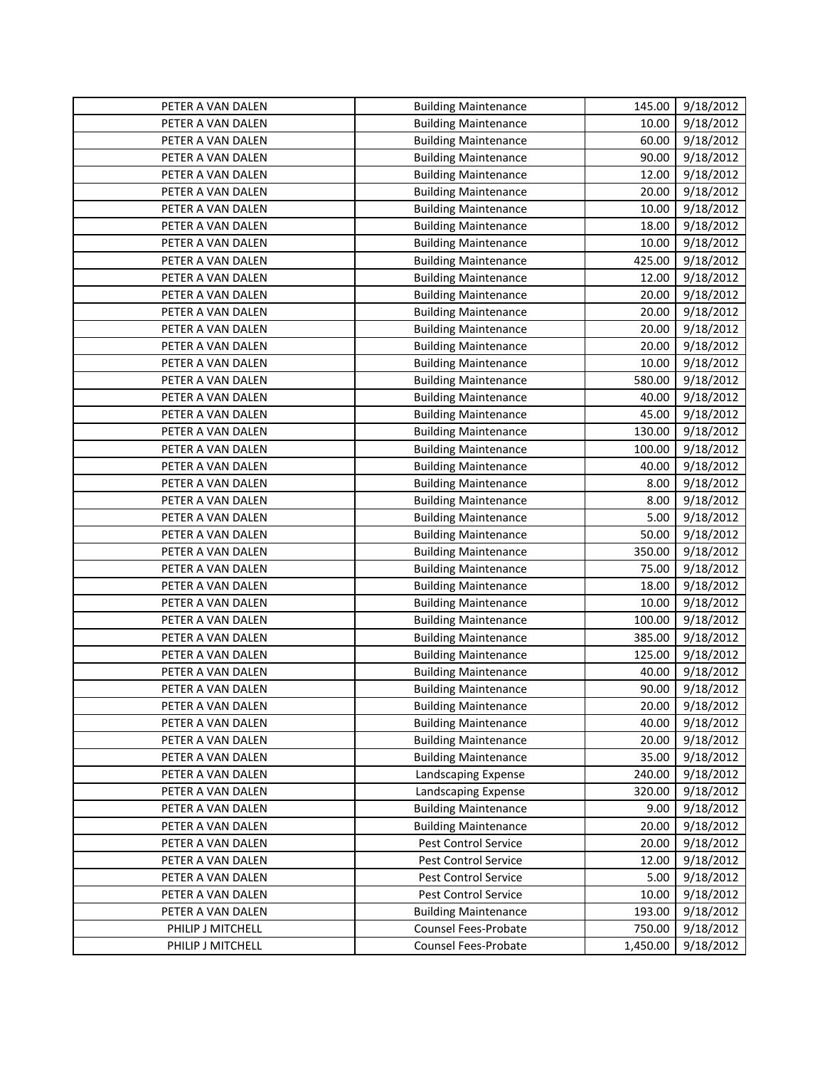| PETER A VAN DALEN | <b>Building Maintenance</b> | 145.00   | 9/18/2012 |
|-------------------|-----------------------------|----------|-----------|
| PETER A VAN DALEN | <b>Building Maintenance</b> | 10.00    | 9/18/2012 |
| PETER A VAN DALEN | <b>Building Maintenance</b> | 60.00    | 9/18/2012 |
| PETER A VAN DALEN | <b>Building Maintenance</b> | 90.00    | 9/18/2012 |
| PETER A VAN DALEN | <b>Building Maintenance</b> | 12.00    | 9/18/2012 |
| PETER A VAN DALEN | <b>Building Maintenance</b> | 20.00    | 9/18/2012 |
| PETER A VAN DALEN | <b>Building Maintenance</b> | 10.00    | 9/18/2012 |
| PETER A VAN DALEN | <b>Building Maintenance</b> | 18.00    | 9/18/2012 |
| PETER A VAN DALEN | <b>Building Maintenance</b> | 10.00    | 9/18/2012 |
| PETER A VAN DALEN | <b>Building Maintenance</b> | 425.00   | 9/18/2012 |
| PETER A VAN DALEN | <b>Building Maintenance</b> | 12.00    | 9/18/2012 |
| PETER A VAN DALEN | <b>Building Maintenance</b> | 20.00    | 9/18/2012 |
| PETER A VAN DALEN | <b>Building Maintenance</b> | 20.00    | 9/18/2012 |
| PETER A VAN DALEN | <b>Building Maintenance</b> | 20.00    | 9/18/2012 |
| PETER A VAN DALEN | <b>Building Maintenance</b> | 20.00    | 9/18/2012 |
| PETER A VAN DALEN | <b>Building Maintenance</b> | 10.00    | 9/18/2012 |
| PETER A VAN DALEN | <b>Building Maintenance</b> | 580.00   | 9/18/2012 |
| PETER A VAN DALEN | <b>Building Maintenance</b> | 40.00    | 9/18/2012 |
| PETER A VAN DALEN | <b>Building Maintenance</b> | 45.00    | 9/18/2012 |
| PETER A VAN DALEN | <b>Building Maintenance</b> | 130.00   | 9/18/2012 |
| PETER A VAN DALEN | <b>Building Maintenance</b> | 100.00   | 9/18/2012 |
| PETER A VAN DALEN | <b>Building Maintenance</b> | 40.00    | 9/18/2012 |
| PETER A VAN DALEN | <b>Building Maintenance</b> | 8.00     | 9/18/2012 |
| PETER A VAN DALEN | <b>Building Maintenance</b> | 8.00     | 9/18/2012 |
| PETER A VAN DALEN | <b>Building Maintenance</b> | 5.00     | 9/18/2012 |
| PETER A VAN DALEN | <b>Building Maintenance</b> | 50.00    | 9/18/2012 |
| PETER A VAN DALEN | <b>Building Maintenance</b> | 350.00   | 9/18/2012 |
| PETER A VAN DALEN | <b>Building Maintenance</b> | 75.00    | 9/18/2012 |
| PETER A VAN DALEN | <b>Building Maintenance</b> | 18.00    | 9/18/2012 |
| PETER A VAN DALEN | <b>Building Maintenance</b> | 10.00    | 9/18/2012 |
| PETER A VAN DALEN | <b>Building Maintenance</b> | 100.00   | 9/18/2012 |
| PETER A VAN DALEN | <b>Building Maintenance</b> | 385.00   | 9/18/2012 |
| PETER A VAN DALEN | <b>Building Maintenance</b> | 125.00   | 9/18/2012 |
| PETER A VAN DALEN | <b>Building Maintenance</b> | 40.00    | 9/18/2012 |
| PETER A VAN DALEN | <b>Building Maintenance</b> | 90.00    | 9/18/2012 |
| PETER A VAN DALEN | <b>Building Maintenance</b> | 20.00    | 9/18/2012 |
| PETER A VAN DALEN | <b>Building Maintenance</b> | 40.00    | 9/18/2012 |
| PETER A VAN DALEN | <b>Building Maintenance</b> | 20.00    | 9/18/2012 |
| PETER A VAN DALEN | <b>Building Maintenance</b> | 35.00    | 9/18/2012 |
| PETER A VAN DALEN | Landscaping Expense         | 240.00   | 9/18/2012 |
| PETER A VAN DALEN | Landscaping Expense         | 320.00   | 9/18/2012 |
| PETER A VAN DALEN | <b>Building Maintenance</b> | 9.00     | 9/18/2012 |
| PETER A VAN DALEN | <b>Building Maintenance</b> | 20.00    | 9/18/2012 |
| PETER A VAN DALEN | Pest Control Service        | 20.00    | 9/18/2012 |
| PETER A VAN DALEN | Pest Control Service        | 12.00    | 9/18/2012 |
| PETER A VAN DALEN | Pest Control Service        | 5.00     | 9/18/2012 |
| PETER A VAN DALEN | Pest Control Service        | 10.00    | 9/18/2012 |
| PETER A VAN DALEN | <b>Building Maintenance</b> | 193.00   | 9/18/2012 |
| PHILIP J MITCHELL | Counsel Fees-Probate        | 750.00   | 9/18/2012 |
| PHILIP J MITCHELL | Counsel Fees-Probate        | 1,450.00 | 9/18/2012 |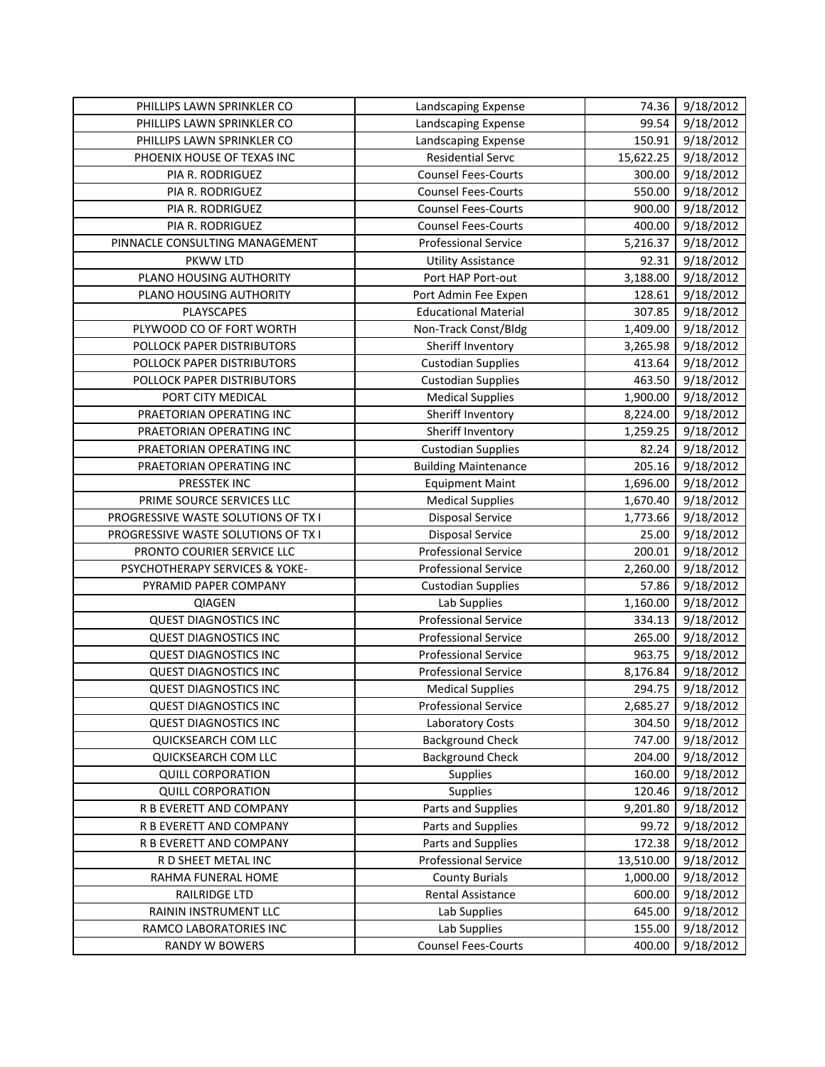| PHILLIPS LAWN SPRINKLER CO          | Landscaping Expense         | 74.36     | 9/18/2012              |
|-------------------------------------|-----------------------------|-----------|------------------------|
| PHILLIPS LAWN SPRINKLER CO          | Landscaping Expense         | 99.54     | 9/18/2012              |
| PHILLIPS LAWN SPRINKLER CO          | Landscaping Expense         | 150.91    | 9/18/2012              |
| PHOENIX HOUSE OF TEXAS INC          | <b>Residential Servc</b>    | 15,622.25 | 9/18/2012              |
| PIA R. RODRIGUEZ                    | <b>Counsel Fees-Courts</b>  | 300.00    | 9/18/2012              |
| PIA R. RODRIGUEZ                    | <b>Counsel Fees-Courts</b>  | 550.00    | 9/18/2012              |
| PIA R. RODRIGUEZ                    | <b>Counsel Fees-Courts</b>  | 900.00    | 9/18/2012              |
| PIA R. RODRIGUEZ                    | <b>Counsel Fees-Courts</b>  | 400.00    | 9/18/2012              |
| PINNACLE CONSULTING MANAGEMENT      | <b>Professional Service</b> | 5,216.37  | 9/18/2012              |
| PKWW LTD                            | <b>Utility Assistance</b>   | 92.31     | 9/18/2012              |
| PLANO HOUSING AUTHORITY             | Port HAP Port-out           | 3,188.00  | 9/18/2012              |
| PLANO HOUSING AUTHORITY             | Port Admin Fee Expen        | 128.61    | 9/18/2012              |
| PLAYSCAPES                          | <b>Educational Material</b> | 307.85    | 9/18/2012              |
| PLYWOOD CO OF FORT WORTH            | Non-Track Const/Bldg        | 1,409.00  | 9/18/2012              |
| POLLOCK PAPER DISTRIBUTORS          | Sheriff Inventory           | 3,265.98  | 9/18/2012              |
| POLLOCK PAPER DISTRIBUTORS          | <b>Custodian Supplies</b>   | 413.64    | 9/18/2012              |
| POLLOCK PAPER DISTRIBUTORS          | <b>Custodian Supplies</b>   | 463.50    | 9/18/2012              |
| PORT CITY MEDICAL                   | <b>Medical Supplies</b>     | 1,900.00  | 9/18/2012              |
| PRAETORIAN OPERATING INC            | Sheriff Inventory           | 8,224.00  | 9/18/2012              |
| PRAETORIAN OPERATING INC            | Sheriff Inventory           | 1,259.25  | $\overline{9}/18/2012$ |
| PRAETORIAN OPERATING INC            | <b>Custodian Supplies</b>   | 82.24     | 9/18/2012              |
| PRAETORIAN OPERATING INC            | <b>Building Maintenance</b> | 205.16    | 9/18/2012              |
| PRESSTEK INC                        | <b>Equipment Maint</b>      | 1,696.00  | 9/18/2012              |
| PRIME SOURCE SERVICES LLC           | <b>Medical Supplies</b>     | 1,670.40  | 9/18/2012              |
| PROGRESSIVE WASTE SOLUTIONS OF TX I | Disposal Service            | 1,773.66  | 9/18/2012              |
| PROGRESSIVE WASTE SOLUTIONS OF TX I | <b>Disposal Service</b>     | 25.00     | 9/18/2012              |
| PRONTO COURIER SERVICE LLC          | <b>Professional Service</b> | 200.01    | 9/18/2012              |
| PSYCHOTHERAPY SERVICES & YOKE-      | <b>Professional Service</b> | 2,260.00  | 9/18/2012              |
| PYRAMID PAPER COMPANY               | <b>Custodian Supplies</b>   | 57.86     | 9/18/2012              |
| <b>QIAGEN</b>                       | Lab Supplies                | 1,160.00  | 9/18/2012              |
| <b>QUEST DIAGNOSTICS INC</b>        | <b>Professional Service</b> | 334.13    | 9/18/2012              |
| <b>QUEST DIAGNOSTICS INC</b>        | <b>Professional Service</b> | 265.00    | 9/18/2012              |
| <b>QUEST DIAGNOSTICS INC</b>        | <b>Professional Service</b> | 963.75    | 9/18/2012              |
| <b>QUEST DIAGNOSTICS INC</b>        | <b>Professional Service</b> | 8,176.84  | 9/18/2012              |
| <b>QUEST DIAGNOSTICS INC</b>        | <b>Medical Supplies</b>     | 294.75    | 9/18/2012              |
| <b>QUEST DIAGNOSTICS INC</b>        | <b>Professional Service</b> | 2,685.27  | 9/18/2012              |
| <b>QUEST DIAGNOSTICS INC</b>        | Laboratory Costs            | 304.50    | 9/18/2012              |
| QUICKSEARCH COM LLC                 | <b>Background Check</b>     | 747.00    | 9/18/2012              |
| QUICKSEARCH COM LLC                 | <b>Background Check</b>     | 204.00    | 9/18/2012              |
| <b>QUILL CORPORATION</b>            | Supplies                    | 160.00    | 9/18/2012              |
| <b>QUILL CORPORATION</b>            | Supplies                    | 120.46    | 9/18/2012              |
| R B EVERETT AND COMPANY             | Parts and Supplies          | 9,201.80  | 9/18/2012              |
| R B EVERETT AND COMPANY             | Parts and Supplies          | 99.72     | 9/18/2012              |
| R B EVERETT AND COMPANY             | Parts and Supplies          | 172.38    | 9/18/2012              |
| R D SHEET METAL INC                 | <b>Professional Service</b> | 13,510.00 | 9/18/2012              |
| RAHMA FUNERAL HOME                  | <b>County Burials</b>       | 1,000.00  | 9/18/2012              |
| RAILRIDGE LTD                       | <b>Rental Assistance</b>    | 600.00    | 9/18/2012              |
| RAININ INSTRUMENT LLC               | Lab Supplies                | 645.00    | 9/18/2012              |
| RAMCO LABORATORIES INC              | Lab Supplies                | 155.00    | 9/18/2012              |
| <b>RANDY W BOWERS</b>               | <b>Counsel Fees-Courts</b>  | 400.00    | 9/18/2012              |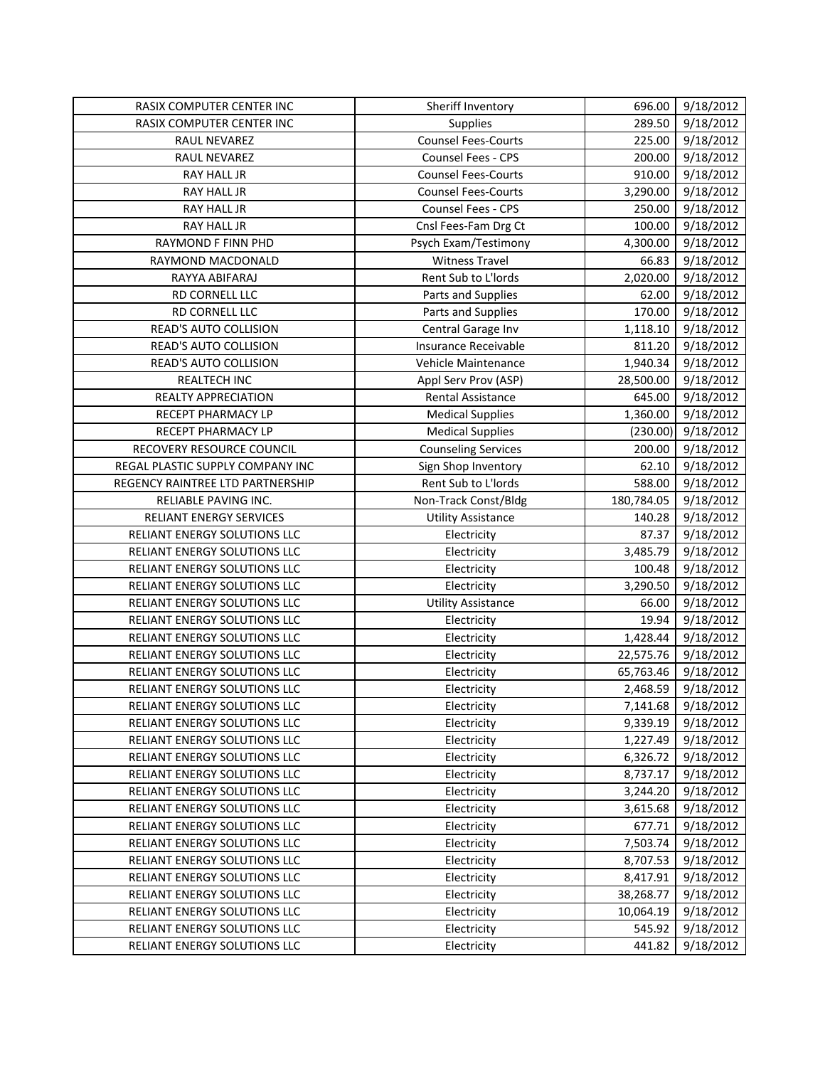| RASIX COMPUTER CENTER INC        | Sheriff Inventory          | 696.00     | 9/18/2012 |
|----------------------------------|----------------------------|------------|-----------|
| RASIX COMPUTER CENTER INC        | Supplies                   | 289.50     | 9/18/2012 |
| RAUL NEVAREZ                     | <b>Counsel Fees-Courts</b> | 225.00     | 9/18/2012 |
| RAUL NEVAREZ                     | Counsel Fees - CPS         | 200.00     | 9/18/2012 |
| RAY HALL JR                      | <b>Counsel Fees-Courts</b> | 910.00     | 9/18/2012 |
| RAY HALL JR                      | <b>Counsel Fees-Courts</b> | 3,290.00   | 9/18/2012 |
| RAY HALL JR                      | Counsel Fees - CPS         | 250.00     | 9/18/2012 |
| RAY HALL JR                      | Cnsl Fees-Fam Drg Ct       | 100.00     | 9/18/2012 |
| RAYMOND F FINN PHD               | Psych Exam/Testimony       | 4,300.00   | 9/18/2012 |
| RAYMOND MACDONALD                | <b>Witness Travel</b>      | 66.83      | 9/18/2012 |
| RAYYA ABIFARAJ                   | Rent Sub to L'Iords        | 2,020.00   | 9/18/2012 |
| RD CORNELL LLC                   | Parts and Supplies         | 62.00      | 9/18/2012 |
| RD CORNELL LLC                   | Parts and Supplies         | 170.00     | 9/18/2012 |
| READ'S AUTO COLLISION            | Central Garage Inv         | 1,118.10   | 9/18/2012 |
| READ'S AUTO COLLISION            | Insurance Receivable       | 811.20     | 9/18/2012 |
| READ'S AUTO COLLISION            | Vehicle Maintenance        | 1,940.34   | 9/18/2012 |
| <b>REALTECH INC</b>              | Appl Serv Prov (ASP)       | 28,500.00  | 9/18/2012 |
| REALTY APPRECIATION              | <b>Rental Assistance</b>   | 645.00     | 9/18/2012 |
| RECEPT PHARMACY LP               | <b>Medical Supplies</b>    | 1,360.00   | 9/18/2012 |
| RECEPT PHARMACY LP               | <b>Medical Supplies</b>    | (230.00)   | 9/18/2012 |
| RECOVERY RESOURCE COUNCIL        | <b>Counseling Services</b> | 200.00     | 9/18/2012 |
| REGAL PLASTIC SUPPLY COMPANY INC | Sign Shop Inventory        | 62.10      | 9/18/2012 |
| REGENCY RAINTREE LTD PARTNERSHIP | Rent Sub to L'Iords        | 588.00     | 9/18/2012 |
| RELIABLE PAVING INC.             | Non-Track Const/Bldg       | 180,784.05 | 9/18/2012 |
| RELIANT ENERGY SERVICES          | <b>Utility Assistance</b>  | 140.28     | 9/18/2012 |
| RELIANT ENERGY SOLUTIONS LLC     | Electricity                | 87.37      | 9/18/2012 |
| RELIANT ENERGY SOLUTIONS LLC     | Electricity                | 3,485.79   | 9/18/2012 |
| RELIANT ENERGY SOLUTIONS LLC     | Electricity                | 100.48     | 9/18/2012 |
| RELIANT ENERGY SOLUTIONS LLC     | Electricity                | 3,290.50   | 9/18/2012 |
| RELIANT ENERGY SOLUTIONS LLC     | <b>Utility Assistance</b>  | 66.00      | 9/18/2012 |
| RELIANT ENERGY SOLUTIONS LLC     | Electricity                | 19.94      | 9/18/2012 |
| RELIANT ENERGY SOLUTIONS LLC     | Electricity                | 1,428.44   | 9/18/2012 |
| RELIANT ENERGY SOLUTIONS LLC     | Electricity                | 22,575.76  | 9/18/2012 |
| RELIANT ENERGY SOLUTIONS LLC     | Electricity                | 65,763.46  | 9/18/2012 |
| RELIANT ENERGY SOLUTIONS LLC     | Electricity                | 2,468.59   | 9/18/2012 |
| RELIANT ENERGY SOLUTIONS LLC     | Electricity                | 7,141.68   | 9/18/2012 |
| RELIANT ENERGY SOLUTIONS LLC     | Electricity                | 9,339.19   | 9/18/2012 |
| RELIANT ENERGY SOLUTIONS LLC     | Electricity                | 1,227.49   | 9/18/2012 |
| RELIANT ENERGY SOLUTIONS LLC     | Electricity                | 6,326.72   | 9/18/2012 |
| RELIANT ENERGY SOLUTIONS LLC     | Electricity                | 8,737.17   | 9/18/2012 |
| RELIANT ENERGY SOLUTIONS LLC     | Electricity                | 3,244.20   | 9/18/2012 |
| RELIANT ENERGY SOLUTIONS LLC     | Electricity                | 3,615.68   | 9/18/2012 |
| RELIANT ENERGY SOLUTIONS LLC     | Electricity                | 677.71     | 9/18/2012 |
| RELIANT ENERGY SOLUTIONS LLC     | Electricity                | 7,503.74   | 9/18/2012 |
| RELIANT ENERGY SOLUTIONS LLC     | Electricity                | 8,707.53   | 9/18/2012 |
| RELIANT ENERGY SOLUTIONS LLC     | Electricity                | 8,417.91   | 9/18/2012 |
| RELIANT ENERGY SOLUTIONS LLC     | Electricity                | 38,268.77  | 9/18/2012 |
| RELIANT ENERGY SOLUTIONS LLC     | Electricity                | 10,064.19  | 9/18/2012 |
| RELIANT ENERGY SOLUTIONS LLC     | Electricity                | 545.92     | 9/18/2012 |
| RELIANT ENERGY SOLUTIONS LLC     | Electricity                | 441.82     | 9/18/2012 |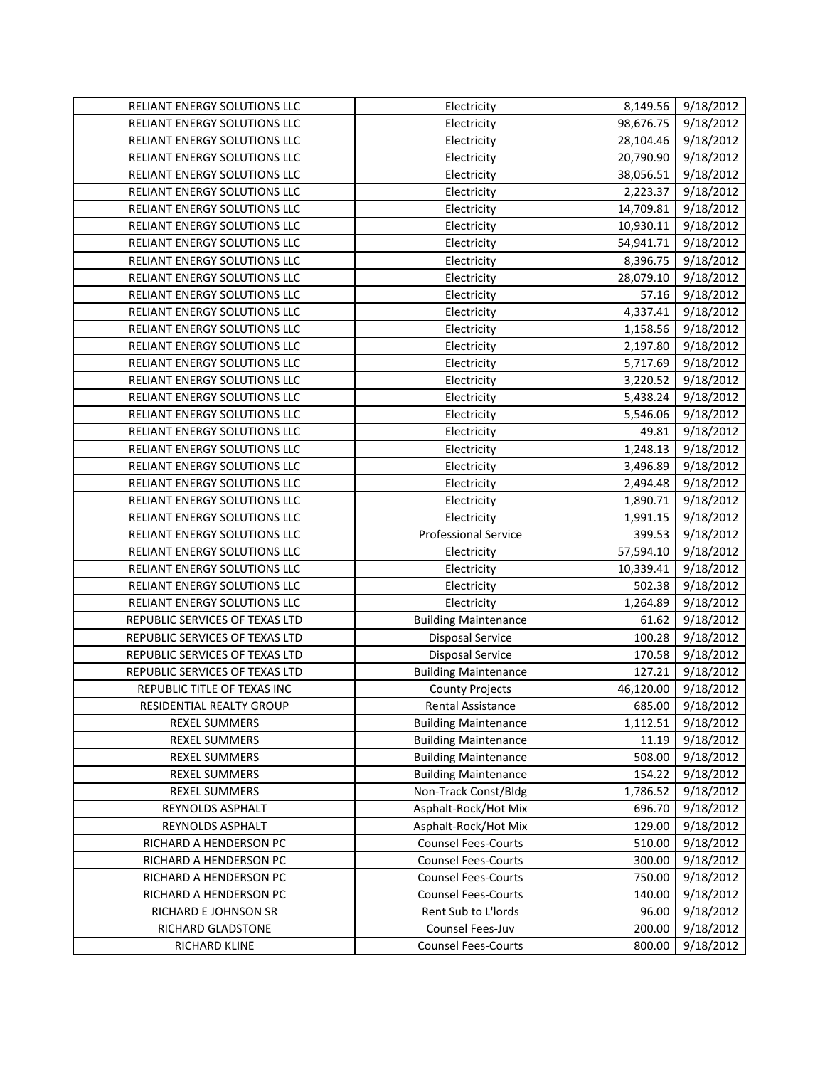| RELIANT ENERGY SOLUTIONS LLC   | Electricity                 | 8,149.56  | 9/18/2012 |
|--------------------------------|-----------------------------|-----------|-----------|
| RELIANT ENERGY SOLUTIONS LLC   | Electricity                 | 98,676.75 | 9/18/2012 |
| RELIANT ENERGY SOLUTIONS LLC   | Electricity                 | 28,104.46 | 9/18/2012 |
| RELIANT ENERGY SOLUTIONS LLC   | Electricity                 | 20,790.90 | 9/18/2012 |
| RELIANT ENERGY SOLUTIONS LLC   | Electricity                 | 38,056.51 | 9/18/2012 |
| RELIANT ENERGY SOLUTIONS LLC   | Electricity                 | 2,223.37  | 9/18/2012 |
| RELIANT ENERGY SOLUTIONS LLC   | Electricity                 | 14,709.81 | 9/18/2012 |
| RELIANT ENERGY SOLUTIONS LLC   | Electricity                 | 10,930.11 | 9/18/2012 |
| RELIANT ENERGY SOLUTIONS LLC   | Electricity                 | 54,941.71 | 9/18/2012 |
| RELIANT ENERGY SOLUTIONS LLC   | Electricity                 | 8,396.75  | 9/18/2012 |
| RELIANT ENERGY SOLUTIONS LLC   | Electricity                 | 28,079.10 | 9/18/2012 |
| RELIANT ENERGY SOLUTIONS LLC   | Electricity                 | 57.16     | 9/18/2012 |
| RELIANT ENERGY SOLUTIONS LLC   | Electricity                 | 4,337.41  | 9/18/2012 |
| RELIANT ENERGY SOLUTIONS LLC   | Electricity                 | 1,158.56  | 9/18/2012 |
| RELIANT ENERGY SOLUTIONS LLC   | Electricity                 | 2,197.80  | 9/18/2012 |
| RELIANT ENERGY SOLUTIONS LLC   | Electricity                 | 5,717.69  | 9/18/2012 |
| RELIANT ENERGY SOLUTIONS LLC   | Electricity                 | 3,220.52  | 9/18/2012 |
| RELIANT ENERGY SOLUTIONS LLC   | Electricity                 | 5,438.24  | 9/18/2012 |
| RELIANT ENERGY SOLUTIONS LLC   | Electricity                 | 5,546.06  | 9/18/2012 |
| RELIANT ENERGY SOLUTIONS LLC   | Electricity                 | 49.81     | 9/18/2012 |
| RELIANT ENERGY SOLUTIONS LLC   | Electricity                 | 1,248.13  | 9/18/2012 |
| RELIANT ENERGY SOLUTIONS LLC   | Electricity                 | 3,496.89  | 9/18/2012 |
| RELIANT ENERGY SOLUTIONS LLC   | Electricity                 | 2,494.48  | 9/18/2012 |
| RELIANT ENERGY SOLUTIONS LLC   | Electricity                 | 1,890.71  | 9/18/2012 |
| RELIANT ENERGY SOLUTIONS LLC   | Electricity                 | 1,991.15  | 9/18/2012 |
| RELIANT ENERGY SOLUTIONS LLC   | <b>Professional Service</b> | 399.53    | 9/18/2012 |
| RELIANT ENERGY SOLUTIONS LLC   | Electricity                 | 57,594.10 | 9/18/2012 |
| RELIANT ENERGY SOLUTIONS LLC   | Electricity                 | 10,339.41 | 9/18/2012 |
| RELIANT ENERGY SOLUTIONS LLC   | Electricity                 | 502.38    | 9/18/2012 |
| RELIANT ENERGY SOLUTIONS LLC   | Electricity                 | 1,264.89  | 9/18/2012 |
| REPUBLIC SERVICES OF TEXAS LTD | <b>Building Maintenance</b> | 61.62     | 9/18/2012 |
| REPUBLIC SERVICES OF TEXAS LTD | <b>Disposal Service</b>     | 100.28    | 9/18/2012 |
| REPUBLIC SERVICES OF TEXAS LTD | <b>Disposal Service</b>     | 170.58    | 9/18/2012 |
| REPUBLIC SERVICES OF TEXAS LTD | <b>Building Maintenance</b> | 127.21    | 9/18/2012 |
| REPUBLIC TITLE OF TEXAS INC    | <b>County Projects</b>      | 46,120.00 | 9/18/2012 |
| RESIDENTIAL REALTY GROUP       | Rental Assistance           | 685.00    | 9/18/2012 |
| <b>REXEL SUMMERS</b>           | <b>Building Maintenance</b> | 1,112.51  | 9/18/2012 |
| <b>REXEL SUMMERS</b>           | <b>Building Maintenance</b> | 11.19     | 9/18/2012 |
| <b>REXEL SUMMERS</b>           | <b>Building Maintenance</b> | 508.00    | 9/18/2012 |
| <b>REXEL SUMMERS</b>           | <b>Building Maintenance</b> | 154.22    | 9/18/2012 |
| <b>REXEL SUMMERS</b>           | Non-Track Const/Bldg        | 1,786.52  | 9/18/2012 |
| REYNOLDS ASPHALT               | Asphalt-Rock/Hot Mix        | 696.70    | 9/18/2012 |
| REYNOLDS ASPHALT               | Asphalt-Rock/Hot Mix        | 129.00    | 9/18/2012 |
| RICHARD A HENDERSON PC         | <b>Counsel Fees-Courts</b>  | 510.00    | 9/18/2012 |
| RICHARD A HENDERSON PC         | <b>Counsel Fees-Courts</b>  | 300.00    | 9/18/2012 |
| RICHARD A HENDERSON PC         | <b>Counsel Fees-Courts</b>  | 750.00    | 9/18/2012 |
| RICHARD A HENDERSON PC         | <b>Counsel Fees-Courts</b>  | 140.00    | 9/18/2012 |
| RICHARD E JOHNSON SR           | Rent Sub to L'Iords         | 96.00     | 9/18/2012 |
| RICHARD GLADSTONE              | Counsel Fees-Juv            | 200.00    | 9/18/2012 |
| RICHARD KLINE                  | <b>Counsel Fees-Courts</b>  | 800.00    | 9/18/2012 |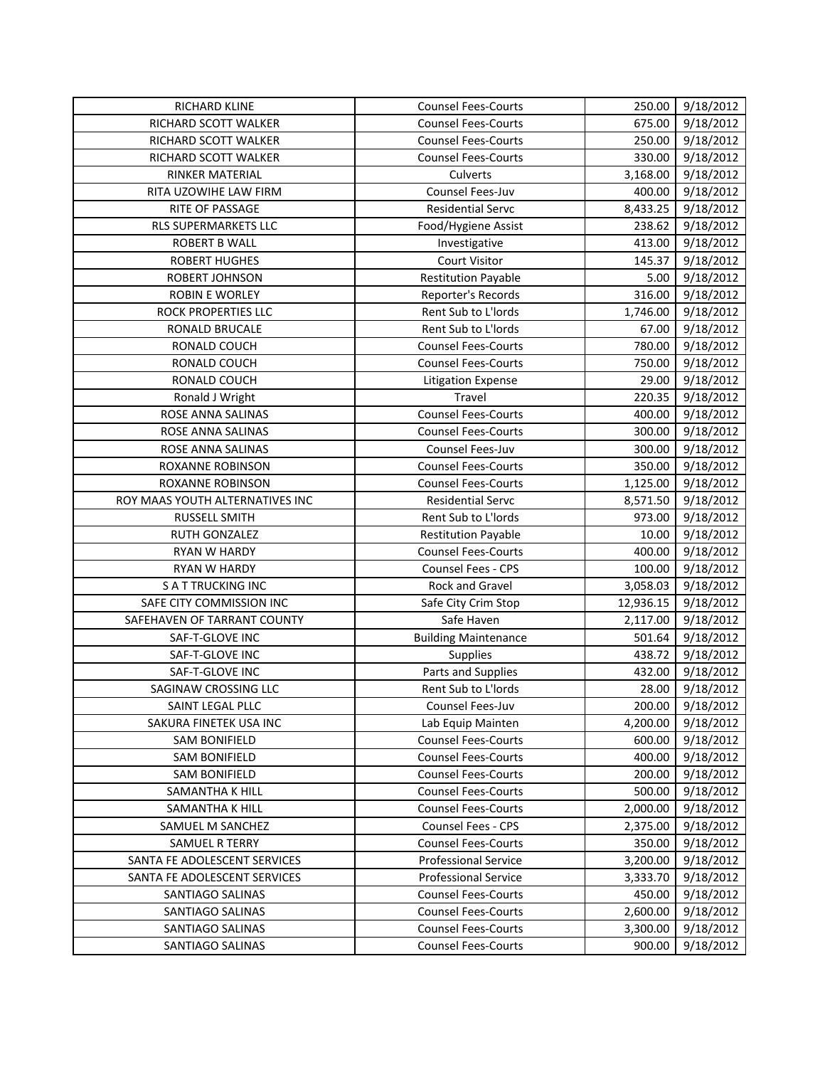| <b>RICHARD KLINE</b>            | <b>Counsel Fees-Courts</b>  | 250.00    | 9/18/2012 |
|---------------------------------|-----------------------------|-----------|-----------|
| RICHARD SCOTT WALKER            | <b>Counsel Fees-Courts</b>  | 675.00    | 9/18/2012 |
| RICHARD SCOTT WALKER            | <b>Counsel Fees-Courts</b>  | 250.00    | 9/18/2012 |
| RICHARD SCOTT WALKER            | <b>Counsel Fees-Courts</b>  | 330.00    | 9/18/2012 |
| RINKER MATERIAL                 | Culverts                    | 3,168.00  | 9/18/2012 |
| RITA UZOWIHE LAW FIRM           | Counsel Fees-Juv            | 400.00    | 9/18/2012 |
| RITE OF PASSAGE                 | <b>Residential Servc</b>    | 8,433.25  | 9/18/2012 |
| RLS SUPERMARKETS LLC            | Food/Hygiene Assist         | 238.62    | 9/18/2012 |
| <b>ROBERT B WALL</b>            | Investigative               | 413.00    | 9/18/2012 |
| <b>ROBERT HUGHES</b>            | <b>Court Visitor</b>        | 145.37    | 9/18/2012 |
| ROBERT JOHNSON                  | <b>Restitution Payable</b>  | 5.00      | 9/18/2012 |
| <b>ROBIN E WORLEY</b>           | Reporter's Records          | 316.00    | 9/18/2012 |
| ROCK PROPERTIES LLC             | Rent Sub to L'Iords         | 1,746.00  | 9/18/2012 |
| RONALD BRUCALE                  | Rent Sub to L'Iords         | 67.00     | 9/18/2012 |
| RONALD COUCH                    | <b>Counsel Fees-Courts</b>  | 780.00    | 9/18/2012 |
| RONALD COUCH                    | <b>Counsel Fees-Courts</b>  | 750.00    | 9/18/2012 |
| RONALD COUCH                    | <b>Litigation Expense</b>   | 29.00     | 9/18/2012 |
| Ronald J Wright                 | Travel                      | 220.35    | 9/18/2012 |
| ROSE ANNA SALINAS               | <b>Counsel Fees-Courts</b>  | 400.00    | 9/18/2012 |
| ROSE ANNA SALINAS               | <b>Counsel Fees-Courts</b>  | 300.00    | 9/18/2012 |
| ROSE ANNA SALINAS               | Counsel Fees-Juv            | 300.00    | 9/18/2012 |
| ROXANNE ROBINSON                | <b>Counsel Fees-Courts</b>  | 350.00    | 9/18/2012 |
| ROXANNE ROBINSON                | <b>Counsel Fees-Courts</b>  | 1,125.00  | 9/18/2012 |
| ROY MAAS YOUTH ALTERNATIVES INC | <b>Residential Servc</b>    | 8,571.50  | 9/18/2012 |
| RUSSELL SMITH                   | Rent Sub to L'Iords         | 973.00    | 9/18/2012 |
| RUTH GONZALEZ                   | <b>Restitution Payable</b>  | 10.00     | 9/18/2012 |
| RYAN W HARDY                    | Counsel Fees-Courts         | 400.00    | 9/18/2012 |
| RYAN W HARDY                    | Counsel Fees - CPS          | 100.00    | 9/18/2012 |
| <b>S A T TRUCKING INC</b>       | <b>Rock and Gravel</b>      | 3,058.03  | 9/18/2012 |
| SAFE CITY COMMISSION INC        | Safe City Crim Stop         | 12,936.15 | 9/18/2012 |
| SAFEHAVEN OF TARRANT COUNTY     | Safe Haven                  | 2,117.00  | 9/18/2012 |
| SAF-T-GLOVE INC                 | <b>Building Maintenance</b> | 501.64    | 9/18/2012 |
| SAF-T-GLOVE INC                 | Supplies                    | 438.72    | 9/18/2012 |
| SAF-T-GLOVE INC                 | Parts and Supplies          | 432.00    | 9/18/2012 |
| SAGINAW CROSSING LLC            | Rent Sub to L'Iords         | 28.00     | 9/18/2012 |
| SAINT LEGAL PLLC                | Counsel Fees-Juv            | 200.00    | 9/18/2012 |
| SAKURA FINETEK USA INC          | Lab Equip Mainten           | 4,200.00  | 9/18/2012 |
| <b>SAM BONIFIELD</b>            | <b>Counsel Fees-Courts</b>  | 600.00    | 9/18/2012 |
| <b>SAM BONIFIELD</b>            | <b>Counsel Fees-Courts</b>  | 400.00    | 9/18/2012 |
| <b>SAM BONIFIELD</b>            | <b>Counsel Fees-Courts</b>  | 200.00    | 9/18/2012 |
| SAMANTHA K HILL                 | <b>Counsel Fees-Courts</b>  | 500.00    | 9/18/2012 |
| SAMANTHA K HILL                 | <b>Counsel Fees-Courts</b>  | 2,000.00  | 9/18/2012 |
| SAMUEL M SANCHEZ                | Counsel Fees - CPS          | 2,375.00  | 9/18/2012 |
| SAMUEL R TERRY                  | <b>Counsel Fees-Courts</b>  | 350.00    | 9/18/2012 |
| SANTA FE ADOLESCENT SERVICES    | <b>Professional Service</b> | 3,200.00  | 9/18/2012 |
| SANTA FE ADOLESCENT SERVICES    | <b>Professional Service</b> | 3,333.70  | 9/18/2012 |
| SANTIAGO SALINAS                | <b>Counsel Fees-Courts</b>  | 450.00    | 9/18/2012 |
| SANTIAGO SALINAS                | <b>Counsel Fees-Courts</b>  | 2,600.00  | 9/18/2012 |
| SANTIAGO SALINAS                | <b>Counsel Fees-Courts</b>  | 3,300.00  | 9/18/2012 |
| SANTIAGO SALINAS                | <b>Counsel Fees-Courts</b>  | 900.00    | 9/18/2012 |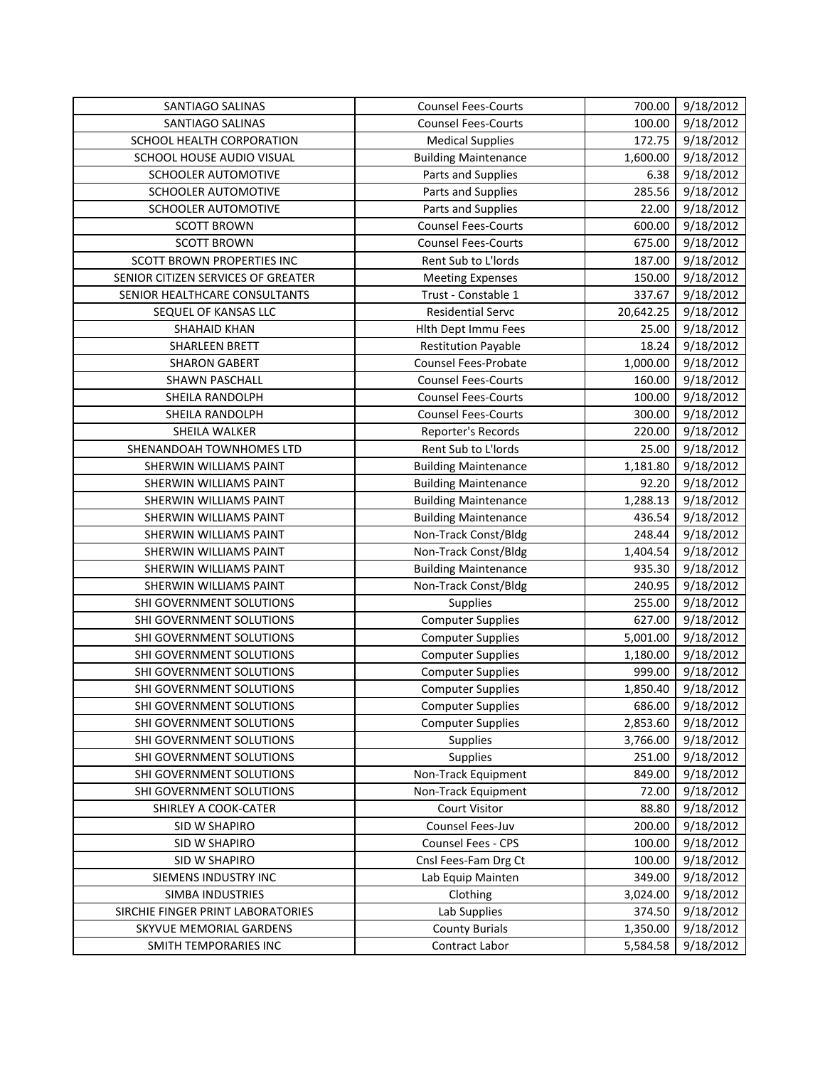| SANTIAGO SALINAS                   | <b>Counsel Fees-Courts</b>  | 700.00    | 9/18/2012 |
|------------------------------------|-----------------------------|-----------|-----------|
| SANTIAGO SALINAS                   | <b>Counsel Fees-Courts</b>  | 100.00    | 9/18/2012 |
| SCHOOL HEALTH CORPORATION          | <b>Medical Supplies</b>     | 172.75    | 9/18/2012 |
| SCHOOL HOUSE AUDIO VISUAL          | <b>Building Maintenance</b> | 1,600.00  | 9/18/2012 |
| SCHOOLER AUTOMOTIVE                | Parts and Supplies          | 6.38      | 9/18/2012 |
| SCHOOLER AUTOMOTIVE                | Parts and Supplies          | 285.56    | 9/18/2012 |
| SCHOOLER AUTOMOTIVE                | Parts and Supplies          | 22.00     | 9/18/2012 |
| <b>SCOTT BROWN</b>                 | <b>Counsel Fees-Courts</b>  | 600.00    | 9/18/2012 |
| <b>SCOTT BROWN</b>                 | <b>Counsel Fees-Courts</b>  | 675.00    | 9/18/2012 |
| <b>SCOTT BROWN PROPERTIES INC</b>  | Rent Sub to L'Iords         | 187.00    | 9/18/2012 |
| SENIOR CITIZEN SERVICES OF GREATER | <b>Meeting Expenses</b>     | 150.00    | 9/18/2012 |
| SENIOR HEALTHCARE CONSULTANTS      | Trust - Constable 1         | 337.67    | 9/18/2012 |
| SEQUEL OF KANSAS LLC               | <b>Residential Servc</b>    | 20,642.25 | 9/18/2012 |
| <b>SHAHAID KHAN</b>                | Hith Dept Immu Fees         | 25.00     | 9/18/2012 |
| SHARLEEN BRETT                     | <b>Restitution Payable</b>  | 18.24     | 9/18/2012 |
| <b>SHARON GABERT</b>               | <b>Counsel Fees-Probate</b> | 1,000.00  | 9/18/2012 |
| SHAWN PASCHALL                     | <b>Counsel Fees-Courts</b>  | 160.00    | 9/18/2012 |
| SHEILA RANDOLPH                    | <b>Counsel Fees-Courts</b>  | 100.00    | 9/18/2012 |
| SHEILA RANDOLPH                    | <b>Counsel Fees-Courts</b>  | 300.00    | 9/18/2012 |
| SHEILA WALKER                      | Reporter's Records          | 220.00    | 9/18/2012 |
| SHENANDOAH TOWNHOMES LTD           | Rent Sub to L'Iords         | 25.00     | 9/18/2012 |
| SHERWIN WILLIAMS PAINT             | <b>Building Maintenance</b> | 1,181.80  | 9/18/2012 |
| SHERWIN WILLIAMS PAINT             | <b>Building Maintenance</b> | 92.20     | 9/18/2012 |
| SHERWIN WILLIAMS PAINT             | <b>Building Maintenance</b> | 1,288.13  | 9/18/2012 |
| SHERWIN WILLIAMS PAINT             | <b>Building Maintenance</b> | 436.54    | 9/18/2012 |
| SHERWIN WILLIAMS PAINT             | Non-Track Const/Bldg        | 248.44    | 9/18/2012 |
| SHERWIN WILLIAMS PAINT             | Non-Track Const/Bldg        | 1,404.54  | 9/18/2012 |
| SHERWIN WILLIAMS PAINT             | <b>Building Maintenance</b> | 935.30    | 9/18/2012 |
| SHERWIN WILLIAMS PAINT             | Non-Track Const/Bldg        | 240.95    | 9/18/2012 |
| SHI GOVERNMENT SOLUTIONS           | <b>Supplies</b>             | 255.00    | 9/18/2012 |
| SHI GOVERNMENT SOLUTIONS           | <b>Computer Supplies</b>    | 627.00    | 9/18/2012 |
| SHI GOVERNMENT SOLUTIONS           | <b>Computer Supplies</b>    | 5,001.00  | 9/18/2012 |
| SHI GOVERNMENT SOLUTIONS           | <b>Computer Supplies</b>    | 1,180.00  | 9/18/2012 |
| SHI GOVERNMENT SOLUTIONS           | <b>Computer Supplies</b>    | 999.00    | 9/18/2012 |
| SHI GOVERNMENT SOLUTIONS           | <b>Computer Supplies</b>    | 1,850.40  | 9/18/2012 |
| SHI GOVERNMENT SOLUTIONS           | <b>Computer Supplies</b>    | 686.00    | 9/18/2012 |
| SHI GOVERNMENT SOLUTIONS           | <b>Computer Supplies</b>    | 2,853.60  | 9/18/2012 |
| SHI GOVERNMENT SOLUTIONS           | <b>Supplies</b>             | 3,766.00  | 9/18/2012 |
| SHI GOVERNMENT SOLUTIONS           | Supplies                    | 251.00    | 9/18/2012 |
| SHI GOVERNMENT SOLUTIONS           | Non-Track Equipment         | 849.00    | 9/18/2012 |
| SHI GOVERNMENT SOLUTIONS           | Non-Track Equipment         | 72.00     | 9/18/2012 |
| SHIRLEY A COOK-CATER               | <b>Court Visitor</b>        | 88.80     | 9/18/2012 |
| SID W SHAPIRO                      | Counsel Fees-Juv            | 200.00    | 9/18/2012 |
| SID W SHAPIRO                      | Counsel Fees - CPS          | 100.00    | 9/18/2012 |
| SID W SHAPIRO                      | Cnsl Fees-Fam Drg Ct        | 100.00    | 9/18/2012 |
| SIEMENS INDUSTRY INC               | Lab Equip Mainten           | 349.00    | 9/18/2012 |
| SIMBA INDUSTRIES                   | Clothing                    | 3,024.00  | 9/18/2012 |
| SIRCHIE FINGER PRINT LABORATORIES  | Lab Supplies                | 374.50    | 9/18/2012 |
| SKYVUE MEMORIAL GARDENS            | <b>County Burials</b>       | 1,350.00  | 9/18/2012 |
| SMITH TEMPORARIES INC              | Contract Labor              | 5,584.58  | 9/18/2012 |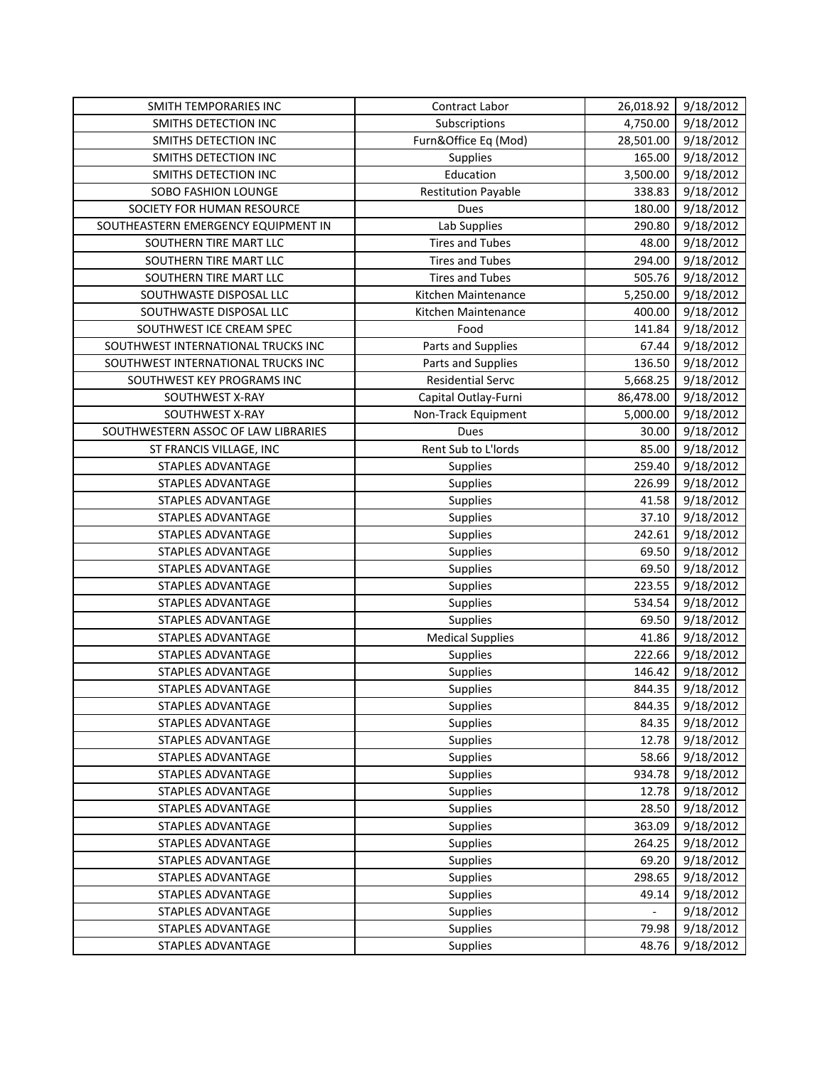| SMITH TEMPORARIES INC               | Contract Labor             | 26,018.92 | 9/18/2012 |
|-------------------------------------|----------------------------|-----------|-----------|
| SMITHS DETECTION INC                | Subscriptions              | 4,750.00  | 9/18/2012 |
| SMITHS DETECTION INC                | Furn&Office Eq (Mod)       | 28,501.00 | 9/18/2012 |
| SMITHS DETECTION INC                | Supplies                   | 165.00    | 9/18/2012 |
| SMITHS DETECTION INC                | Education                  | 3,500.00  | 9/18/2012 |
| SOBO FASHION LOUNGE                 | <b>Restitution Payable</b> | 338.83    | 9/18/2012 |
| SOCIETY FOR HUMAN RESOURCE          | Dues                       | 180.00    | 9/18/2012 |
| SOUTHEASTERN EMERGENCY EQUIPMENT IN | Lab Supplies               | 290.80    | 9/18/2012 |
| SOUTHERN TIRE MART LLC              | <b>Tires and Tubes</b>     | 48.00     | 9/18/2012 |
| SOUTHERN TIRE MART LLC              | <b>Tires and Tubes</b>     | 294.00    | 9/18/2012 |
| SOUTHERN TIRE MART LLC              | <b>Tires and Tubes</b>     | 505.76    | 9/18/2012 |
| SOUTHWASTE DISPOSAL LLC             | Kitchen Maintenance        | 5,250.00  | 9/18/2012 |
| SOUTHWASTE DISPOSAL LLC             | Kitchen Maintenance        | 400.00    | 9/18/2012 |
| SOUTHWEST ICE CREAM SPEC            | Food                       | 141.84    | 9/18/2012 |
| SOUTHWEST INTERNATIONAL TRUCKS INC  | Parts and Supplies         | 67.44     | 9/18/2012 |
| SOUTHWEST INTERNATIONAL TRUCKS INC  | Parts and Supplies         | 136.50    | 9/18/2012 |
| SOUTHWEST KEY PROGRAMS INC          | <b>Residential Servc</b>   | 5,668.25  | 9/18/2012 |
| SOUTHWEST X-RAY                     | Capital Outlay-Furni       | 86,478.00 | 9/18/2012 |
| SOUTHWEST X-RAY                     | Non-Track Equipment        | 5,000.00  | 9/18/2012 |
| SOUTHWESTERN ASSOC OF LAW LIBRARIES | <b>Dues</b>                | 30.00     | 9/18/2012 |
| ST FRANCIS VILLAGE, INC             | Rent Sub to L'Iords        | 85.00     | 9/18/2012 |
| STAPLES ADVANTAGE                   | Supplies                   | 259.40    | 9/18/2012 |
| STAPLES ADVANTAGE                   | <b>Supplies</b>            | 226.99    | 9/18/2012 |
| STAPLES ADVANTAGE                   | Supplies                   | 41.58     | 9/18/2012 |
| STAPLES ADVANTAGE                   | <b>Supplies</b>            | 37.10     | 9/18/2012 |
| STAPLES ADVANTAGE                   | <b>Supplies</b>            | 242.61    | 9/18/2012 |
| STAPLES ADVANTAGE                   | Supplies                   | 69.50     | 9/18/2012 |
| STAPLES ADVANTAGE                   | Supplies                   | 69.50     | 9/18/2012 |
| STAPLES ADVANTAGE                   | Supplies                   | 223.55    | 9/18/2012 |
| STAPLES ADVANTAGE                   | Supplies                   | 534.54    | 9/18/2012 |
| STAPLES ADVANTAGE                   | Supplies                   | 69.50     | 9/18/2012 |
| STAPLES ADVANTAGE                   | <b>Medical Supplies</b>    | 41.86     | 9/18/2012 |
| STAPLES ADVANTAGE                   | Supplies                   | 222.66    | 9/18/2012 |
| STAPLES ADVANTAGE                   | Supplies                   | 146.42    | 9/18/2012 |
| STAPLES ADVANTAGE                   | Supplies                   | 844.35    | 9/18/2012 |
| STAPLES ADVANTAGE                   | Supplies                   | 844.35    | 9/18/2012 |
| STAPLES ADVANTAGE                   | Supplies                   | 84.35     | 9/18/2012 |
| STAPLES ADVANTAGE                   | <b>Supplies</b>            | 12.78     | 9/18/2012 |
| STAPLES ADVANTAGE                   | Supplies                   | 58.66     | 9/18/2012 |
| STAPLES ADVANTAGE                   | <b>Supplies</b>            | 934.78    | 9/18/2012 |
| STAPLES ADVANTAGE                   | Supplies                   | 12.78     | 9/18/2012 |
| STAPLES ADVANTAGE                   | Supplies                   | 28.50     | 9/18/2012 |
| STAPLES ADVANTAGE                   | <b>Supplies</b>            | 363.09    | 9/18/2012 |
| STAPLES ADVANTAGE                   | <b>Supplies</b>            | 264.25    | 9/18/2012 |
| STAPLES ADVANTAGE                   | <b>Supplies</b>            | 69.20     | 9/18/2012 |
| STAPLES ADVANTAGE                   | <b>Supplies</b>            | 298.65    | 9/18/2012 |
| STAPLES ADVANTAGE                   | <b>Supplies</b>            | 49.14     | 9/18/2012 |
| <b>STAPLES ADVANTAGE</b>            | <b>Supplies</b>            |           | 9/18/2012 |
| STAPLES ADVANTAGE                   | Supplies                   | 79.98     | 9/18/2012 |
| STAPLES ADVANTAGE                   | <b>Supplies</b>            | 48.76     | 9/18/2012 |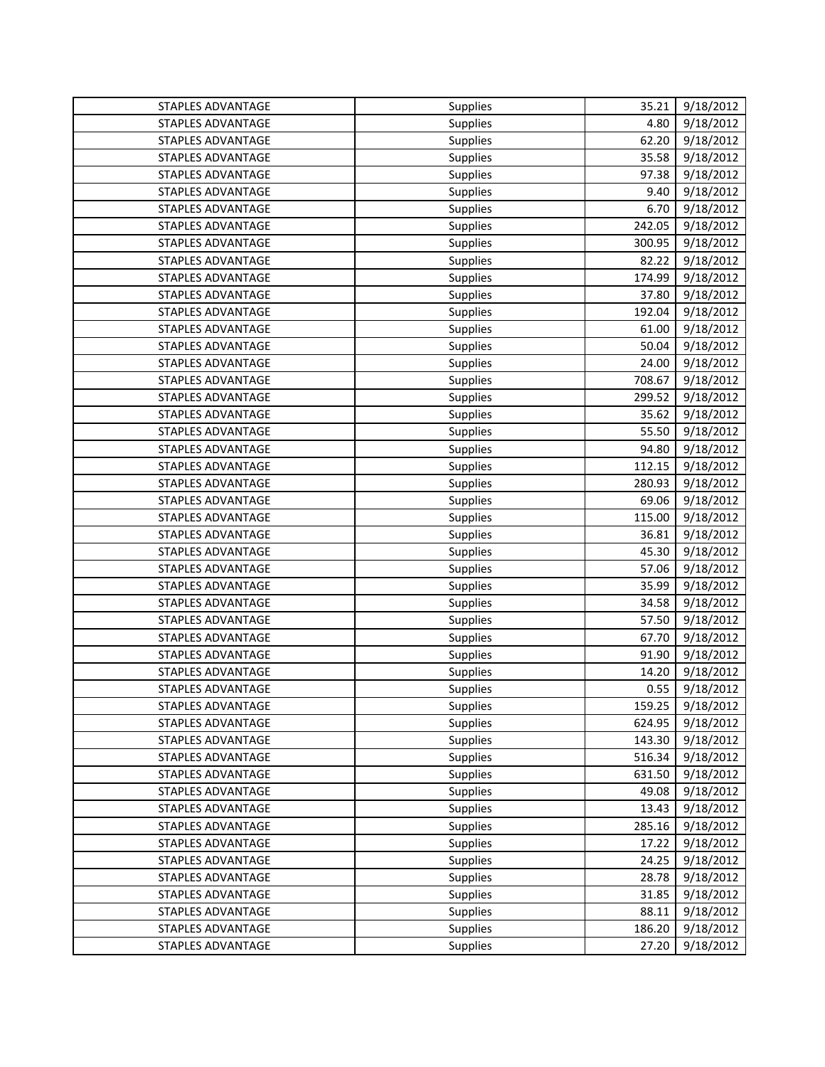| STAPLES ADVANTAGE        | Supplies | 35.21  | 9/18/2012 |
|--------------------------|----------|--------|-----------|
| STAPLES ADVANTAGE        | Supplies | 4.80   | 9/18/2012 |
| <b>STAPLES ADVANTAGE</b> | Supplies | 62.20  | 9/18/2012 |
| STAPLES ADVANTAGE        | Supplies | 35.58  | 9/18/2012 |
| STAPLES ADVANTAGE        | Supplies | 97.38  | 9/18/2012 |
| <b>STAPLES ADVANTAGE</b> | Supplies | 9.40   | 9/18/2012 |
| STAPLES ADVANTAGE        | Supplies | 6.70   | 9/18/2012 |
| STAPLES ADVANTAGE        | Supplies | 242.05 | 9/18/2012 |
| STAPLES ADVANTAGE        | Supplies | 300.95 | 9/18/2012 |
| STAPLES ADVANTAGE        | Supplies | 82.22  | 9/18/2012 |
| STAPLES ADVANTAGE        | Supplies | 174.99 | 9/18/2012 |
| STAPLES ADVANTAGE        | Supplies | 37.80  | 9/18/2012 |
| <b>STAPLES ADVANTAGE</b> | Supplies | 192.04 | 9/18/2012 |
| STAPLES ADVANTAGE        | Supplies | 61.00  | 9/18/2012 |
| STAPLES ADVANTAGE        | Supplies | 50.04  | 9/18/2012 |
| STAPLES ADVANTAGE        | Supplies | 24.00  | 9/18/2012 |
| STAPLES ADVANTAGE        | Supplies | 708.67 | 9/18/2012 |
| STAPLES ADVANTAGE        | Supplies | 299.52 | 9/18/2012 |
| STAPLES ADVANTAGE        | Supplies | 35.62  | 9/18/2012 |
| <b>STAPLES ADVANTAGE</b> | Supplies | 55.50  | 9/18/2012 |
| STAPLES ADVANTAGE        | Supplies | 94.80  | 9/18/2012 |
| STAPLES ADVANTAGE        | Supplies | 112.15 | 9/18/2012 |
| STAPLES ADVANTAGE        | Supplies | 280.93 | 9/18/2012 |
| STAPLES ADVANTAGE        | Supplies | 69.06  | 9/18/2012 |
| STAPLES ADVANTAGE        | Supplies | 115.00 | 9/18/2012 |
| STAPLES ADVANTAGE        | Supplies | 36.81  | 9/18/2012 |
| STAPLES ADVANTAGE        | Supplies | 45.30  | 9/18/2012 |
| STAPLES ADVANTAGE        | Supplies | 57.06  | 9/18/2012 |
| STAPLES ADVANTAGE        | Supplies | 35.99  | 9/18/2012 |
| <b>STAPLES ADVANTAGE</b> | Supplies | 34.58  | 9/18/2012 |
| STAPLES ADVANTAGE        | Supplies | 57.50  | 9/18/2012 |
| STAPLES ADVANTAGE        | Supplies | 67.70  | 9/18/2012 |
| STAPLES ADVANTAGE        | Supplies | 91.90  | 9/18/2012 |
| STAPLES ADVANTAGE        | Supplies | 14.20  | 9/18/2012 |
| STAPLES ADVANTAGE        | Supplies | 0.55   | 9/18/2012 |
| <b>STAPLES ADVANTAGE</b> | Supplies | 159.25 | 9/18/2012 |
| STAPLES ADVANTAGE        | Supplies | 624.95 | 9/18/2012 |
| STAPLES ADVANTAGE        | Supplies | 143.30 | 9/18/2012 |
| STAPLES ADVANTAGE        | Supplies | 516.34 | 9/18/2012 |
| STAPLES ADVANTAGE        | Supplies | 631.50 | 9/18/2012 |
| STAPLES ADVANTAGE        | Supplies | 49.08  | 9/18/2012 |
| STAPLES ADVANTAGE        | Supplies | 13.43  | 9/18/2012 |
| STAPLES ADVANTAGE        | Supplies | 285.16 | 9/18/2012 |
| STAPLES ADVANTAGE        | Supplies | 17.22  | 9/18/2012 |
| STAPLES ADVANTAGE        | Supplies | 24.25  | 9/18/2012 |
| STAPLES ADVANTAGE        | Supplies | 28.78  | 9/18/2012 |
| STAPLES ADVANTAGE        | Supplies | 31.85  | 9/18/2012 |
| STAPLES ADVANTAGE        | Supplies | 88.11  | 9/18/2012 |
| STAPLES ADVANTAGE        | Supplies | 186.20 | 9/18/2012 |
| STAPLES ADVANTAGE        | Supplies | 27.20  | 9/18/2012 |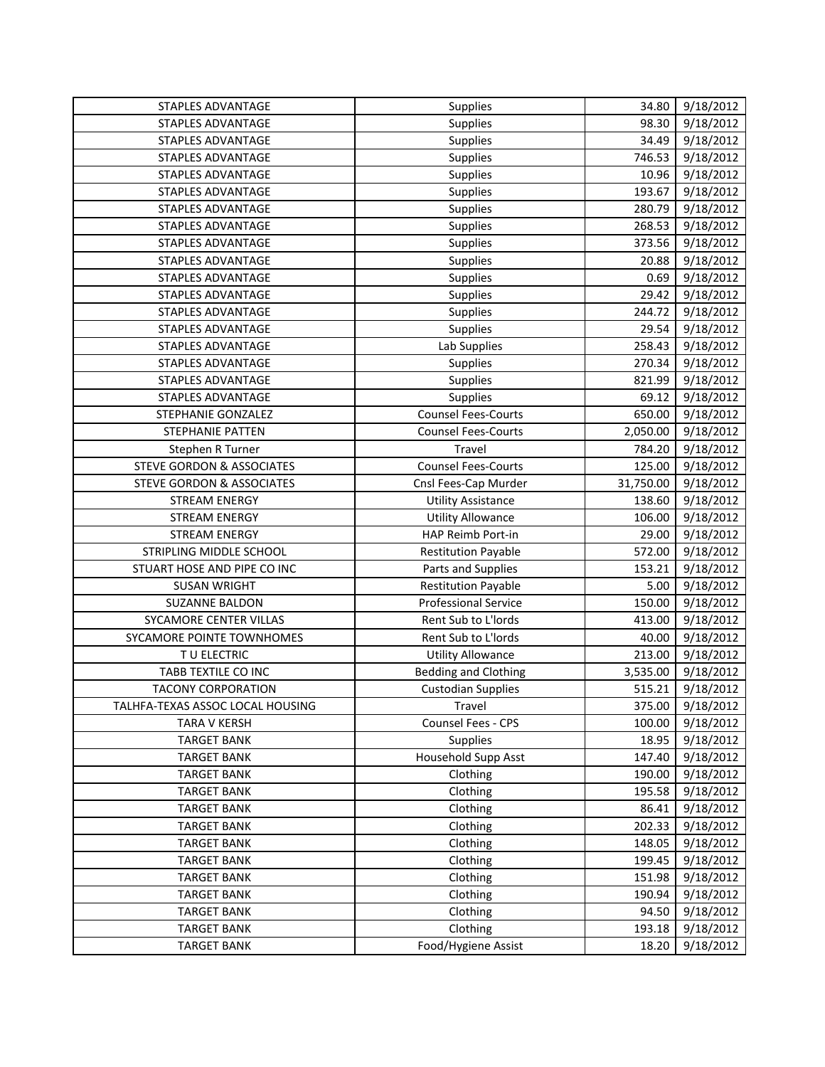| STAPLES ADVANTAGE                    | Supplies                    | 34.80     | 9/18/2012 |
|--------------------------------------|-----------------------------|-----------|-----------|
| STAPLES ADVANTAGE                    | Supplies                    | 98.30     | 9/18/2012 |
| STAPLES ADVANTAGE                    | Supplies                    | 34.49     | 9/18/2012 |
| STAPLES ADVANTAGE                    | Supplies                    | 746.53    | 9/18/2012 |
| STAPLES ADVANTAGE                    | <b>Supplies</b>             | 10.96     | 9/18/2012 |
| STAPLES ADVANTAGE                    | Supplies                    | 193.67    | 9/18/2012 |
| STAPLES ADVANTAGE                    | Supplies                    | 280.79    | 9/18/2012 |
| STAPLES ADVANTAGE                    | <b>Supplies</b>             | 268.53    | 9/18/2012 |
| STAPLES ADVANTAGE                    | Supplies                    | 373.56    | 9/18/2012 |
| <b>STAPLES ADVANTAGE</b>             | <b>Supplies</b>             | 20.88     | 9/18/2012 |
| <b>STAPLES ADVANTAGE</b>             | Supplies                    | 0.69      | 9/18/2012 |
| STAPLES ADVANTAGE                    | Supplies                    | 29.42     | 9/18/2012 |
| STAPLES ADVANTAGE                    | <b>Supplies</b>             | 244.72    | 9/18/2012 |
| STAPLES ADVANTAGE                    | Supplies                    | 29.54     | 9/18/2012 |
| STAPLES ADVANTAGE                    | Lab Supplies                | 258.43    | 9/18/2012 |
| STAPLES ADVANTAGE                    | Supplies                    | 270.34    | 9/18/2012 |
| STAPLES ADVANTAGE                    | Supplies                    | 821.99    | 9/18/2012 |
| STAPLES ADVANTAGE                    | Supplies                    | 69.12     | 9/18/2012 |
| STEPHANIE GONZALEZ                   | <b>Counsel Fees-Courts</b>  | 650.00    | 9/18/2012 |
| STEPHANIE PATTEN                     | <b>Counsel Fees-Courts</b>  | 2,050.00  | 9/18/2012 |
| Stephen R Turner                     | Travel                      | 784.20    | 9/18/2012 |
| <b>STEVE GORDON &amp; ASSOCIATES</b> | <b>Counsel Fees-Courts</b>  | 125.00    | 9/18/2012 |
| <b>STEVE GORDON &amp; ASSOCIATES</b> | Cnsl Fees-Cap Murder        | 31,750.00 | 9/18/2012 |
| <b>STREAM ENERGY</b>                 | <b>Utility Assistance</b>   | 138.60    | 9/18/2012 |
| <b>STREAM ENERGY</b>                 | <b>Utility Allowance</b>    | 106.00    | 9/18/2012 |
| <b>STREAM ENERGY</b>                 | HAP Reimb Port-in           | 29.00     | 9/18/2012 |
| STRIPLING MIDDLE SCHOOL              | <b>Restitution Payable</b>  | 572.00    | 9/18/2012 |
| STUART HOSE AND PIPE CO INC          | Parts and Supplies          | 153.21    | 9/18/2012 |
| <b>SUSAN WRIGHT</b>                  | <b>Restitution Payable</b>  | 5.00      | 9/18/2012 |
| <b>SUZANNE BALDON</b>                | <b>Professional Service</b> | 150.00    | 9/18/2012 |
| <b>SYCAMORE CENTER VILLAS</b>        | Rent Sub to L'Iords         | 413.00    | 9/18/2012 |
| SYCAMORE POINTE TOWNHOMES            | Rent Sub to L'Iords         | 40.00     | 9/18/2012 |
| TU ELECTRIC                          | <b>Utility Allowance</b>    | 213.00    | 9/18/2012 |
| TABB TEXTILE CO INC                  | <b>Bedding and Clothing</b> | 3,535.00  | 9/18/2012 |
| <b>TACONY CORPORATION</b>            | <b>Custodian Supplies</b>   | 515.21    | 9/18/2012 |
| TALHFA-TEXAS ASSOC LOCAL HOUSING     | Travel                      | 375.00    | 9/18/2012 |
| <b>TARA V KERSH</b>                  | Counsel Fees - CPS          | 100.00    | 9/18/2012 |
| <b>TARGET BANK</b>                   | Supplies                    | 18.95     | 9/18/2012 |
| <b>TARGET BANK</b>                   | Household Supp Asst         | 147.40    | 9/18/2012 |
| <b>TARGET BANK</b>                   | Clothing                    | 190.00    | 9/18/2012 |
| <b>TARGET BANK</b>                   | Clothing                    | 195.58    | 9/18/2012 |
| <b>TARGET BANK</b>                   | Clothing                    | 86.41     | 9/18/2012 |
| <b>TARGET BANK</b>                   | Clothing                    | 202.33    | 9/18/2012 |
| <b>TARGET BANK</b>                   | Clothing                    | 148.05    | 9/18/2012 |
| <b>TARGET BANK</b>                   | Clothing                    | 199.45    | 9/18/2012 |
| <b>TARGET BANK</b>                   | Clothing                    | 151.98    | 9/18/2012 |
| <b>TARGET BANK</b>                   | Clothing                    | 190.94    | 9/18/2012 |
| <b>TARGET BANK</b>                   | Clothing                    | 94.50     | 9/18/2012 |
| <b>TARGET BANK</b>                   | Clothing                    | 193.18    | 9/18/2012 |
| <b>TARGET BANK</b>                   | Food/Hygiene Assist         | 18.20     | 9/18/2012 |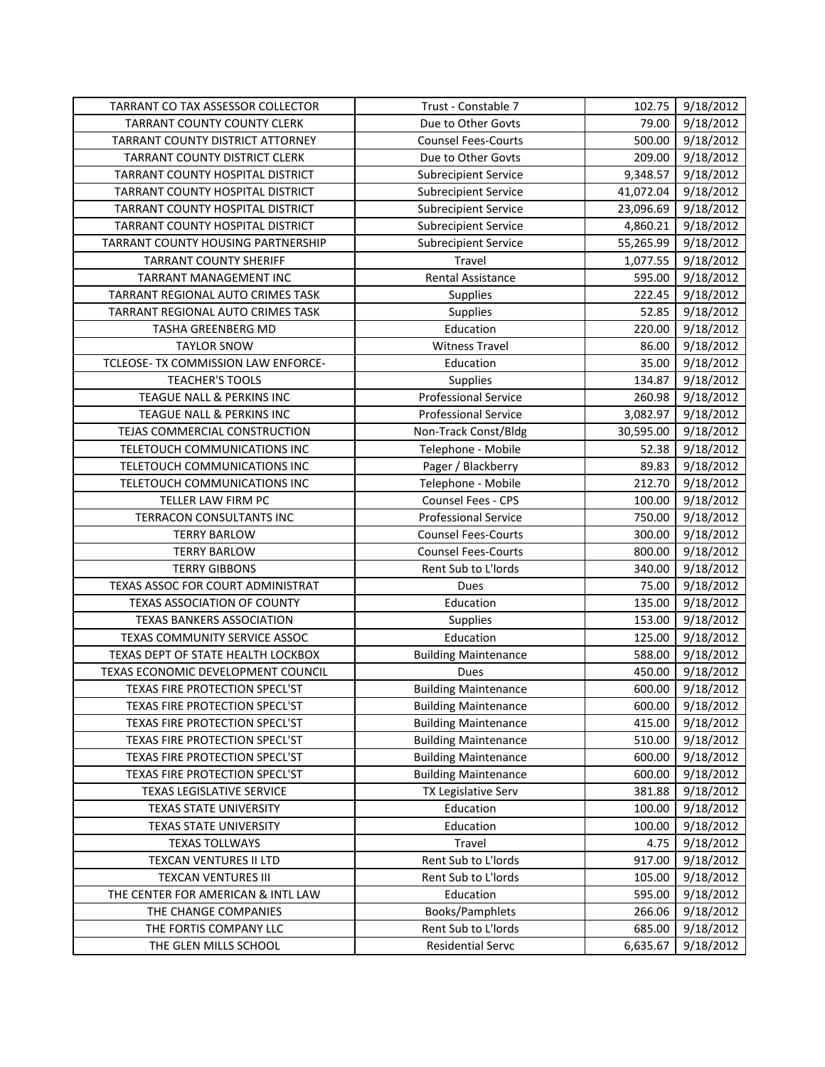| <b>TARRANT CO TAX ASSESSOR COLLECTOR</b> | Trust - Constable 7         | 102.75    | 9/18/2012 |
|------------------------------------------|-----------------------------|-----------|-----------|
| TARRANT COUNTY COUNTY CLERK              | Due to Other Govts          | 79.00     | 9/18/2012 |
| TARRANT COUNTY DISTRICT ATTORNEY         | <b>Counsel Fees-Courts</b>  | 500.00    | 9/18/2012 |
| TARRANT COUNTY DISTRICT CLERK            | Due to Other Govts          | 209.00    | 9/18/2012 |
| TARRANT COUNTY HOSPITAL DISTRICT         | <b>Subrecipient Service</b> | 9,348.57  | 9/18/2012 |
| TARRANT COUNTY HOSPITAL DISTRICT         | <b>Subrecipient Service</b> | 41,072.04 | 9/18/2012 |
| TARRANT COUNTY HOSPITAL DISTRICT         | <b>Subrecipient Service</b> | 23,096.69 | 9/18/2012 |
| TARRANT COUNTY HOSPITAL DISTRICT         | <b>Subrecipient Service</b> | 4,860.21  | 9/18/2012 |
| TARRANT COUNTY HOUSING PARTNERSHIP       | <b>Subrecipient Service</b> | 55,265.99 | 9/18/2012 |
| <b>TARRANT COUNTY SHERIFF</b>            | Travel                      | 1,077.55  | 9/18/2012 |
| TARRANT MANAGEMENT INC                   | <b>Rental Assistance</b>    | 595.00    | 9/18/2012 |
| TARRANT REGIONAL AUTO CRIMES TASK        | Supplies                    | 222.45    | 9/18/2012 |
| TARRANT REGIONAL AUTO CRIMES TASK        | Supplies                    | 52.85     | 9/18/2012 |
| TASHA GREENBERG MD                       | Education                   | 220.00    | 9/18/2012 |
| <b>TAYLOR SNOW</b>                       | <b>Witness Travel</b>       | 86.00     | 9/18/2012 |
| TCLEOSE- TX COMMISSION LAW ENFORCE-      | Education                   | 35.00     | 9/18/2012 |
| <b>TEACHER'S TOOLS</b>                   | Supplies                    | 134.87    | 9/18/2012 |
| TEAGUE NALL & PERKINS INC                | <b>Professional Service</b> | 260.98    | 9/18/2012 |
| TEAGUE NALL & PERKINS INC                | <b>Professional Service</b> | 3,082.97  | 9/18/2012 |
| TEJAS COMMERCIAL CONSTRUCTION            | Non-Track Const/Bldg        | 30,595.00 | 9/18/2012 |
| TELETOUCH COMMUNICATIONS INC             | Telephone - Mobile          | 52.38     | 9/18/2012 |
| TELETOUCH COMMUNICATIONS INC             | Pager / Blackberry          | 89.83     | 9/18/2012 |
| TELETOUCH COMMUNICATIONS INC             | Telephone - Mobile          | 212.70    | 9/18/2012 |
| TELLER LAW FIRM PC                       | Counsel Fees - CPS          | 100.00    | 9/18/2012 |
| TERRACON CONSULTANTS INC                 | <b>Professional Service</b> | 750.00    | 9/18/2012 |
| <b>TERRY BARLOW</b>                      | <b>Counsel Fees-Courts</b>  | 300.00    | 9/18/2012 |
| <b>TERRY BARLOW</b>                      | <b>Counsel Fees-Courts</b>  | 800.00    | 9/18/2012 |
| <b>TERRY GIBBONS</b>                     | Rent Sub to L'Iords         | 340.00    | 9/18/2012 |
| TEXAS ASSOC FOR COURT ADMINISTRAT        | Dues                        | 75.00     | 9/18/2012 |
| TEXAS ASSOCIATION OF COUNTY              | Education                   | 135.00    | 9/18/2012 |
| <b>TEXAS BANKERS ASSOCIATION</b>         | Supplies                    | 153.00    | 9/18/2012 |
| TEXAS COMMUNITY SERVICE ASSOC            | Education                   | 125.00    | 9/18/2012 |
| TEXAS DEPT OF STATE HEALTH LOCKBOX       | <b>Building Maintenance</b> | 588.00    | 9/18/2012 |
| TEXAS ECONOMIC DEVELOPMENT COUNCIL       | Dues                        | 450.00    | 9/18/2012 |
| TEXAS FIRE PROTECTION SPECL'ST           | <b>Building Maintenance</b> | 600.00    | 9/18/2012 |
| TEXAS FIRE PROTECTION SPECL'ST           | <b>Building Maintenance</b> | 600.00    | 9/18/2012 |
| TEXAS FIRE PROTECTION SPECL'ST           | <b>Building Maintenance</b> | 415.00    | 9/18/2012 |
| TEXAS FIRE PROTECTION SPECL'ST           | <b>Building Maintenance</b> | 510.00    | 9/18/2012 |
| TEXAS FIRE PROTECTION SPECL'ST           | <b>Building Maintenance</b> | 600.00    | 9/18/2012 |
| TEXAS FIRE PROTECTION SPECL'ST           | <b>Building Maintenance</b> | 600.00    | 9/18/2012 |
| TEXAS LEGISLATIVE SERVICE                | TX Legislative Serv         | 381.88    | 9/18/2012 |
| TEXAS STATE UNIVERSITY                   | Education                   | 100.00    | 9/18/2012 |
| TEXAS STATE UNIVERSITY                   | Education                   | 100.00    | 9/18/2012 |
| <b>TEXAS TOLLWAYS</b>                    | Travel                      | 4.75      | 9/18/2012 |
| TEXCAN VENTURES II LTD                   | Rent Sub to L'Iords         | 917.00    | 9/18/2012 |
| <b>TEXCAN VENTURES III</b>               | Rent Sub to L'Iords         | 105.00    | 9/18/2012 |
| THE CENTER FOR AMERICAN & INTL LAW       | Education                   | 595.00    | 9/18/2012 |
| THE CHANGE COMPANIES                     | Books/Pamphlets             | 266.06    | 9/18/2012 |
| THE FORTIS COMPANY LLC                   | Rent Sub to L'Iords         | 685.00    | 9/18/2012 |
| THE GLEN MILLS SCHOOL                    | <b>Residential Servc</b>    | 6,635.67  | 9/18/2012 |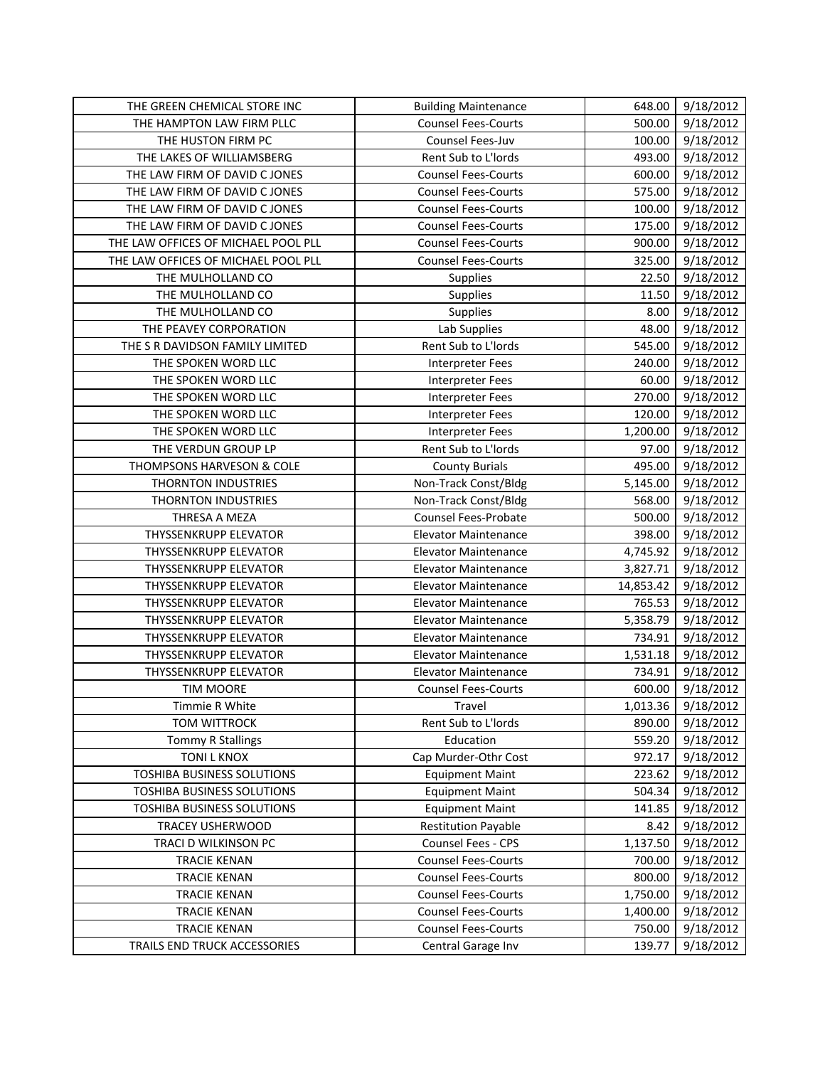| THE GREEN CHEMICAL STORE INC        | <b>Building Maintenance</b> | 648.00    | 9/18/2012 |
|-------------------------------------|-----------------------------|-----------|-----------|
| THE HAMPTON LAW FIRM PLLC           | <b>Counsel Fees-Courts</b>  | 500.00    | 9/18/2012 |
| THE HUSTON FIRM PC                  | Counsel Fees-Juv            | 100.00    | 9/18/2012 |
| THE LAKES OF WILLIAMSBERG           | Rent Sub to L'Iords         | 493.00    | 9/18/2012 |
| THE LAW FIRM OF DAVID C JONES       | <b>Counsel Fees-Courts</b>  | 600.00    | 9/18/2012 |
| THE LAW FIRM OF DAVID C JONES       | <b>Counsel Fees-Courts</b>  | 575.00    | 9/18/2012 |
| THE LAW FIRM OF DAVID C JONES       | <b>Counsel Fees-Courts</b>  | 100.00    | 9/18/2012 |
| THE LAW FIRM OF DAVID C JONES       | <b>Counsel Fees-Courts</b>  | 175.00    | 9/18/2012 |
| THE LAW OFFICES OF MICHAEL POOL PLL | <b>Counsel Fees-Courts</b>  | 900.00    | 9/18/2012 |
| THE LAW OFFICES OF MICHAEL POOL PLL | <b>Counsel Fees-Courts</b>  | 325.00    | 9/18/2012 |
| THE MULHOLLAND CO                   | Supplies                    | 22.50     | 9/18/2012 |
| THE MULHOLLAND CO                   | Supplies                    | 11.50     | 9/18/2012 |
| THE MULHOLLAND CO                   | Supplies                    | 8.00      | 9/18/2012 |
| THE PEAVEY CORPORATION              | Lab Supplies                | 48.00     | 9/18/2012 |
| THE S R DAVIDSON FAMILY LIMITED     | Rent Sub to L'Iords         | 545.00    | 9/18/2012 |
| THE SPOKEN WORD LLC                 | <b>Interpreter Fees</b>     | 240.00    | 9/18/2012 |
| THE SPOKEN WORD LLC                 | <b>Interpreter Fees</b>     | 60.00     | 9/18/2012 |
| THE SPOKEN WORD LLC                 | <b>Interpreter Fees</b>     | 270.00    | 9/18/2012 |
| THE SPOKEN WORD LLC                 | <b>Interpreter Fees</b>     | 120.00    | 9/18/2012 |
| THE SPOKEN WORD LLC                 | <b>Interpreter Fees</b>     | 1,200.00  | 9/18/2012 |
| THE VERDUN GROUP LP                 | Rent Sub to L'Iords         | 97.00     | 9/18/2012 |
| THOMPSONS HARVESON & COLE           | <b>County Burials</b>       | 495.00    | 9/18/2012 |
| THORNTON INDUSTRIES                 | Non-Track Const/Bldg        | 5,145.00  | 9/18/2012 |
| THORNTON INDUSTRIES                 | Non-Track Const/Bldg        | 568.00    | 9/18/2012 |
| THRESA A MEZA                       | <b>Counsel Fees-Probate</b> | 500.00    | 9/18/2012 |
| THYSSENKRUPP ELEVATOR               | <b>Elevator Maintenance</b> | 398.00    | 9/18/2012 |
| THYSSENKRUPP ELEVATOR               | <b>Elevator Maintenance</b> | 4,745.92  | 9/18/2012 |
| THYSSENKRUPP ELEVATOR               | <b>Elevator Maintenance</b> | 3,827.71  | 9/18/2012 |
| THYSSENKRUPP ELEVATOR               | <b>Elevator Maintenance</b> | 14,853.42 | 9/18/2012 |
| THYSSENKRUPP ELEVATOR               | <b>Elevator Maintenance</b> | 765.53    | 9/18/2012 |
| THYSSENKRUPP ELEVATOR               | <b>Elevator Maintenance</b> | 5,358.79  | 9/18/2012 |
| THYSSENKRUPP ELEVATOR               | <b>Elevator Maintenance</b> | 734.91    | 9/18/2012 |
| THYSSENKRUPP ELEVATOR               | <b>Elevator Maintenance</b> | 1,531.18  | 9/18/2012 |
| THYSSENKRUPP ELEVATOR               | <b>Elevator Maintenance</b> | 734.91    | 9/18/2012 |
| <b>TIM MOORE</b>                    | <b>Counsel Fees-Courts</b>  | 600.00    | 9/18/2012 |
| Timmie R White                      | Travel                      | 1,013.36  | 9/18/2012 |
| TOM WITTROCK                        | Rent Sub to L'Iords         | 890.00    | 9/18/2012 |
| <b>Tommy R Stallings</b>            | Education                   | 559.20    | 9/18/2012 |
| <b>TONI L KNOX</b>                  | Cap Murder-Othr Cost        | 972.17    | 9/18/2012 |
| TOSHIBA BUSINESS SOLUTIONS          | <b>Equipment Maint</b>      | 223.62    | 9/18/2012 |
| TOSHIBA BUSINESS SOLUTIONS          | <b>Equipment Maint</b>      | 504.34    | 9/18/2012 |
| TOSHIBA BUSINESS SOLUTIONS          | <b>Equipment Maint</b>      | 141.85    | 9/18/2012 |
| <b>TRACEY USHERWOOD</b>             | <b>Restitution Payable</b>  | 8.42      | 9/18/2012 |
| TRACI D WILKINSON PC                | Counsel Fees - CPS          | 1,137.50  | 9/18/2012 |
| <b>TRACIE KENAN</b>                 | <b>Counsel Fees-Courts</b>  | 700.00    | 9/18/2012 |
| <b>TRACIE KENAN</b>                 | <b>Counsel Fees-Courts</b>  | 800.00    | 9/18/2012 |
| <b>TRACIE KENAN</b>                 | <b>Counsel Fees-Courts</b>  | 1,750.00  | 9/18/2012 |
| <b>TRACIE KENAN</b>                 | <b>Counsel Fees-Courts</b>  | 1,400.00  | 9/18/2012 |
| <b>TRACIE KENAN</b>                 | <b>Counsel Fees-Courts</b>  | 750.00    | 9/18/2012 |
| TRAILS END TRUCK ACCESSORIES        | Central Garage Inv          | 139.77    | 9/18/2012 |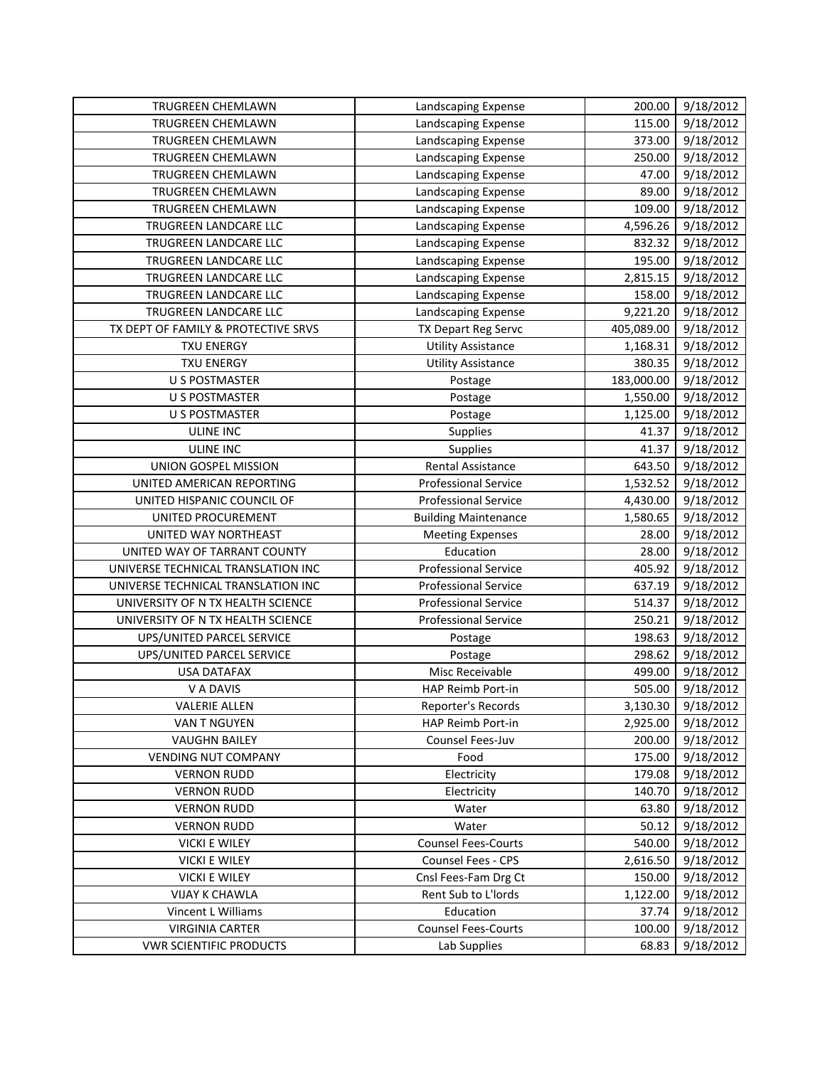| <b>TRUGREEN CHEMLAWN</b>            | Landscaping Expense         | 200.00     | 9/18/2012 |
|-------------------------------------|-----------------------------|------------|-----------|
| TRUGREEN CHEMLAWN                   | Landscaping Expense         | 115.00     | 9/18/2012 |
| TRUGREEN CHEMLAWN                   | Landscaping Expense         | 373.00     | 9/18/2012 |
| TRUGREEN CHEMLAWN                   | Landscaping Expense         | 250.00     | 9/18/2012 |
| TRUGREEN CHEMLAWN                   | Landscaping Expense         | 47.00      | 9/18/2012 |
| TRUGREEN CHEMLAWN                   | Landscaping Expense         | 89.00      | 9/18/2012 |
| TRUGREEN CHEMLAWN                   | Landscaping Expense         | 109.00     | 9/18/2012 |
| TRUGREEN LANDCARE LLC               | Landscaping Expense         | 4,596.26   | 9/18/2012 |
| TRUGREEN LANDCARE LLC               | Landscaping Expense         | 832.32     | 9/18/2012 |
| TRUGREEN LANDCARE LLC               | Landscaping Expense         | 195.00     | 9/18/2012 |
| TRUGREEN LANDCARE LLC               | Landscaping Expense         | 2,815.15   | 9/18/2012 |
| TRUGREEN LANDCARE LLC               | Landscaping Expense         | 158.00     | 9/18/2012 |
| TRUGREEN LANDCARE LLC               | Landscaping Expense         | 9,221.20   | 9/18/2012 |
| TX DEPT OF FAMILY & PROTECTIVE SRVS | TX Depart Reg Servc         | 405,089.00 | 9/18/2012 |
| <b>TXU ENERGY</b>                   | <b>Utility Assistance</b>   | 1,168.31   | 9/18/2012 |
| <b>TXU ENERGY</b>                   | <b>Utility Assistance</b>   | 380.35     | 9/18/2012 |
| <b>U S POSTMASTER</b>               | Postage                     | 183,000.00 | 9/18/2012 |
| U S POSTMASTER                      | Postage                     | 1,550.00   | 9/18/2012 |
| <b>U S POSTMASTER</b>               | Postage                     | 1,125.00   | 9/18/2012 |
| <b>ULINE INC</b>                    | Supplies                    | 41.37      | 9/18/2012 |
| ULINE INC                           | Supplies                    | 41.37      | 9/18/2012 |
| UNION GOSPEL MISSION                | Rental Assistance           | 643.50     | 9/18/2012 |
| UNITED AMERICAN REPORTING           | <b>Professional Service</b> | 1,532.52   | 9/18/2012 |
| UNITED HISPANIC COUNCIL OF          | <b>Professional Service</b> | 4,430.00   | 9/18/2012 |
| UNITED PROCUREMENT                  | <b>Building Maintenance</b> | 1,580.65   | 9/18/2012 |
| UNITED WAY NORTHEAST                | <b>Meeting Expenses</b>     | 28.00      | 9/18/2012 |
| UNITED WAY OF TARRANT COUNTY        | Education                   | 28.00      | 9/18/2012 |
| UNIVERSE TECHNICAL TRANSLATION INC  | <b>Professional Service</b> | 405.92     | 9/18/2012 |
| UNIVERSE TECHNICAL TRANSLATION INC  | <b>Professional Service</b> | 637.19     | 9/18/2012 |
| UNIVERSITY OF N TX HEALTH SCIENCE   | <b>Professional Service</b> | 514.37     | 9/18/2012 |
| UNIVERSITY OF N TX HEALTH SCIENCE   | <b>Professional Service</b> | 250.21     | 9/18/2012 |
| UPS/UNITED PARCEL SERVICE           | Postage                     | 198.63     | 9/18/2012 |
| UPS/UNITED PARCEL SERVICE           | Postage                     | 298.62     | 9/18/2012 |
| <b>USA DATAFAX</b>                  | Misc Receivable             | 499.00     | 9/18/2012 |
| V A DAVIS                           | HAP Reimb Port-in           | 505.00     | 9/18/2012 |
| <b>VALERIE ALLEN</b>                | Reporter's Records          | 3,130.30   | 9/18/2012 |
| VAN T NGUYEN                        | HAP Reimb Port-in           | 2,925.00   | 9/18/2012 |
| <b>VAUGHN BAILEY</b>                | <b>Counsel Fees-Juv</b>     | 200.00     | 9/18/2012 |
| <b>VENDING NUT COMPANY</b>          | Food                        | 175.00     | 9/18/2012 |
| <b>VERNON RUDD</b>                  | Electricity                 | 179.08     | 9/18/2012 |
| <b>VERNON RUDD</b>                  | Electricity                 | 140.70     | 9/18/2012 |
| <b>VERNON RUDD</b>                  | Water                       | 63.80      | 9/18/2012 |
| <b>VERNON RUDD</b>                  | Water                       | 50.12      | 9/18/2012 |
| <b>VICKI E WILEY</b>                | <b>Counsel Fees-Courts</b>  | 540.00     | 9/18/2012 |
| <b>VICKI E WILEY</b>                | Counsel Fees - CPS          | 2,616.50   | 9/18/2012 |
| <b>VICKI E WILEY</b>                | Cnsl Fees-Fam Drg Ct        | 150.00     | 9/18/2012 |
| <b>VIJAY K CHAWLA</b>               | Rent Sub to L'Iords         | 1,122.00   | 9/18/2012 |
| Vincent L Williams                  | Education                   | 37.74      | 9/18/2012 |
| <b>VIRGINIA CARTER</b>              | <b>Counsel Fees-Courts</b>  | 100.00     | 9/18/2012 |
| <b>VWR SCIENTIFIC PRODUCTS</b>      | Lab Supplies                | 68.83      | 9/18/2012 |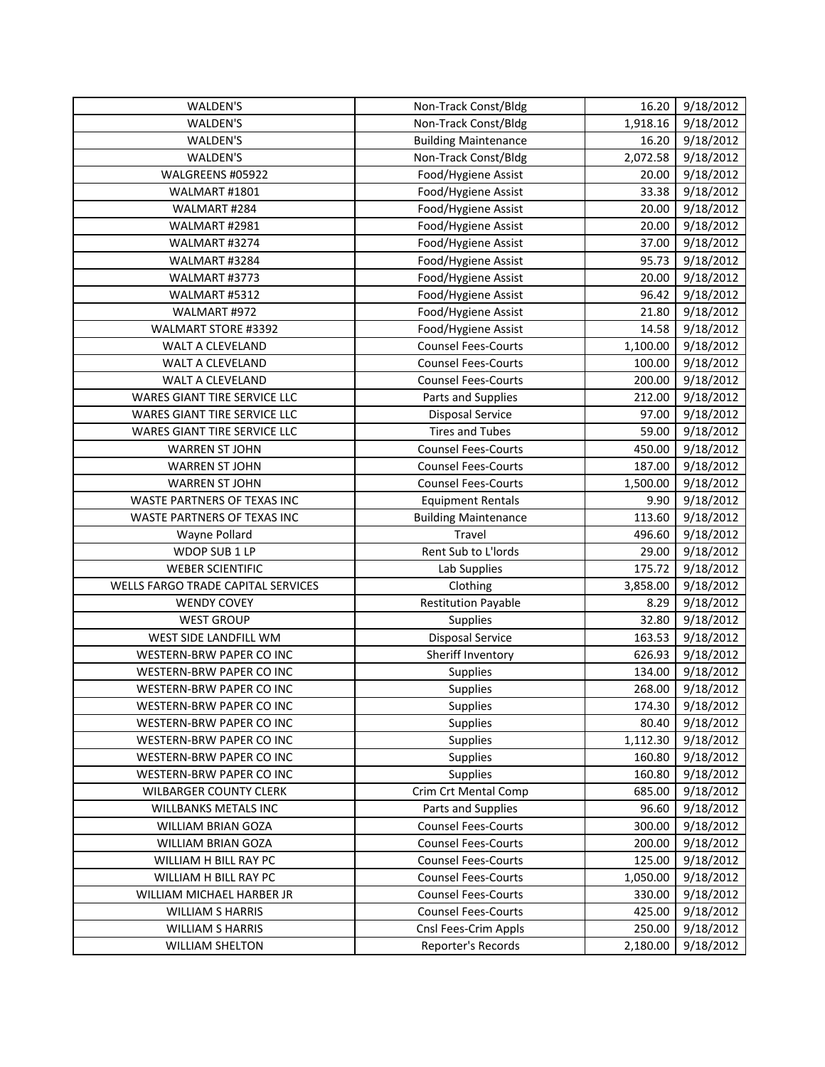| WALDEN'S                           | Non-Track Const/Bldg                       | 16.20    | 9/18/2012              |
|------------------------------------|--------------------------------------------|----------|------------------------|
| WALDEN'S                           | Non-Track Const/Bldg                       | 1,918.16 | 9/18/2012              |
| WALDEN'S                           | <b>Building Maintenance</b>                | 16.20    | 9/18/2012              |
| WALDEN'S                           | Non-Track Const/Bldg                       | 2,072.58 | 9/18/2012              |
| WALGREENS #05922                   | Food/Hygiene Assist                        | 20.00    | 9/18/2012              |
| WALMART #1801                      | Food/Hygiene Assist                        | 33.38    | 9/18/2012              |
| WALMART #284                       | Food/Hygiene Assist                        | 20.00    | 9/18/2012              |
| WALMART #2981                      | Food/Hygiene Assist                        | 20.00    | 9/18/2012              |
| WALMART #3274                      | Food/Hygiene Assist                        | 37.00    | 9/18/2012              |
| WALMART #3284                      | Food/Hygiene Assist                        | 95.73    | 9/18/2012              |
| WALMART #3773                      | Food/Hygiene Assist                        | 20.00    | 9/18/2012              |
| WALMART #5312                      | Food/Hygiene Assist                        | 96.42    | 9/18/2012              |
| WALMART #972                       | Food/Hygiene Assist                        | 21.80    | 9/18/2012              |
| WALMART STORE #3392                | Food/Hygiene Assist                        | 14.58    | 9/18/2012              |
| WALT A CLEVELAND                   | <b>Counsel Fees-Courts</b>                 | 1,100.00 | 9/18/2012              |
| WALT A CLEVELAND                   | <b>Counsel Fees-Courts</b>                 | 100.00   | 9/18/2012              |
| WALT A CLEVELAND                   | <b>Counsel Fees-Courts</b>                 | 200.00   | 9/18/2012              |
| WARES GIANT TIRE SERVICE LLC       | Parts and Supplies                         | 212.00   | 9/18/2012              |
| WARES GIANT TIRE SERVICE LLC       | <b>Disposal Service</b>                    | 97.00    | 9/18/2012              |
| WARES GIANT TIRE SERVICE LLC       | <b>Tires and Tubes</b>                     | 59.00    | 9/18/2012              |
| <b>WARREN ST JOHN</b>              | <b>Counsel Fees-Courts</b>                 | 450.00   | 9/18/2012              |
| <b>WARREN ST JOHN</b>              | <b>Counsel Fees-Courts</b>                 | 187.00   | 9/18/2012              |
| <b>WARREN ST JOHN</b>              | <b>Counsel Fees-Courts</b>                 | 1,500.00 | 9/18/2012              |
| WASTE PARTNERS OF TEXAS INC        | <b>Equipment Rentals</b>                   | 9.90     | 9/18/2012              |
| WASTE PARTNERS OF TEXAS INC        | <b>Building Maintenance</b>                | 113.60   | 9/18/2012              |
|                                    |                                            |          |                        |
| Wayne Pollard                      | Travel                                     | 496.60   | 9/18/2012              |
| WDOP SUB 1 LP                      | Rent Sub to L'Iords                        | 29.00    | 9/18/2012              |
| <b>WEBER SCIENTIFIC</b>            | Lab Supplies                               | 175.72   | 9/18/2012              |
| WELLS FARGO TRADE CAPITAL SERVICES | Clothing                                   | 3,858.00 | 9/18/2012              |
| <b>WENDY COVEY</b>                 | <b>Restitution Payable</b>                 | 8.29     | 9/18/2012              |
| <b>WEST GROUP</b>                  | Supplies                                   | 32.80    | 9/18/2012              |
| WEST SIDE LANDFILL WM              | <b>Disposal Service</b>                    | 163.53   | 9/18/2012              |
| WESTERN-BRW PAPER CO INC           | Sheriff Inventory                          | 626.93   | 9/18/2012              |
| WESTERN-BRW PAPER CO INC           | Supplies                                   | 134.00   | 9/18/2012              |
| WESTERN-BRW PAPER CO INC           | Supplies                                   | 268.00   | 9/18/2012              |
| WESTERN-BRW PAPER CO INC           | Supplies                                   | 174.30   | 9/18/2012              |
| WESTERN-BRW PAPER CO INC           | <b>Supplies</b>                            | 80.40    | 9/18/2012              |
| WESTERN-BRW PAPER CO INC           | <b>Supplies</b>                            | 1,112.30 | 9/18/2012              |
| WESTERN-BRW PAPER CO INC           | <b>Supplies</b>                            | 160.80   | 9/18/2012              |
| WESTERN-BRW PAPER CO INC           | Supplies                                   | 160.80   | 9/18/2012              |
| <b>WILBARGER COUNTY CLERK</b>      | Crim Crt Mental Comp                       | 685.00   | 9/18/2012              |
| <b>WILLBANKS METALS INC</b>        | Parts and Supplies                         | 96.60    | 9/18/2012              |
| WILLIAM BRIAN GOZA                 | <b>Counsel Fees-Courts</b>                 | 300.00   | 9/18/2012              |
| WILLIAM BRIAN GOZA                 | <b>Counsel Fees-Courts</b>                 | 200.00   | 9/18/2012              |
| WILLIAM H BILL RAY PC              | <b>Counsel Fees-Courts</b>                 | 125.00   | 9/18/2012              |
| WILLIAM H BILL RAY PC              | <b>Counsel Fees-Courts</b>                 | 1,050.00 | 9/18/2012              |
| WILLIAM MICHAEL HARBER JR          | <b>Counsel Fees-Courts</b>                 | 330.00   | 9/18/2012              |
| <b>WILLIAM S HARRIS</b>            | <b>Counsel Fees-Courts</b>                 | 425.00   | 9/18/2012              |
| <b>WILLIAM S HARRIS</b>            | Cnsl Fees-Crim Appls<br>Reporter's Records | 250.00   | 9/18/2012<br>9/18/2012 |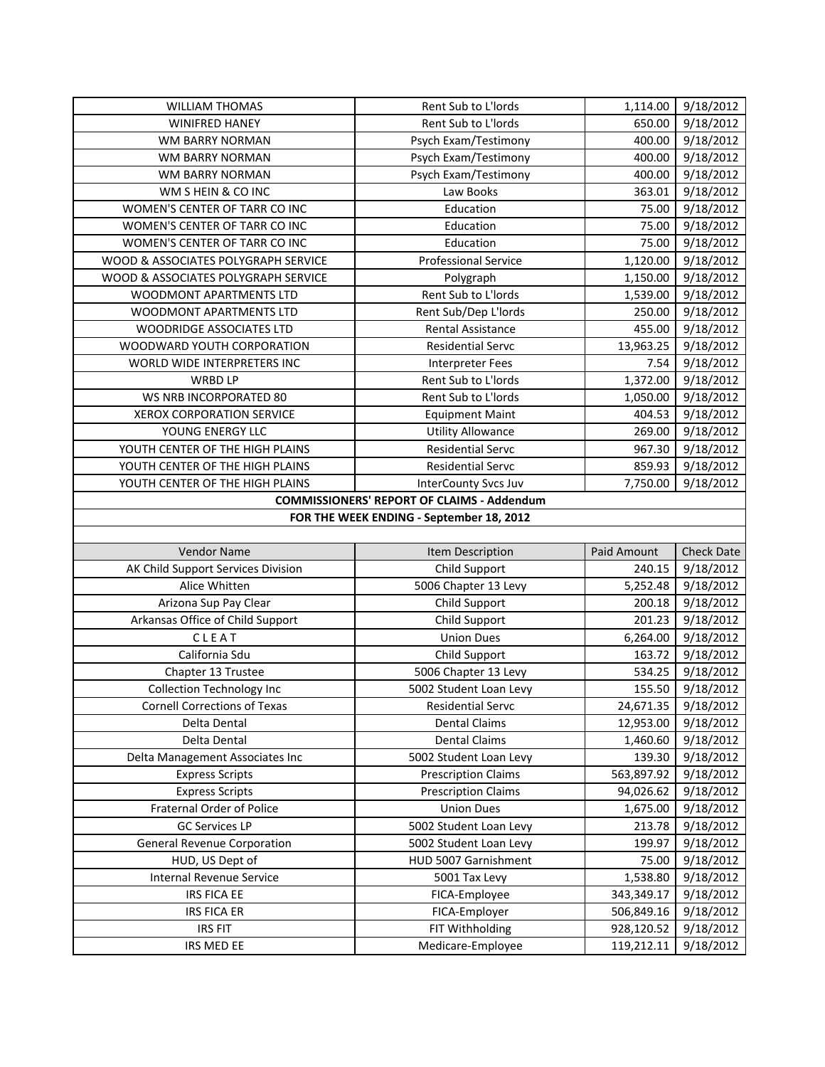| <b>WILLIAM THOMAS</b>                    | Rent Sub to L'Iords                               | 1,114.00    | 9/18/2012              |  |
|------------------------------------------|---------------------------------------------------|-------------|------------------------|--|
| <b>WINIFRED HANEY</b>                    | Rent Sub to L'Iords                               | 650.00      | 9/18/2012              |  |
| WM BARRY NORMAN                          | Psych Exam/Testimony                              | 400.00      | 9/18/2012              |  |
| WM BARRY NORMAN                          | Psych Exam/Testimony                              | 400.00      | 9/18/2012              |  |
| WM BARRY NORMAN                          | Psych Exam/Testimony                              | 400.00      | 9/18/2012              |  |
| WM S HEIN & CO INC                       | Law Books                                         | 363.01      | 9/18/2012              |  |
| WOMEN'S CENTER OF TARR CO INC            | Education                                         | 75.00       | 9/18/2012              |  |
| WOMEN'S CENTER OF TARR CO INC            | Education                                         | 75.00       | 9/18/2012              |  |
| WOMEN'S CENTER OF TARR CO INC            | Education                                         | 75.00       | 9/18/2012              |  |
| WOOD & ASSOCIATES POLYGRAPH SERVICE      | <b>Professional Service</b>                       | 1,120.00    | 9/18/2012              |  |
| WOOD & ASSOCIATES POLYGRAPH SERVICE      | Polygraph                                         | 1,150.00    | 9/18/2012              |  |
| WOODMONT APARTMENTS LTD                  | Rent Sub to L'Iords                               | 1,539.00    | 9/18/2012              |  |
| WOODMONT APARTMENTS LTD                  | Rent Sub/Dep L'Iords                              | 250.00      | 9/18/2012              |  |
| WOODRIDGE ASSOCIATES LTD                 | Rental Assistance                                 | 455.00      | 9/18/2012              |  |
| WOODWARD YOUTH CORPORATION               | <b>Residential Servc</b>                          | 13,963.25   | 9/18/2012              |  |
| WORLD WIDE INTERPRETERS INC              | <b>Interpreter Fees</b>                           | 7.54        | 9/18/2012              |  |
| <b>WRBD LP</b>                           | Rent Sub to L'Iords                               | 1,372.00    | 9/18/2012              |  |
| WS NRB INCORPORATED 80                   | Rent Sub to L'Iords                               | 1,050.00    | 9/18/2012              |  |
| XEROX CORPORATION SERVICE                | <b>Equipment Maint</b>                            | 404.53      | 9/18/2012              |  |
| YOUNG ENERGY LLC                         | <b>Utility Allowance</b>                          | 269.00      | 9/18/2012              |  |
| YOUTH CENTER OF THE HIGH PLAINS          | <b>Residential Servc</b>                          | 967.30      | 9/18/2012              |  |
| YOUTH CENTER OF THE HIGH PLAINS          | <b>Residential Servc</b>                          | 859.93      | 9/18/2012              |  |
| YOUTH CENTER OF THE HIGH PLAINS          | <b>InterCounty Svcs Juv</b>                       | 7,750.00    | 9/18/2012              |  |
|                                          | <b>COMMISSIONERS' REPORT OF CLAIMS - Addendum</b> |             |                        |  |
| FOR THE WEEK ENDING - September 18, 2012 |                                                   |             |                        |  |
|                                          |                                                   |             |                        |  |
|                                          |                                                   |             |                        |  |
| Vendor Name                              | Item Description                                  | Paid Amount | <b>Check Date</b>      |  |
| AK Child Support Services Division       | Child Support                                     | 240.15      | 9/18/2012              |  |
| Alice Whitten                            | 5006 Chapter 13 Levy                              | 5,252.48    | 9/18/2012              |  |
| Arizona Sup Pay Clear                    | Child Support                                     | 200.18      | 9/18/2012              |  |
| Arkansas Office of Child Support         | Child Support                                     | 201.23      | 9/18/2012              |  |
| CLEAT                                    | <b>Union Dues</b>                                 | 6,264.00    | 9/18/2012              |  |
| California Sdu                           | Child Support                                     | 163.72      | 9/18/2012              |  |
| Chapter 13 Trustee                       | 5006 Chapter 13 Levy                              | 534.25      | 9/18/2012              |  |
| <b>Collection Technology Inc</b>         | 5002 Student Loan Levy                            | 155.50      | 9/18/2012              |  |
| <b>Cornell Corrections of Texas</b>      | Residential Servc                                 | 24,671.35   | 9/18/2012              |  |
| Delta Dental                             | <b>Dental Claims</b>                              | 12,953.00   | 9/18/2012              |  |
| Delta Dental                             | <b>Dental Claims</b>                              | 1,460.60    | 9/18/2012              |  |
| Delta Management Associates Inc          | 5002 Student Loan Levy                            | 139.30      | 9/18/2012              |  |
| <b>Express Scripts</b>                   | <b>Prescription Claims</b>                        | 563,897.92  | 9/18/2012              |  |
| <b>Express Scripts</b>                   | <b>Prescription Claims</b>                        | 94,026.62   | 9/18/2012              |  |
| Fraternal Order of Police                | <b>Union Dues</b>                                 | 1,675.00    | 9/18/2012              |  |
| <b>GC Services LP</b>                    | 5002 Student Loan Levy                            | 213.78      | 9/18/2012              |  |
| <b>General Revenue Corporation</b>       | 5002 Student Loan Levy                            | 199.97      | 9/18/2012              |  |
| HUD, US Dept of                          | HUD 5007 Garnishment                              | 75.00       | 9/18/2012              |  |
| Internal Revenue Service                 | 5001 Tax Levy                                     | 1,538.80    | 9/18/2012              |  |
| IRS FICA EE                              | FICA-Employee                                     | 343,349.17  | 9/18/2012              |  |
| <b>IRS FICA ER</b>                       | FICA-Employer                                     | 506,849.16  | 9/18/2012              |  |
| <b>IRS FIT</b><br>IRS MED EE             | FIT Withholding<br>Medicare-Employee              | 928,120.52  | 9/18/2012<br>9/18/2012 |  |